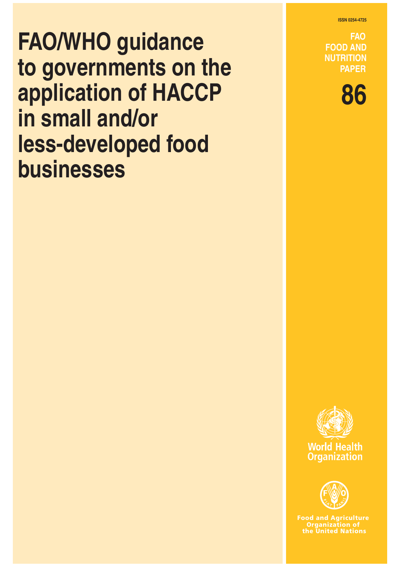**ISSN 0254-4725** 

**FOOD AND NUTRITION PAPER** 

**FAO** 

**86**

# **FAO/WHO guidance to governments on the application of HACCP in small and/or less-developed food businesses**





**Food and Agriculture Organization of the United Nations**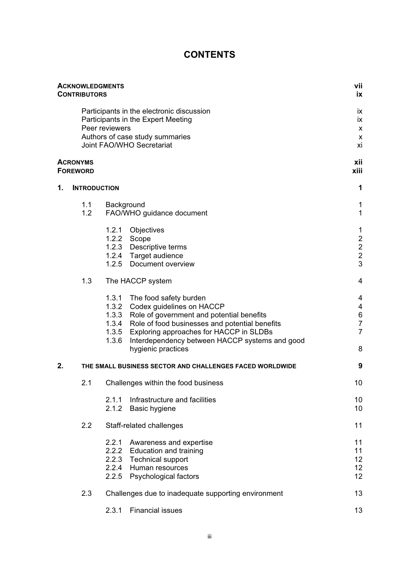# **CONTENTS**

| <b>ACKNOWLEDGMENTS</b><br><b>CONTRIBUTORS</b> |                                    |                                           | vii<br>ix                                                                                                                                                                                                                                                                         |                                                          |
|-----------------------------------------------|------------------------------------|-------------------------------------------|-----------------------------------------------------------------------------------------------------------------------------------------------------------------------------------------------------------------------------------------------------------------------------------|----------------------------------------------------------|
|                                               |                                    | Peer reviewers                            | Participants in the electronic discussion<br>Participants in the Expert Meeting<br>Authors of case study summaries<br>Joint FAO/WHO Secretariat                                                                                                                                   | ix<br>ix<br>$\pmb{\mathsf{X}}$<br>X<br>xi                |
|                                               | <b>ACRONYMS</b><br><b>FOREWORD</b> |                                           |                                                                                                                                                                                                                                                                                   | xii<br>xiii                                              |
| 1.                                            | <b>INTRODUCTION</b>                |                                           |                                                                                                                                                                                                                                                                                   | 1                                                        |
|                                               | 1.1<br>1.2                         | Background                                | FAO/WHO guidance document                                                                                                                                                                                                                                                         | 1<br>$\mathbf 1$                                         |
|                                               |                                    |                                           | 1.2.1 Objectives<br>1.2.2 Scope<br>1.2.3 Descriptive terms<br>1.2.4 Target audience<br>1.2.5 Document overview                                                                                                                                                                    | 1<br>$\begin{array}{c}\n2 \\ 2 \\ 3\n\end{array}$        |
|                                               | 1.3                                |                                           | The HACCP system                                                                                                                                                                                                                                                                  | $\overline{4}$                                           |
|                                               |                                    | 1.3.1<br>1.3.3<br>1.3.4<br>1.3.6          | The food safety burden<br>1.3.2 Codex guidelines on HACCP<br>Role of government and potential benefits<br>Role of food businesses and potential benefits<br>1.3.5 Exploring approaches for HACCP in SLDBs<br>Interdependency between HACCP systems and good<br>hygienic practices | 4<br>4<br>$\,6$<br>$\overline{7}$<br>$\overline{7}$<br>8 |
| 2.                                            |                                    |                                           | THE SMALL BUSINESS SECTOR AND CHALLENGES FACED WORLDWIDE                                                                                                                                                                                                                          | 9                                                        |
|                                               | 2.1                                |                                           | Challenges within the food business                                                                                                                                                                                                                                               | 10                                                       |
|                                               |                                    | 2.1.1<br>2.1.2                            | Infrastructure and facilities<br><b>Basic hygiene</b>                                                                                                                                                                                                                             | 10<br>10                                                 |
|                                               | 2.2                                |                                           | Staff-related challenges                                                                                                                                                                                                                                                          | 11                                                       |
|                                               |                                    | 2.2.1<br>2.2.2<br>2.2.3<br>2.2.4<br>2.2.5 | Awareness and expertise<br><b>Education and training</b><br><b>Technical support</b><br>Human resources<br>Psychological factors                                                                                                                                                  | 11<br>11<br>12<br>12<br>12                               |
|                                               | 2.3                                |                                           | Challenges due to inadequate supporting environment                                                                                                                                                                                                                               | 13                                                       |
|                                               |                                    | 2.3.1                                     | <b>Financial issues</b>                                                                                                                                                                                                                                                           | 13                                                       |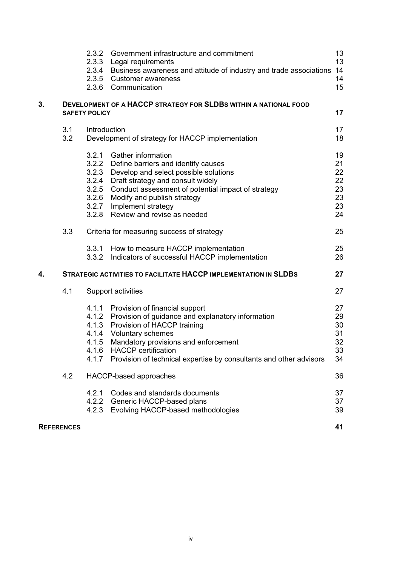|                   |            | 2.3.2<br>2.3.3<br>2.3.4                                              | Government infrastructure and commitment<br>Legal requirements<br>Business awareness and attitude of industry and trade associations<br>2.3.5 Customer awareness<br>2.3.6 Communication                                                                                                        | 13<br>13<br>14<br>14<br>15                   |
|-------------------|------------|----------------------------------------------------------------------|------------------------------------------------------------------------------------------------------------------------------------------------------------------------------------------------------------------------------------------------------------------------------------------------|----------------------------------------------|
| 3.                |            | <b>SAFETY POLICY</b>                                                 | <b>DEVELOPMENT OF A HACCP STRATEGY FOR SLDBS WITHIN A NATIONAL FOOD</b>                                                                                                                                                                                                                        | 17                                           |
|                   | 3.1<br>3.2 | Introduction                                                         | Development of strategy for HACCP implementation                                                                                                                                                                                                                                               | 17<br>18                                     |
|                   |            | 3.2.1<br>3.2.2<br>3.2.3<br>3.2.4<br>3.2.5<br>3.2.6<br>3.2.7<br>3.2.8 | <b>Gather information</b><br>Define barriers and identify causes<br>Develop and select possible solutions<br>Draft strategy and consult widely<br>Conduct assessment of potential impact of strategy<br>Modify and publish strategy<br>Implement strategy<br>Review and revise as needed       | 19<br>21<br>22<br>22<br>23<br>23<br>23<br>24 |
|                   | 3.3        |                                                                      | Criteria for measuring success of strategy                                                                                                                                                                                                                                                     | 25                                           |
|                   |            | 3.3.2                                                                | 3.3.1 How to measure HACCP implementation<br>Indicators of successful HACCP implementation                                                                                                                                                                                                     | 25<br>26                                     |
| 4.                |            |                                                                      | <b>STRATEGIC ACTIVITIES TO FACILITATE HACCP IMPLEMENTATION IN SLDBS</b>                                                                                                                                                                                                                        | 27                                           |
|                   | 4.1        |                                                                      | Support activities                                                                                                                                                                                                                                                                             | 27                                           |
|                   |            | 4.1.1<br>4.1.2<br>4.1.3<br>4.1.5                                     | Provision of financial support<br>Provision of guidance and explanatory information<br>Provision of HACCP training<br>4.1.4 Voluntary schemes<br>Mandatory provisions and enforcement<br>4.1.6 HACCP certification<br>4.1.7 Provision of technical expertise by consultants and other advisors | 27<br>29<br>30<br>31<br>32<br>33<br>34       |
|                   | 4.2        |                                                                      | HACCP-based approaches                                                                                                                                                                                                                                                                         | 36                                           |
|                   |            | 4.2.1<br>4.2.3                                                       | Codes and standards documents<br>4.2.2 Generic HACCP-based plans<br>Evolving HACCP-based methodologies                                                                                                                                                                                         | 37<br>37<br>39                               |
| <b>REFERENCES</b> |            |                                                                      |                                                                                                                                                                                                                                                                                                | 41                                           |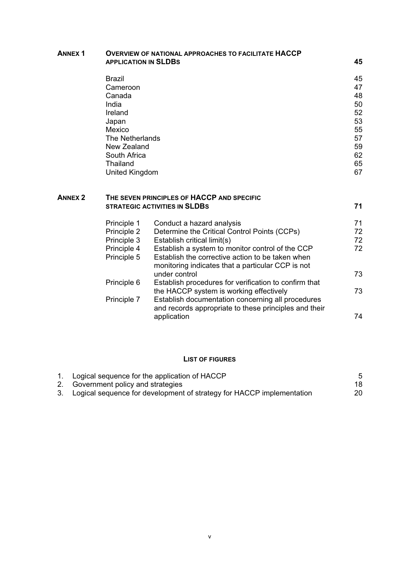| <b>ANNEX1</b>  | <b>APPLICATION IN SLDBS</b>                | <b>OVERVIEW OF NATIONAL APPROACHES TO FACILITATE HACCP</b> | 45       |  |  |
|----------------|--------------------------------------------|------------------------------------------------------------|----------|--|--|
|                | <b>Brazil</b>                              |                                                            | 45       |  |  |
|                | Cameroon                                   |                                                            | 47       |  |  |
|                | Canada                                     |                                                            | 48       |  |  |
|                | India                                      |                                                            | 50       |  |  |
|                | Ireland                                    |                                                            | 52       |  |  |
|                | Japan                                      |                                                            | 53       |  |  |
|                | Mexico                                     |                                                            | 55       |  |  |
|                | The Netherlands                            |                                                            | 57       |  |  |
|                | New Zealand<br>South Africa                |                                                            | 59<br>62 |  |  |
|                | Thailand                                   |                                                            | 65       |  |  |
|                | <b>United Kingdom</b>                      |                                                            | 67       |  |  |
|                |                                            |                                                            |          |  |  |
| <b>ANNEX 2</b> | THE SEVEN PRINCIPLES OF HACCP AND SPECIFIC |                                                            |          |  |  |
|                |                                            | <b>STRATEGIC ACTIVITIES IN SLDBS</b>                       | 71       |  |  |
|                | Principle 1                                | Conduct a hazard analysis                                  | 71       |  |  |
|                | Principle 2                                | Determine the Critical Control Points (CCPs)               | 72       |  |  |
|                | Principle 3                                | Establish critical limit(s)                                | 72       |  |  |
|                | Principle 4                                | Establish a system to monitor control of the CCP           | 72       |  |  |
|                | Principle 5                                | Establish the corrective action to be taken when           |          |  |  |
|                |                                            | monitoring indicates that a particular CCP is not          |          |  |  |
|                |                                            | under control                                              | 73       |  |  |
|                | Principle 6                                | Establish procedures for verification to confirm that      |          |  |  |
|                |                                            | the HACCP system is working effectively                    | 73       |  |  |
|                | Principle 7                                | Establish documentation concerning all procedures          |          |  |  |
|                |                                            | and records appropriate to these principles and their      |          |  |  |
|                |                                            | application                                                | 74       |  |  |

#### **LIST OF FIGURES**

| 1. Logical sequence for the application of HACCP                         |    |
|--------------------------------------------------------------------------|----|
| 2. Government policy and strategies                                      | 18 |
| 3. Logical sequence for development of strategy for HACCP implementation | 20 |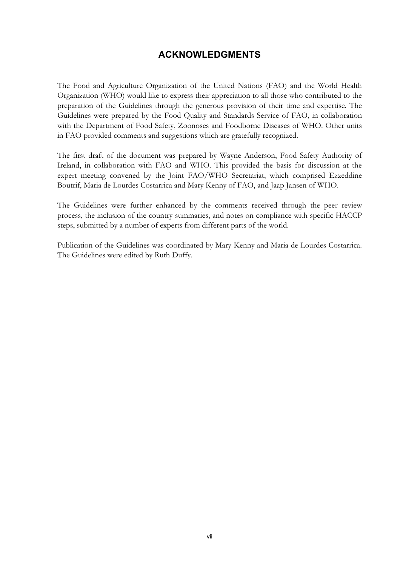# **ACKNOWLEDGMENTS**

The Food and Agriculture Organization of the United Nations (FAO) and the World Health Organization (WHO) would like to express their appreciation to all those who contributed to the preparation of the Guidelines through the generous provision of their time and expertise. The Guidelines were prepared by the Food Quality and Standards Service of FAO, in collaboration with the Department of Food Safety, Zoonoses and Foodborne Diseases of WHO. Other units in FAO provided comments and suggestions which are gratefully recognized.

The first draft of the document was prepared by Wayne Anderson, Food Safety Authority of Ireland, in collaboration with FAO and WHO. This provided the basis for discussion at the expert meeting convened by the Joint FAO/WHO Secretariat, which comprised Ezzeddine Boutrif, Maria de Lourdes Costarrica and Mary Kenny of FAO, and Jaap Jansen of WHO.

The Guidelines were further enhanced by the comments received through the peer review process, the inclusion of the country summaries, and notes on compliance with specific HACCP steps, submitted by a number of experts from different parts of the world.

Publication of the Guidelines was coordinated by Mary Kenny and Maria de Lourdes Costarrica. The Guidelines were edited by Ruth Duffy.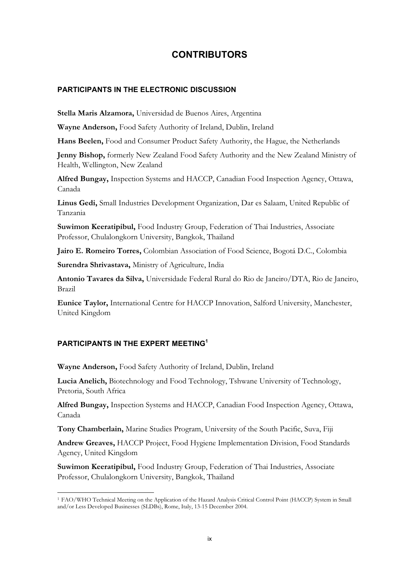# **CONTRIBUTORS**

#### **PARTICIPANTS IN THE ELECTRONIC DISCUSSION**

**Stella Maris Alzamora,** Universidad de Buenos Aires, Argentina

**Wayne Anderson,** Food Safety Authority of Ireland, Dublin, Ireland

**Hans Beelen,** Food and Consumer Product Safety Authority, the Hague, the Netherlands

**Jenny Bishop,** formerly New Zealand Food Safety Authority and the New Zealand Ministry of Health, Wellington, New Zealand

**Alfred Bungay,** Inspection Systems and HACCP, Canadian Food Inspection Agency, Ottawa, Canada

**Linus Gedi,** Small Industries Development Organization, Dar es Salaam, United Republic of Tanzania

**Suwimon Keeratipibul,** Food Industry Group, Federation of Thai Industries, Associate Professor, Chulalongkorn University, Bangkok, Thailand

**Jairo E. Romeiro Torres,** Colombian Association of Food Science, Bogotá D.C., Colombia

**Surendra Shrivastava,** Ministry of Agriculture, India

**Antonio Tavares da Silva,** Universidade Federal Rural do Rio de Janeiro/DTA, Rio de Janeiro, Brazil

**Eunice Taylor,** International Centre for HACCP Innovation, Salford University, Manchester, United Kingdom

## **PARTICIPANTS IN THE EXPERT MEETING<sup>1</sup>**

**Wayne Anderson,** Food Safety Authority of Ireland, Dublin, Ireland

**Lucia Anelich,** Biotechnology and Food Technology, Tshwane University of Technology, Pretoria, South Africa

**Alfred Bungay,** Inspection Systems and HACCP, Canadian Food Inspection Agency, Ottawa, Canada

**Tony Chamberlain,** Marine Studies Program, University of the South Pacific, Suva, Fiji

**Andrew Greaves,** HACCP Project, Food Hygiene Implementation Division, Food Standards Agency, United Kingdom

**Suwimon Keeratipibul,** Food Industry Group, Federation of Thai Industries, Associate Professor, Chulalongkorn University, Bangkok, Thailand

<sup>1</sup> FAO/WHO Technical Meeting on the Application of the Hazard Analysis Critical Control Point (HACCP) System in Small and/or Less Developed Businesses (SLDBs), Rome, Italy, 13-15 December 2004.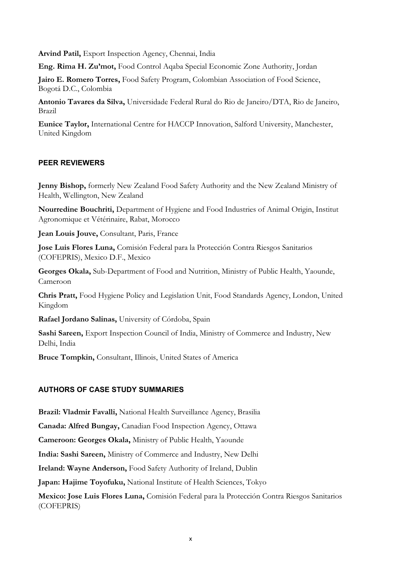**Arvind Patil,** Export Inspection Agency, Chennai, India

**Eng. Rima H. Zu'mot,** Food Control Aqaba Special Economic Zone Authority, Jordan

**Jairo E. Romero Torres,** Food Safety Program, Colombian Association of Food Science, Bogotá D.C., Colombia

**Antonio Tavares da Silva,** Universidade Federal Rural do Rio de Janeiro/DTA, Rio de Janeiro, Brazil

**Eunice Taylor,** International Centre for HACCP Innovation, Salford University, Manchester, United Kingdom

#### **PEER REVIEWERS**

**Jenny Bishop,** formerly New Zealand Food Safety Authority and the New Zealand Ministry of Health, Wellington, New Zealand

**Nourredine Bouchriti,** Department of Hygiene and Food Industries of Animal Origin, Institut Agronomique et Vétérinaire, Rabat, Morocco

**Jean Louis Jouve,** Consultant, Paris, France

**Jose Luis Flores Luna,** Comisión Federal para la Protección Contra Riesgos Sanitarios (COFEPRIS), Mexico D.F., Mexico

**Georges Okala,** Sub-Department of Food and Nutrition, Ministry of Public Health, Yaounde, Cameroon

**Chris Pratt,** Food Hygiene Policy and Legislation Unit, Food Standards Agency, London, United Kingdom

**Rafael Jordano Salinas,** University of Córdoba, Spain

**Sashi Sareen,** Export Inspection Council of India, Ministry of Commerce and Industry, New Delhi, India

**Bruce Tompkin,** Consultant, Illinois, United States of America

#### **AUTHORS OF CASE STUDY SUMMARIES**

**Brazil: Vladmir Favalli,** National Health Surveillance Agency, Brasilia **Canada: Alfred Bungay,** Canadian Food Inspection Agency, Ottawa **Cameroon: Georges Okala,** Ministry of Public Health, Yaounde **India: Sashi Sareen,** Ministry of Commerce and Industry, New Delhi **Ireland: Wayne Anderson,** Food Safety Authority of Ireland, Dublin **Japan: Hajime Toyofuku,** National Institute of Health Sciences, Tokyo **Mexico: Jose Luis Flores Luna,** Comisión Federal para la Protección Contra Riesgos Sanitarios (COFEPRIS)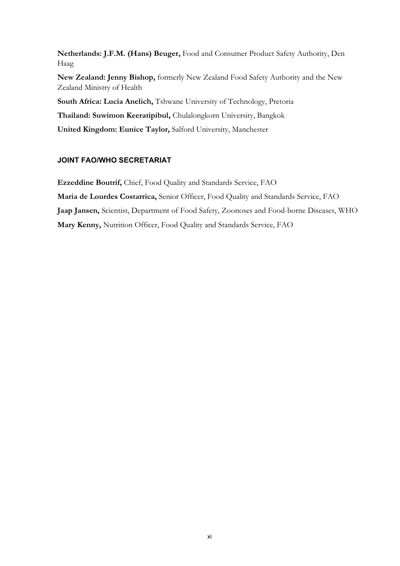**Netherlands: J.F.M. (Hans) Beuger,** Food and Consumer Product Safety Authority, Den Haag **New Zealand: Jenny Bishop,** formerly New Zealand Food Safety Authority and the New Zealand Ministry of Health **South Africa: Lucia Anelich,** Tshwane University of Technology, Pretoria **Thailand: Suwimon Keeratipibul,** Chulalongkorn University, Bangkok **United Kingdom: Eunice Taylor,** Salford University, Manchester

#### **JOINT FAO/WHO SECRETARIAT**

**Ezzeddine Boutrif,** Chief, Food Quality and Standards Service, FAO **Maria de Lourdes Costarrica,** Senior Officer, Food Quality and Standards Service, FAO

**Jaap Jansen,** Scientist, Department of Food Safety, Zoonoses and Food-borne Diseases, WHO

**Mary Kenny,** Nutrition Officer, Food Quality and Standards Service, FAO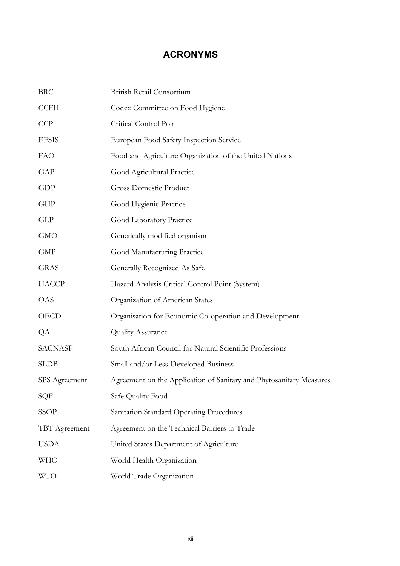# **ACRONYMS**

| <b>BRC</b>     | British Retail Consortium                                           |
|----------------|---------------------------------------------------------------------|
| <b>CCFH</b>    | Codex Committee on Food Hygiene                                     |
| <b>CCP</b>     | Critical Control Point                                              |
| <b>EFSIS</b>   | European Food Safety Inspection Service                             |
| FAO            | Food and Agriculture Organization of the United Nations             |
| GAP            | Good Agricultural Practice                                          |
| GDP            | <b>Gross Domestic Product</b>                                       |
| GHP            | Good Hygienic Practice                                              |
| GLP            | Good Laboratory Practice                                            |
| <b>GMO</b>     | Genetically modified organism                                       |
| <b>GMP</b>     | Good Manufacturing Practice                                         |
| <b>GRAS</b>    | Generally Recognized As Safe                                        |
| <b>HACCP</b>   | Hazard Analysis Critical Control Point (System)                     |
| <b>OAS</b>     | Organization of American States                                     |
| OECD           | Organisation for Economic Co-operation and Development              |
| QA             | <b>Quality Assurance</b>                                            |
| <b>SACNASP</b> | South African Council for Natural Scientific Professions            |
| <b>SLDB</b>    | Small and/or Less-Developed Business                                |
| SPS Agreement  | Agreement on the Application of Sanitary and Phytosanitary Measures |
| SQF            | Safe Quality Food                                                   |
| <b>SSOP</b>    | Sanitation Standard Operating Procedures                            |
| TBT Agreement  | Agreement on the Technical Barriers to Trade                        |
| <b>USDA</b>    | United States Department of Agriculture                             |
| WHO            | World Health Organization                                           |
| <b>WTO</b>     | World Trade Organization                                            |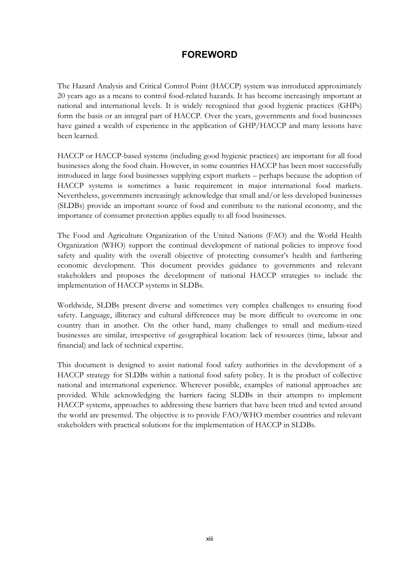# **FOREWORD**

The Hazard Analysis and Critical Control Point (HACCP) system was introduced approximately 20 years ago as a means to control food-related hazards. It has become increasingly important at national and international levels. It is widely recognized that good hygienic practices (GHPs) form the basis or an integral part of HACCP. Over the years, governments and food businesses have gained a wealth of experience in the application of GHP/HACCP and many lessons have been learned.

HACCP or HACCP-based systems (including good hygienic practices) are important for all food businesses along the food chain. However, in some countries HACCP has been most successfully introduced in large food businesses supplying export markets – perhaps because the adoption of HACCP systems is sometimes a basic requirement in major international food markets. Nevertheless, governments increasingly acknowledge that small and/or less developed businesses (SLDBs) provide an important source of food and contribute to the national economy, and the importance of consumer protection applies equally to all food businesses.

The Food and Agriculture Organization of the United Nations (FAO) and the World Health Organization (WHO) support the continual development of national policies to improve food safety and quality with the overall objective of protecting consumer's health and furthering economic development. This document provides guidance to governments and relevant stakeholders and proposes the development of national HACCP strategies to include the implementation of HACCP systems in SLDBs.

Worldwide, SLDBs present diverse and sometimes very complex challenges to ensuring food safety. Language, illiteracy and cultural differences may be more difficult to overcome in one country than in another. On the other hand, many challenges to small and medium-sized businesses are similar, irrespective of geographical location: lack of resources (time, labour and financial) and lack of technical expertise.

This document is designed to assist national food safety authorities in the development of a HACCP strategy for SLDBs within a national food safety policy. It is the product of collective national and international experience. Wherever possible, examples of national approaches are provided. While acknowledging the barriers facing SLDBs in their attempts to implement HACCP systems, approaches to addressing these barriers that have been tried and tested around the world are presented. The objective is to provide FAO/WHO member countries and relevant stakeholders with practical solutions for the implementation of HACCP in SLDBs.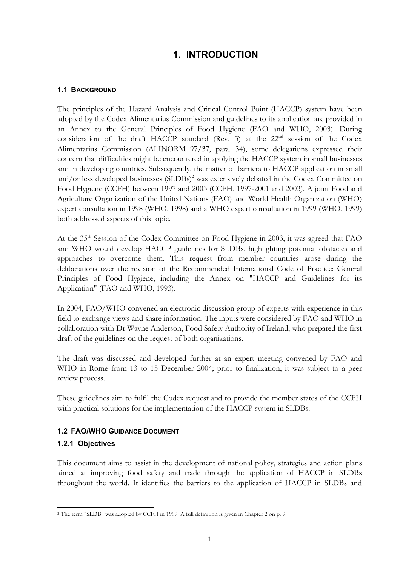# **1. INTRODUCTION**

#### **1.1 BACKGROUND**

The principles of the Hazard Analysis and Critical Control Point (HACCP) system have been adopted by the Codex Alimentarius Commission and guidelines to its application are provided in an Annex to the General Principles of Food Hygiene (FAO and WHO, 2003). During consideration of the draft HACCP standard (Rev. 3) at the  $22<sup>nd</sup>$  session of the Codex Alimentarius Commission (ALINORM 97/37, para. 34), some delegations expressed their concern that difficulties might be encountered in applying the HACCP system in small businesses and in developing countries. Subsequently, the matter of barriers to HACCP application in small and/or less developed businesses  $(SLDBs)^2$  was extensively debated in the Codex Committee on Food Hygiene (CCFH) between 1997 and 2003 (CCFH, 1997-2001 and 2003). A joint Food and Agriculture Organization of the United Nations (FAO) and World Health Organization (WHO) expert consultation in 1998 (WHO, 1998) and a WHO expert consultation in 1999 (WHO, 1999) both addressed aspects of this topic.

At the 35<sup>th</sup> Session of the Codex Committee on Food Hygiene in 2003, it was agreed that FAO and WHO would develop HACCP guidelines for SLDBs, highlighting potential obstacles and approaches to overcome them. This request from member countries arose during the deliberations over the revision of the Recommended International Code of Practice: General Principles of Food Hygiene, including the Annex on "HACCP and Guidelines for its Application" (FAO and WHO, 1993).

In 2004, FAO/WHO convened an electronic discussion group of experts with experience in this field to exchange views and share information. The inputs were considered by FAO and WHO in collaboration with Dr Wayne Anderson, Food Safety Authority of Ireland, who prepared the first draft of the guidelines on the request of both organizations.

The draft was discussed and developed further at an expert meeting convened by FAO and WHO in Rome from 13 to 15 December 2004; prior to finalization, it was subject to a peer review process.

These guidelines aim to fulfil the Codex request and to provide the member states of the CCFH with practical solutions for the implementation of the HACCP system in SLDBs.

## **1.2 FAO/WHO GUIDANCE DOCUMENT**

#### **1.2.1 Objectives**

This document aims to assist in the development of national policy, strategies and action plans aimed at improving food safety and trade through the application of HACCP in SLDBs throughout the world. It identifies the barriers to the application of HACCP in SLDBs and

<sup>2</sup> The term "SLDB" was adopted by CCFH in 1999. A full definition is given in Chapter 2 on p. 9.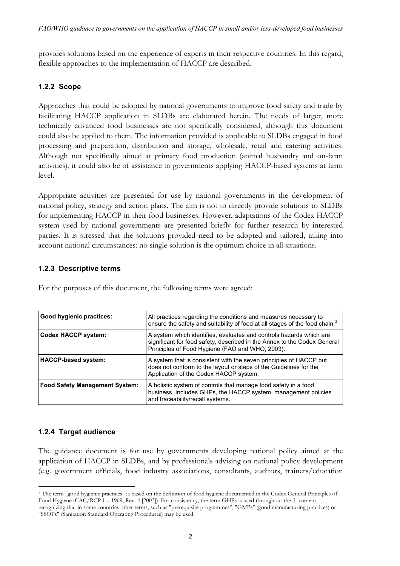provides solutions based on the experience of experts in their respective countries. In this regard, flexible approaches to the implementation of HACCP are described.

## **1.2.2 Scope**

Approaches that could be adopted by national governments to improve food safety and trade by facilitating HACCP application in SLDBs are elaborated herein. The needs of larger, more technically advanced food businesses are not specifically considered, although this document could also be applied to them. The information provided is applicable to SLDBs engaged in food processing and preparation, distribution and storage, wholesale, retail and catering activities. Although not specifically aimed at primary food production (animal husbandry and on-farm activities), it could also be of assistance to governments applying HACCP-based systems at farm level.

Appropriate activities are presented for use by national governments in the development of national policy, strategy and action plans. The aim is not to directly provide solutions to SLDBs for implementing HACCP in their food businesses. However, adaptations of the Codex HACCP system used by national governments are presented briefly for further research by interested parties. It is stressed that the solutions provided need to be adopted and tailored, taking into account national circumstances: no single solution is the optimum choice in all situations.

## **1.2.3 Descriptive terms**

| For the purposes of this document, the following terms were agreed: |  |
|---------------------------------------------------------------------|--|
|---------------------------------------------------------------------|--|

| Good hygienic practices:              | All practices regarding the conditions and measures necessary to<br>ensure the safety and suitability of food at all stages of the food chain. <sup>3</sup>                                        |
|---------------------------------------|----------------------------------------------------------------------------------------------------------------------------------------------------------------------------------------------------|
| <b>Codex HACCP system:</b>            | A system which identifies, evaluates and controls hazards which are<br>significant for food safety, described in the Annex to the Codex General<br>Principles of Food Hygiene (FAO and WHO, 2003). |
| <b>HACCP-based system:</b>            | A system that is consistent with the seven principles of HACCP but<br>does not conform to the layout or steps of the Guidelines for the<br>Application of the Codex HACCP system.                  |
| <b>Food Safety Management System:</b> | A holistic system of controls that manage food safety in a food<br>business. Includes GHPs, the HACCP system, management policies<br>and traceability/recall systems.                              |

## **1.2.4 Target audience**

The guidance document is for use by governments developing national policy aimed at the application of HACCP in SLDBs, and by professionals advising on national policy development (e.g. government officials, food industry associations, consultants, auditors, trainers/education

<sup>&</sup>lt;sup>3</sup> The term "good hygienic practices" is based on the definition of food hygiene documented in the Codex General Principles of Food Hygiene (CAC/RCP 1 – 1969, Rev. 4 [2003]). For consistency, the term GHPs is used throughout the document, recognizing that in some countries other terms, such as "prerequisite programmes", "GMPs" (good manufacturing practices) or

<sup>&</sup>quot;SSOPs" (Sanitation Standard Operating Procedures) may be used.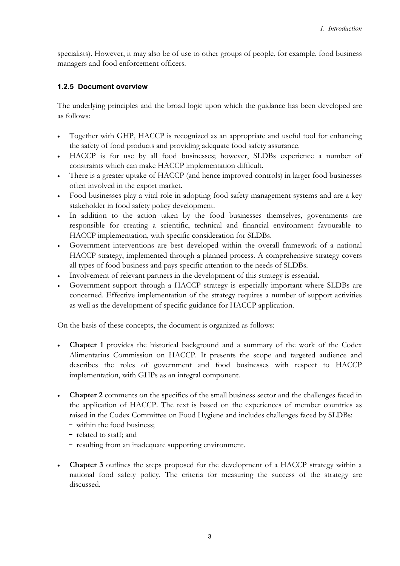specialists). However, it may also be of use to other groups of people, for example, food business managers and food enforcement officers.

## **1.2.5 Document overview**

The underlying principles and the broad logic upon which the guidance has been developed are as follows:

- Together with GHP, HACCP is recognized as an appropriate and useful tool for enhancing the safety of food products and providing adequate food safety assurance.
- HACCP is for use by all food businesses; however, SLDBs experience a number of constraints which can make HACCP implementation difficult.
- There is a greater uptake of HACCP (and hence improved controls) in larger food businesses often involved in the export market.
- Food businesses play a vital role in adopting food safety management systems and are a key stakeholder in food safety policy development.
- <sup>x</sup> In addition to the action taken by the food businesses themselves, governments are responsible for creating a scientific, technical and financial environment favourable to HACCP implementation, with specific consideration for SLDBs.
- <sup>x</sup> Government interventions are best developed within the overall framework of a national HACCP strategy, implemented through a planned process. A comprehensive strategy covers all types of food business and pays specific attention to the needs of SLDBs.
- Involvement of relevant partners in the development of this strategy is essential.
- Government support through a HACCP strategy is especially important where SLDBs are concerned. Effective implementation of the strategy requires a number of support activities as well as the development of specific guidance for HACCP application.

On the basis of these concepts, the document is organized as follows:

- **Chapter 1** provides the historical background and a summary of the work of the Codex Alimentarius Commission on HACCP. It presents the scope and targeted audience and describes the roles of government and food businesses with respect to HACCP implementation, with GHPs as an integral component.
- **Chapter 2** comments on the specifics of the small business sector and the challenges faced in the application of HACCP. The text is based on the experiences of member countries as raised in the Codex Committee on Food Hygiene and includes challenges faced by SLDBs:
	- within the food business;
	- related to staff; and
	- resulting from an inadequate supporting environment.
- **Chapter 3** outlines the steps proposed for the development of a HACCP strategy within a national food safety policy. The criteria for measuring the success of the strategy are discussed.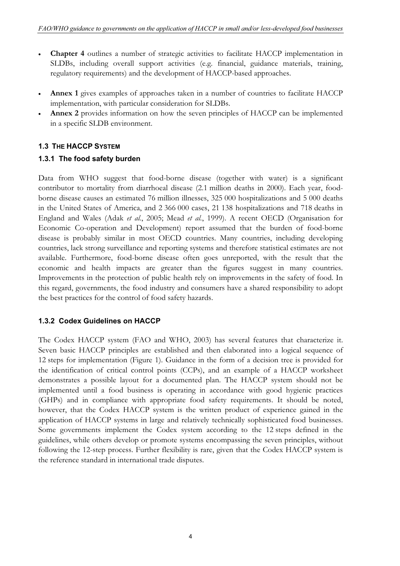- <sup>x</sup> **Chapter 4** outlines a number of strategic activities to facilitate HACCP implementation in SLDBs, including overall support activities (e.g. financial, guidance materials, training, regulatory requirements) and the development of HACCP-based approaches.
- <sup>x</sup> **Annex 1** gives examples of approaches taken in a number of countries to facilitate HACCP implementation, with particular consideration for SLDBs.
- <sup>x</sup> **Annex 2** provides information on how the seven principles of HACCP can be implemented in a specific SLDB environment.

## **1.3 THE HACCP SYSTEM**

## **1.3.1 The food safety burden**

Data from WHO suggest that food-borne disease (together with water) is a significant contributor to mortality from diarrhoeal disease (2.1 million deaths in 2000). Each year, foodborne disease causes an estimated 76 million illnesses, 325 000 hospitalizations and 5 000 deaths in the United States of America, and 2 366 000 cases, 21 138 hospitalizations and 718 deaths in England and Wales (Adak *et al.*, 2005; Mead *et al.*, 1999). A recent OECD (Organisation for Economic Co-operation and Development) report assumed that the burden of food-borne disease is probably similar in most OECD countries. Many countries, including developing countries, lack strong surveillance and reporting systems and therefore statistical estimates are not available. Furthermore, food-borne disease often goes unreported, with the result that the economic and health impacts are greater than the figures suggest in many countries. Improvements in the protection of public health rely on improvements in the safety of food. In this regard, governments, the food industry and consumers have a shared responsibility to adopt the best practices for the control of food safety hazards.

## **1.3.2 Codex Guidelines on HACCP**

The Codex HACCP system (FAO and WHO, 2003) has several features that characterize it. Seven basic HACCP principles are established and then elaborated into a logical sequence of 12 steps for implementation (Figure 1). Guidance in the form of a decision tree is provided for the identification of critical control points (CCPs), and an example of a HACCP worksheet demonstrates a possible layout for a documented plan. The HACCP system should not be implemented until a food business is operating in accordance with good hygienic practices (GHPs) and in compliance with appropriate food safety requirements. It should be noted, however, that the Codex HACCP system is the written product of experience gained in the application of HACCP systems in large and relatively technically sophisticated food businesses. Some governments implement the Codex system according to the 12 steps defined in the guidelines, while others develop or promote systems encompassing the seven principles, without following the 12-step process. Further flexibility is rare, given that the Codex HACCP system is the reference standard in international trade disputes.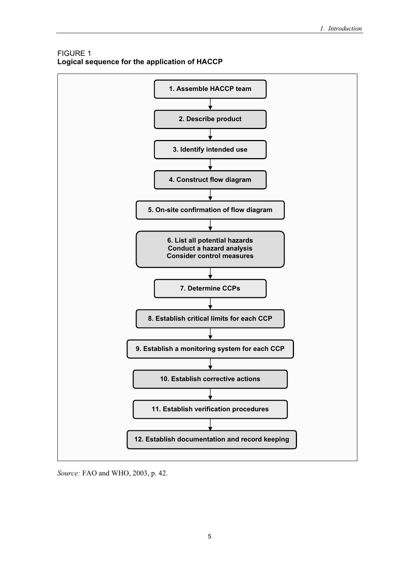FIGURE 1 **Logical sequence for the application of HACCP** 



*Source:* FAO and WHO, 2003, p. 42.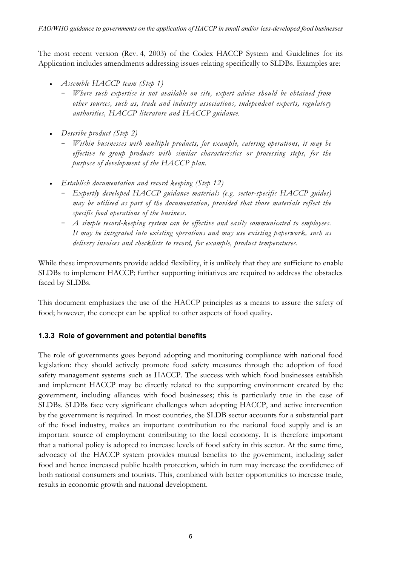The most recent version (Rev. 4, 2003) of the Codex HACCP System and Guidelines for its Application includes amendments addressing issues relating specifically to SLDBs. Examples are:

- <sup>x</sup> *Assemble HACCP team (Step 1)*
	- í *Where such expertise is not available on site, expert advice should be obtained from other sources, such as, trade and industry associations, independent experts, regulatory authorities, HACCP literature and HACCP guidance.*
- <sup>x</sup> *Describe product (Step 2)* 
	- í *Within businesses with multiple products, for example, catering operations, it may be effective to group products with similar characteristics or processing steps, for the purpose of development of the HACCP plan.*
- <sup>x</sup> *Establish documentation and record keeping (Step 12)*
	- í *Expertly developed HACCP guidance materials (e.g. sector-specific HACCP guides) may be utilised as part of the documentation, provided that those materials reflect the specific food operations of the business.*
	- í *A simple record-keeping system can be effective and easily communicated to employees. It may be integrated into existing operations and may use existing paperwork, such as delivery invoices and checklists to record, for example, product temperatures.*

While these improvements provide added flexibility, it is unlikely that they are sufficient to enable SLDBs to implement HACCP; further supporting initiatives are required to address the obstacles faced by SLDBs.

This document emphasizes the use of the HACCP principles as a means to assure the safety of food; however, the concept can be applied to other aspects of food quality.

## **1.3.3 Role of government and potential benefits**

The role of governments goes beyond adopting and monitoring compliance with national food legislation: they should actively promote food safety measures through the adoption of food safety management systems such as HACCP. The success with which food businesses establish and implement HACCP may be directly related to the supporting environment created by the government, including alliances with food businesses; this is particularly true in the case of SLDBs. SLDBs face very significant challenges when adopting HACCP, and active intervention by the government is required. In most countries, the SLDB sector accounts for a substantial part of the food industry, makes an important contribution to the national food supply and is an important source of employment contributing to the local economy. It is therefore important that a national policy is adopted to increase levels of food safety in this sector. At the same time, advocacy of the HACCP system provides mutual benefits to the government, including safer food and hence increased public health protection, which in turn may increase the confidence of both national consumers and tourists. This, combined with better opportunities to increase trade, results in economic growth and national development.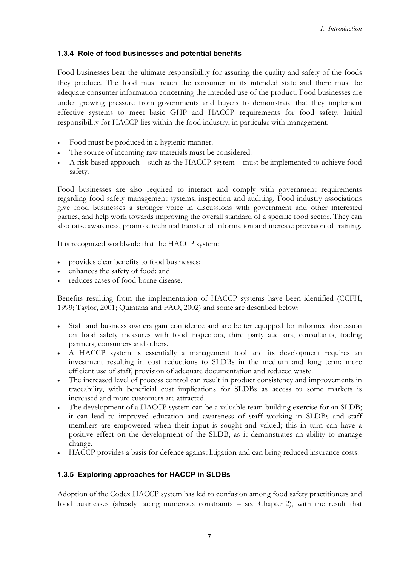## **1.3.4 Role of food businesses and potential benefits**

Food businesses bear the ultimate responsibility for assuring the quality and safety of the foods they produce. The food must reach the consumer in its intended state and there must be adequate consumer information concerning the intended use of the product. Food businesses are under growing pressure from governments and buyers to demonstrate that they implement effective systems to meet basic GHP and HACCP requirements for food safety. Initial responsibility for HACCP lies within the food industry, in particular with management:

- Food must be produced in a hygienic manner.
- The source of incoming raw materials must be considered.
- <sup>x</sup> A risk-based approach such as the HACCP system must be implemented to achieve food safety.

Food businesses are also required to interact and comply with government requirements regarding food safety management systems, inspection and auditing. Food industry associations give food businesses a stronger voice in discussions with government and other interested parties, and help work towards improving the overall standard of a specific food sector. They can also raise awareness, promote technical transfer of information and increase provision of training.

It is recognized worldwide that the HACCP system:

- provides clear benefits to food businesses;
- enhances the safety of food; and
- <sup>x</sup> reduces cases of food-borne disease.

Benefits resulting from the implementation of HACCP systems have been identified (CCFH, 1999; Taylor, 2001; Quintana and FAO, 2002) and some are described below:

- <sup>x</sup> Staff and business owners gain confidence and are better equipped for informed discussion on food safety measures with food inspectors, third party auditors, consultants, trading partners, consumers and others.
- <sup>x</sup> A HACCP system is essentially a management tool and its development requires an investment resulting in cost reductions to SLDBs in the medium and long term: more efficient use of staff, provision of adequate documentation and reduced waste.
- The increased level of process control can result in product consistency and improvements in traceability, with beneficial cost implications for SLDBs as access to some markets is increased and more customers are attracted.
- The development of a HACCP system can be a valuable team-building exercise for an SLDB; it can lead to improved education and awareness of staff working in SLDBs and staff members are empowered when their input is sought and valued; this in turn can have a positive effect on the development of the SLDB, as it demonstrates an ability to manage change.
- HACCP provides a basis for defence against litigation and can bring reduced insurance costs.

## **1.3.5 Exploring approaches for HACCP in SLDBs**

Adoption of the Codex HACCP system has led to confusion among food safety practitioners and food businesses (already facing numerous constraints – see Chapter 2), with the result that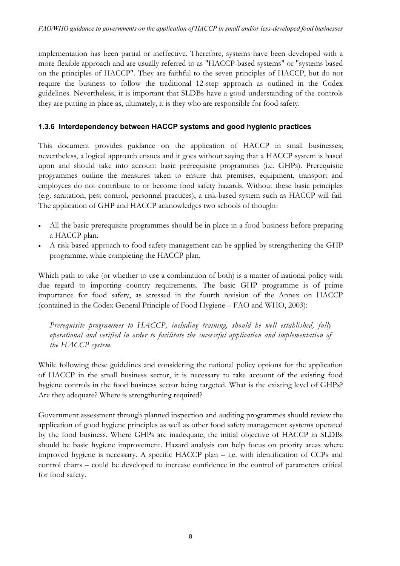implementation has been partial or ineffective. Therefore, systems have been developed with a more flexible approach and are usually referred to as "HACCP-based systems" or "systems based on the principles of HACCP". They are faithful to the seven principles of HACCP, but do not require the business to follow the traditional 12-step approach as outlined in the Codex guidelines. Nevertheless, it is important that SLDBs have a good understanding of the controls they are putting in place as, ultimately, it is they who are responsible for food safety.

## **1.3.6 Interdependency between HACCP systems and good hygienic practices**

This document provides guidance on the application of HACCP in small businesses; nevertheless, a logical approach ensues and it goes without saying that a HACCP system is based upon and should take into account basic prerequisite programmes (i.e. GHPs). Prerequisite programmes outline the measures taken to ensure that premises, equipment, transport and employees do not contribute to or become food safety hazards. Without these basic principles (e.g. sanitation, pest control, personnel practices), a risk-based system such as HACCP will fail. The application of GHP and HACCP acknowledges two schools of thought:

- All the basic prerequisite programmes should be in place in a food business before preparing a HACCP plan.
- A risk-based approach to food safety management can be applied by strengthening the GHP programme, while completing the HACCP plan.

Which path to take (or whether to use a combination of both) is a matter of national policy with due regard to importing country requirements. The basic GHP programme is of prime importance for food safety, as stressed in the fourth revision of the Annex on HACCP (contained in the Codex General Principle of Food Hygiene – FAO and WHO, 2003):

*Prerequisite programmes to HACCP, including training, should be well established, fully operational and verified in order to facilitate the successful application and implementation of the HACCP system.*

While following these guidelines and considering the national policy options for the application of HACCP in the small business sector, it is necessary to take account of the existing food hygiene controls in the food business sector being targeted. What is the existing level of GHPs? Are they adequate? Where is strengthening required?

Government assessment through planned inspection and auditing programmes should review the application of good hygiene principles as well as other food safety management systems operated by the food business. Where GHPs are inadequate, the initial objective of HACCP in SLDBs should be basic hygiene improvement. Hazard analysis can help focus on priority areas where improved hygiene is necessary. A specific HACCP plan – i.e. with identification of CCPs and control charts – could be developed to increase confidence in the control of parameters critical for food safety.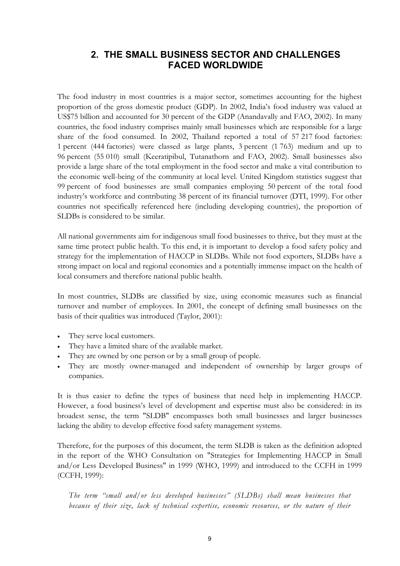# **2. THE SMALL BUSINESS SECTOR AND CHALLENGES FACED WORLDWIDE**

The food industry in most countries is a major sector, sometimes accounting for the highest proportion of the gross domestic product (GDP). In 2002, India's food industry was valued at US\$75 billion and accounted for 30 percent of the GDP (Anandavally and FAO, 2002). In many countries, the food industry comprises mainly small businesses which are responsible for a large share of the food consumed. In 2002, Thailand reported a total of 57 217 food factories: 1 percent (444 factories) were classed as large plants, 3 percent (1 763) medium and up to 96 percent (55 010) small (Keeratipibul, Tutanathorn and FAO, 2002). Small businesses also provide a large share of the total employment in the food sector and make a vital contribution to the economic well-being of the community at local level. United Kingdom statistics suggest that 99 percent of food businesses are small companies employing 50 percent of the total food industry's workforce and contributing 38 percent of its financial turnover (DTI, 1999). For other countries not specifically referenced here (including developing countries), the proportion of SLDBs is considered to be similar.

All national governments aim for indigenous small food businesses to thrive, but they must at the same time protect public health. To this end, it is important to develop a food safety policy and strategy for the implementation of HACCP in SLDBs. While not food exporters, SLDBs have a strong impact on local and regional economies and a potentially immense impact on the health of local consumers and therefore national public health.

In most countries, SLDBs are classified by size, using economic measures such as financial turnover and number of employees. In 2001, the concept of defining small businesses on the basis of their qualities was introduced (Taylor, 2001):

- They serve local customers.
- They have a limited share of the available market.
- They are owned by one person or by a small group of people.
- They are mostly owner-managed and independent of ownership by larger groups of companies.

It is thus easier to define the types of business that need help in implementing HACCP. However, a food business's level of development and expertise must also be considered: in its broadest sense, the term "SLDB" encompasses both small businesses and larger businesses lacking the ability to develop effective food safety management systems.

Therefore, for the purposes of this document, the term SLDB is taken as the definition adopted in the report of the WHO Consultation on "Strategies for Implementing HACCP in Small and/or Less Developed Business" in 1999 (WHO, 1999) and introduced to the CCFH in 1999 (CCFH, 1999):

*The term "small and/or less developed businesses" (SLDBs) shall mean businesses that because of their size, lack of technical expertise, economic resources, or the nature of their*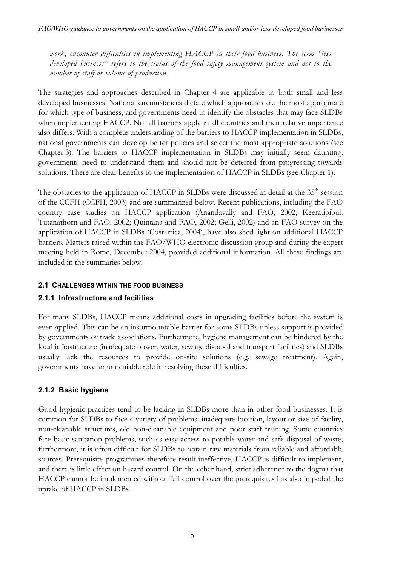*work, encounter difficulties in implementing HACCP in their food business. The term "less developed business" refers to the status of the food safety management system and not to the number of staff or volume of production.*

The strategies and approaches described in Chapter 4 are applicable to both small and less developed businesses. National circumstances dictate which approaches are the most appropriate for which type of business, and governments need to identify the obstacles that may face SLDBs when implementing HACCP. Not all barriers apply in all countries and their relative importance also differs. With a complete understanding of the barriers to HACCP implementation in SLDBs, national governments can develop better policies and select the most appropriate solutions (see Chapter 3). The barriers to HACCP implementation in SLDBs may initially seem daunting; governments need to understand them and should not be deterred from progressing towards solutions. There are clear benefits to the implementation of HACCP in SLDBs (see Chapter 1).

The obstacles to the application of HACCP in SLDBs were discussed in detail at the 35<sup>th</sup> session of the CCFH (CCFH, 2003) and are summarized below. Recent publications, including the FAO country case studies on HACCP application (Anandavally and FAO, 2002; Keeratipibul, Tutanathorn and FAO, 2002; Quintana and FAO, 2002; Gelli, 2002) and an FAO survey on the application of HACCP in SLDBs (Costarrica, 2004), have also shed light on additional HACCP barriers. Matters raised within the FAO/WHO electronic discussion group and during the expert meeting held in Rome, December 2004, provided additional information. All these findings are included in the summaries below.

## **2.1 CHALLENGES WITHIN THE FOOD BUSINESS**

## **2.1.1 Infrastructure and facilities**

For many SLDBs, HACCP means additional costs in upgrading facilities before the system is even applied. This can be an insurmountable barrier for some SLDBs unless support is provided by governments or trade associations. Furthermore, hygiene management can be hindered by the local infrastructure (inadequate power, water, sewage disposal and transport facilities) and SLDBs usually lack the resources to provide on-site solutions (e.g. sewage treatment). Again, governments have an undeniable role in resolving these difficulties.

## **2.1.2 Basic hygiene**

Good hygienic practices tend to be lacking in SLDBs more than in other food businesses. It is common for SLDBs to face a variety of problems: inadequate location, layout or size of facility, non-cleanable structures, old non-cleanable equipment and poor staff training. Some countries face basic sanitation problems, such as easy access to potable water and safe disposal of waste; furthermore, it is often difficult for SLDBs to obtain raw materials from reliable and affordable sources. Prerequisite programmes therefore result ineffective, HACCP is difficult to implement, and there is little effect on hazard control. On the other hand, strict adherence to the dogma that HACCP cannot be implemented without full control over the prerequisites has also impeded the uptake of HACCP in SLDBs.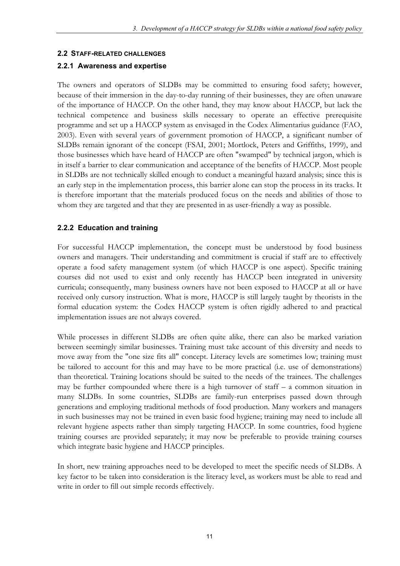#### **2.2 STAFF-RELATED CHALLENGES**

#### **2.2.1 Awareness and expertise**

The owners and operators of SLDBs may be committed to ensuring food safety; however, because of their immersion in the day-to-day running of their businesses, they are often unaware of the importance of HACCP. On the other hand, they may know about HACCP, but lack the technical competence and business skills necessary to operate an effective prerequisite programme and set up a HACCP system as envisaged in the Codex Alimentarius guidance (FAO, 2003). Even with several years of government promotion of HACCP, a significant number of SLDBs remain ignorant of the concept (FSAI, 2001; Mortlock, Peters and Griffiths, 1999), and those businesses which have heard of HACCP are often "swamped" by technical jargon, which is in itself a barrier to clear communication and acceptance of the benefits of HACCP. Most people in SLDBs are not technically skilled enough to conduct a meaningful hazard analysis; since this is an early step in the implementation process, this barrier alone can stop the process in its tracks. It is therefore important that the materials produced focus on the needs and abilities of those to whom they are targeted and that they are presented in as user-friendly a way as possible.

## **2.2.2 Education and training**

For successful HACCP implementation, the concept must be understood by food business owners and managers. Their understanding and commitment is crucial if staff are to effectively operate a food safety management system (of which HACCP is one aspect). Specific training courses did not used to exist and only recently has HACCP been integrated in university curricula; consequently, many business owners have not been exposed to HACCP at all or have received only cursory instruction. What is more, HACCP is still largely taught by theorists in the formal education system: the Codex HACCP system is often rigidly adhered to and practical implementation issues are not always covered.

While processes in different SLDBs are often quite alike, there can also be marked variation between seemingly similar businesses. Training must take account of this diversity and needs to move away from the "one size fits all" concept. Literacy levels are sometimes low; training must be tailored to account for this and may have to be more practical (i.e. use of demonstrations) than theoretical. Training locations should be suited to the needs of the trainees. The challenges may be further compounded where there is a high turnover of staff – a common situation in many SLDBs. In some countries, SLDBs are family-run enterprises passed down through generations and employing traditional methods of food production. Many workers and managers in such businesses may not be trained in even basic food hygiene; training may need to include all relevant hygiene aspects rather than simply targeting HACCP. In some countries, food hygiene training courses are provided separately; it may now be preferable to provide training courses which integrate basic hygiene and HACCP principles.

In short, new training approaches need to be developed to meet the specific needs of SLDBs. A key factor to be taken into consideration is the literacy level, as workers must be able to read and write in order to fill out simple records effectively.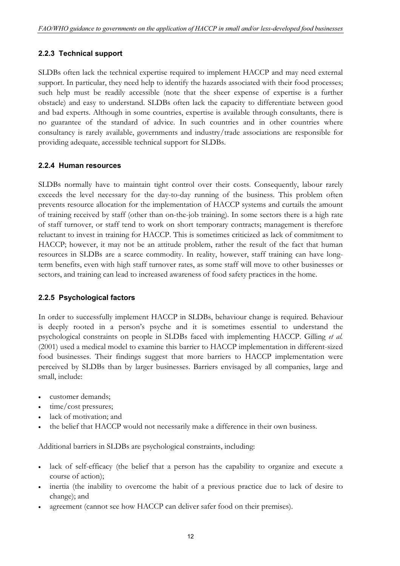## **2.2.3 Technical support**

SLDBs often lack the technical expertise required to implement HACCP and may need external support. In particular, they need help to identify the hazards associated with their food processes; such help must be readily accessible (note that the sheer expense of expertise is a further obstacle) and easy to understand. SLDBs often lack the capacity to differentiate between good and bad experts. Although in some countries, expertise is available through consultants, there is no guarantee of the standard of advice. In such countries and in other countries where consultancy is rarely available, governments and industry/trade associations are responsible for providing adequate, accessible technical support for SLDBs.

## **2.2.4 Human resources**

SLDBs normally have to maintain tight control over their costs. Consequently, labour rarely exceeds the level necessary for the day-to-day running of the business. This problem often prevents resource allocation for the implementation of HACCP systems and curtails the amount of training received by staff (other than on-the-job training). In some sectors there is a high rate of staff turnover, or staff tend to work on short temporary contracts; management is therefore reluctant to invest in training for HACCP. This is sometimes criticized as lack of commitment to HACCP; however, it may not be an attitude problem, rather the result of the fact that human resources in SLDBs are a scarce commodity. In reality, however, staff training can have longterm benefits, even with high staff turnover rates, as some staff will move to other businesses or sectors, and training can lead to increased awareness of food safety practices in the home.

## **2.2.5 Psychological factors**

In order to successfully implement HACCP in SLDBs, behaviour change is required. Behaviour is deeply rooted in a person's psyche and it is sometimes essential to understand the psychological constraints on people in SLDBs faced with implementing HACCP. Gilling *et al.* (2001) used a medical model to examine this barrier to HACCP implementation in different-sized food businesses. Their findings suggest that more barriers to HACCP implementation were perceived by SLDBs than by larger businesses. Barriers envisaged by all companies, large and small, include:

- customer demands;
- $\cdot$  time/cost pressures;
- lack of motivation; and
- the belief that HACCP would not necessarily make a difference in their own business.

Additional barriers in SLDBs are psychological constraints, including:

- <sup>x</sup> lack of self-efficacy (the belief that a person has the capability to organize and execute a course of action);
- <sup>x</sup> inertia (the inability to overcome the habit of a previous practice due to lack of desire to change); and
- agreement (cannot see how HACCP can deliver safer food on their premises).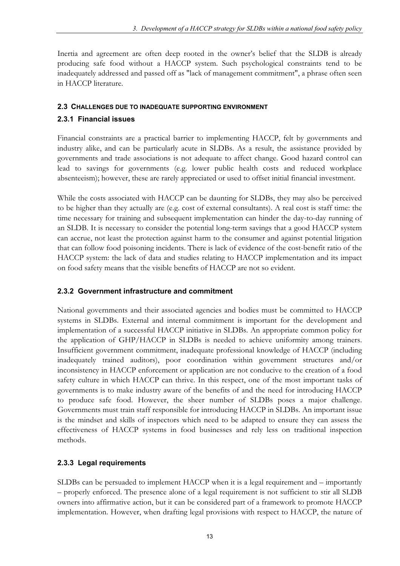Inertia and agreement are often deep rooted in the owner's belief that the SLDB is already producing safe food without a HACCP system. Such psychological constraints tend to be inadequately addressed and passed off as "lack of management commitment", a phrase often seen in HACCP literature.

#### **2.3 CHALLENGES DUE TO INADEQUATE SUPPORTING ENVIRONMENT**

## **2.3.1 Financial issues**

Financial constraints are a practical barrier to implementing HACCP, felt by governments and industry alike, and can be particularly acute in SLDBs. As a result, the assistance provided by governments and trade associations is not adequate to affect change. Good hazard control can lead to savings for governments (e.g. lower public health costs and reduced workplace absenteeism); however, these are rarely appreciated or used to offset initial financial investment.

While the costs associated with HACCP can be daunting for SLDBs, they may also be perceived to be higher than they actually are (e.g. cost of external consultants). A real cost is staff time: the time necessary for training and subsequent implementation can hinder the day-to-day running of an SLDB. It is necessary to consider the potential long-term savings that a good HACCP system can accrue, not least the protection against harm to the consumer and against potential litigation that can follow food poisoning incidents. There is lack of evidence of the cost-benefit ratio of the HACCP system: the lack of data and studies relating to HACCP implementation and its impact on food safety means that the visible benefits of HACCP are not so evident.

## **2.3.2 Government infrastructure and commitment**

National governments and their associated agencies and bodies must be committed to HACCP systems in SLDBs. External and internal commitment is important for the development and implementation of a successful HACCP initiative in SLDBs. An appropriate common policy for the application of GHP/HACCP in SLDBs is needed to achieve uniformity among trainers. Insufficient government commitment, inadequate professional knowledge of HACCP (including inadequately trained auditors), poor coordination within government structures and/or inconsistency in HACCP enforcement or application are not conducive to the creation of a food safety culture in which HACCP can thrive. In this respect, one of the most important tasks of governments is to make industry aware of the benefits of and the need for introducing HACCP to produce safe food. However, the sheer number of SLDBs poses a major challenge. Governments must train staff responsible for introducing HACCP in SLDBs. An important issue is the mindset and skills of inspectors which need to be adapted to ensure they can assess the effectiveness of HACCP systems in food businesses and rely less on traditional inspection methods.

## **2.3.3 Legal requirements**

SLDBs can be persuaded to implement HACCP when it is a legal requirement and – importantly – properly enforced. The presence alone of a legal requirement is not sufficient to stir all SLDB owners into affirmative action, but it can be considered part of a framework to promote HACCP implementation. However, when drafting legal provisions with respect to HACCP, the nature of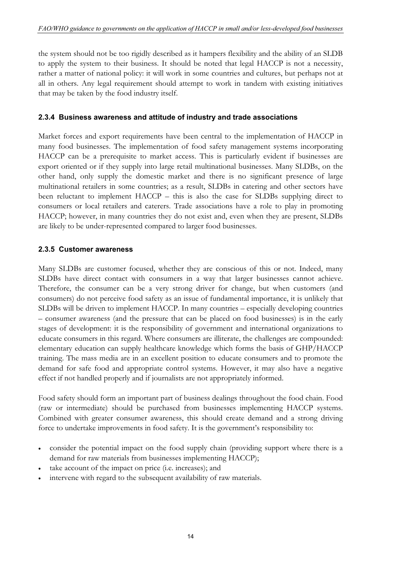the system should not be too rigidly described as it hampers flexibility and the ability of an SLDB to apply the system to their business. It should be noted that legal HACCP is not a necessity, rather a matter of national policy: it will work in some countries and cultures, but perhaps not at all in others. Any legal requirement should attempt to work in tandem with existing initiatives that may be taken by the food industry itself.

## **2.3.4 Business awareness and attitude of industry and trade associations**

Market forces and export requirements have been central to the implementation of HACCP in many food businesses. The implementation of food safety management systems incorporating HACCP can be a prerequisite to market access. This is particularly evident if businesses are export oriented or if they supply into large retail multinational businesses. Many SLDBs, on the other hand, only supply the domestic market and there is no significant presence of large multinational retailers in some countries; as a result, SLDBs in catering and other sectors have been reluctant to implement HACCP – this is also the case for SLDBs supplying direct to consumers or local retailers and caterers. Trade associations have a role to play in promoting HACCP; however, in many countries they do not exist and, even when they are present, SLDBs are likely to be under-represented compared to larger food businesses.

## **2.3.5 Customer awareness**

Many SLDBs are customer focused, whether they are conscious of this or not. Indeed, many SLDBs have direct contact with consumers in a way that larger businesses cannot achieve. Therefore, the consumer can be a very strong driver for change, but when customers (and consumers) do not perceive food safety as an issue of fundamental importance, it is unlikely that SLDBs will be driven to implement HACCP. In many countries – especially developing countries – consumer awareness (and the pressure that can be placed on food businesses) is in the early stages of development: it is the responsibility of government and international organizations to educate consumers in this regard. Where consumers are illiterate, the challenges are compounded: elementary education can supply healthcare knowledge which forms the basis of GHP/HACCP training. The mass media are in an excellent position to educate consumers and to promote the demand for safe food and appropriate control systems. However, it may also have a negative effect if not handled properly and if journalists are not appropriately informed.

Food safety should form an important part of business dealings throughout the food chain. Food (raw or intermediate) should be purchased from businesses implementing HACCP systems. Combined with greater consumer awareness, this should create demand and a strong driving force to undertake improvements in food safety. It is the government's responsibility to:

- consider the potential impact on the food supply chain (providing support where there is a demand for raw materials from businesses implementing HACCP);
- take account of the impact on price (i.e. increases); and
- intervene with regard to the subsequent availability of raw materials.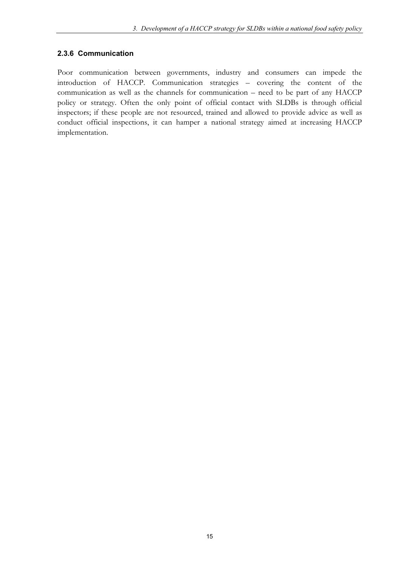## **2.3.6 Communication**

Poor communication between governments, industry and consumers can impede the introduction of HACCP. Communication strategies – covering the content of the communication as well as the channels for communication – need to be part of any HACCP policy or strategy. Often the only point of official contact with SLDBs is through official inspectors; if these people are not resourced, trained and allowed to provide advice as well as conduct official inspections, it can hamper a national strategy aimed at increasing HACCP implementation.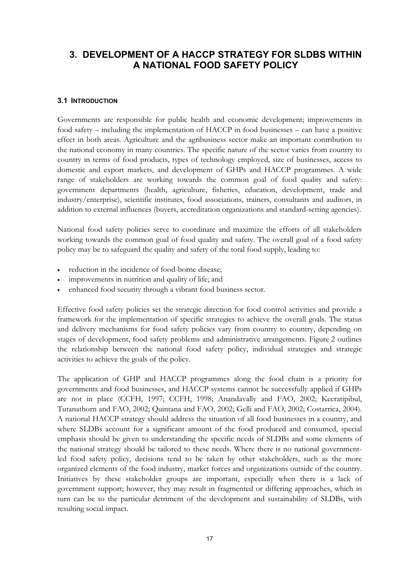## **3. DEVELOPMENT OF A HACCP STRATEGY FOR SLDBS WITHIN A NATIONAL FOOD SAFETY POLICY**

#### **3.1 INTRODUCTION**

Governments are responsible for public health and economic development; improvements in food safety – including the implementation of HACCP in food businesses – can have a positive effect in both areas. Agriculture and the agribusiness sector make an important contribution to the national economy in many countries. The specific nature of the sector varies from country to country in terms of food products, types of technology employed, size of businesses, access to domestic and export markets, and development of GHPs and HACCP programmes. A wide range of stakeholders are working towards the common goal of food quality and safety: government departments (health, agriculture, fisheries, education, development, trade and industry/enterprise), scientific institutes, food associations, trainers, consultants and auditors, in addition to external influences (buyers, accreditation organizations and standard-setting agencies).

National food safety policies serve to coordinate and maximize the efforts of all stakeholders working towards the common goal of food quality and safety. The overall goal of a food safety policy may be to safeguard the quality and safety of the total food supply, leading to:

- reduction in the incidence of food-borne disease:
- improvements in nutrition and quality of life; and
- enhanced food security through a vibrant food business sector.

Effective food safety policies set the strategic direction for food control activities and provide a framework for the implementation of specific strategies to achieve the overall goals. The status and delivery mechanisms for food safety policies vary from country to country, depending on stages of development, food safety problems and administrative arrangements. Figure 2 outlines the relationship between the national food safety policy, individual strategies and strategic activities to achieve the goals of the policy.

The application of GHP and HACCP programmes along the food chain is a priority for governments and food businesses, and HACCP systems cannot be successfully applied if GHPs are not in place (CCFH, 1997; CCFH, 1998; Anandavally and FAO, 2002; Keeratipibul, Tutanathorn and FAO, 2002; Quintana and FAO, 2002; Gelli and FAO, 2002; Costarrica, 2004). A national HACCP strategy should address the situation of all food businesses in a country, and where SLDBs account for a significant amount of the food produced and consumed, special emphasis should be given to understanding the specific needs of SLDBs and some elements of the national strategy should be tailored to these needs. Where there is no national governmentled food safety policy, decisions tend to be taken by other stakeholders, such as the more organized elements of the food industry, market forces and organizations outside of the country. Initiatives by these stakeholder groups are important, especially when there is a lack of government support; however, they may result in fragmented or differing approaches, which in turn can be to the particular detriment of the development and sustainability of SLDBs, with resulting social impact.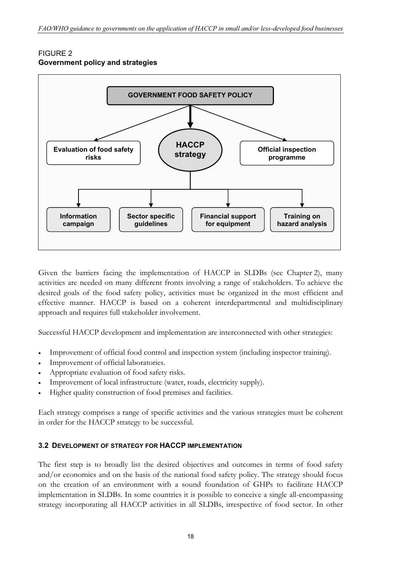#### FIGURE 2 **Government policy and strategies**



Given the barriers facing the implementation of HACCP in SLDBs (see Chapter 2), many activities are needed on many different fronts involving a range of stakeholders. To achieve the desired goals of the food safety policy, activities must be organized in the most efficient and effective manner. HACCP is based on a coherent interdepartmental and multidisciplinary approach and requires full stakeholder involvement.

Successful HACCP development and implementation are interconnected with other strategies:

- Improvement of official food control and inspection system (including inspector training).
- Improvement of official laboratories.
- Appropriate evaluation of food safety risks.
- Improvement of local infrastructure (water, roads, electricity supply).
- Higher quality construction of food premises and facilities.

Each strategy comprises a range of specific activities and the various strategies must be coherent in order for the HACCP strategy to be successful.

## **3.2 DEVELOPMENT OF STRATEGY FOR HACCP IMPLEMENTATION**

The first step is to broadly list the desired objectives and outcomes in terms of food safety and/or economics and on the basis of the national food safety policy. The strategy should focus on the creation of an environment with a sound foundation of GHPs to facilitate HACCP implementation in SLDBs. In some countries it is possible to conceive a single all-encompassing strategy incorporating all HACCP activities in all SLDBs, irrespective of food sector. In other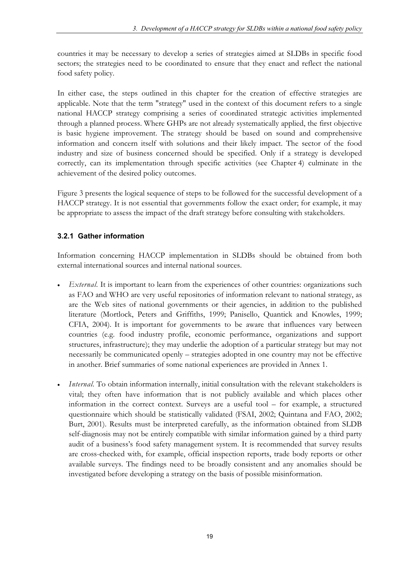countries it may be necessary to develop a series of strategies aimed at SLDBs in specific food sectors; the strategies need to be coordinated to ensure that they enact and reflect the national food safety policy.

In either case, the steps outlined in this chapter for the creation of effective strategies are applicable. Note that the term "strategy" used in the context of this document refers to a single national HACCP strategy comprising a series of coordinated strategic activities implemented through a planned process. Where GHPs are not already systematically applied, the first objective is basic hygiene improvement. The strategy should be based on sound and comprehensive information and concern itself with solutions and their likely impact. The sector of the food industry and size of business concerned should be specified. Only if a strategy is developed correctly, can its implementation through specific activities (see Chapter 4) culminate in the achievement of the desired policy outcomes.

Figure 3 presents the logical sequence of steps to be followed for the successful development of a HACCP strategy. It is not essential that governments follow the exact order; for example, it may be appropriate to assess the impact of the draft strategy before consulting with stakeholders.

## **3.2.1 Gather information**

Information concerning HACCP implementation in SLDBs should be obtained from both external international sources and internal national sources.

- *External*. It is important to learn from the experiences of other countries: organizations such as FAO and WHO are very useful repositories of information relevant to national strategy, as are the Web sites of national governments or their agencies, in addition to the published literature (Mortlock, Peters and Griffiths, 1999; Panisello, Quantick and Knowles, 1999; CFIA, 2004). It is important for governments to be aware that influences vary between countries (e.g. food industry profile, economic performance, organizations and support structures, infrastructure); they may underlie the adoption of a particular strategy but may not necessarily be communicated openly – strategies adopted in one country may not be effective in another. Brief summaries of some national experiences are provided in Annex 1.
- *Internal*. To obtain information internally, initial consultation with the relevant stakeholders is vital; they often have information that is not publicly available and which places other information in the correct context. Surveys are a useful tool – for example, a structured questionnaire which should be statistically validated (FSAI, 2002; Quintana and FAO, 2002; Burt, 2001). Results must be interpreted carefully, as the information obtained from SLDB self-diagnosis may not be entirely compatible with similar information gained by a third party audit of a business's food safety management system. It is recommended that survey results are cross-checked with, for example, official inspection reports, trade body reports or other available surveys. The findings need to be broadly consistent and any anomalies should be investigated before developing a strategy on the basis of possible misinformation.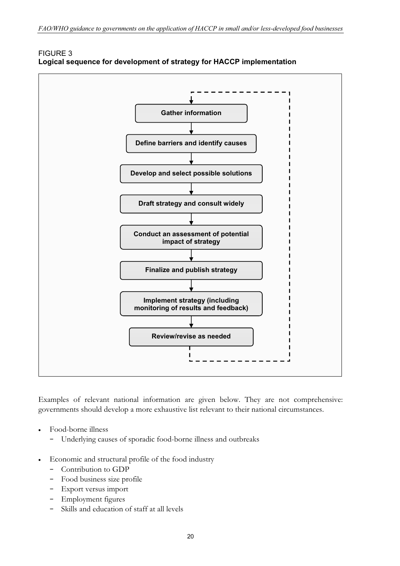

FIGURE 3 **Logical sequence for development of strategy for HACCP implementation** 

Examples of relevant national information are given below. They are not comprehensive: governments should develop a more exhaustive list relevant to their national circumstances.

- <sup>x</sup> Food-borne illness
	- Underlying causes of sporadic food-borne illness and outbreaks
- <sup>x</sup> Economic and structural profile of the food industry
	- Contribution to GDP
	- Food business size profile
	- Export versus import
	- Employment figures
	- Skills and education of staff at all levels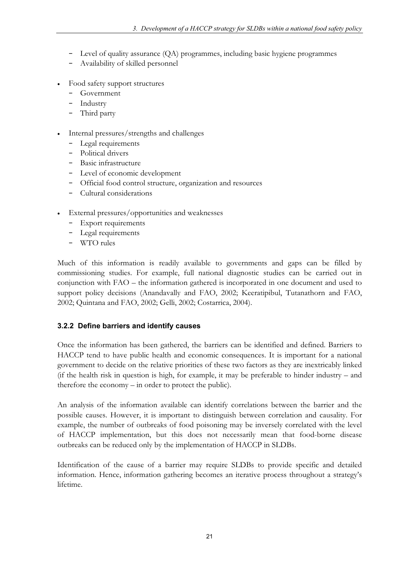- Level of quality assurance (QA) programmes, including basic hygiene programmes
- Availability of skilled personnel
- Food safety support structures
	- $-$  Government
	- Industry
	- Third party
- <sup>x</sup> Internal pressures/strengths and challenges
	- Legal requirements
	- Political drivers
	- Basic infrastructure
	- Level of economic development
	- Official food control structure, organization and resources
	- Cultural considerations
- <sup>x</sup> External pressures/opportunities and weaknesses
	- Export requirements
	- Legal requirements
	- WTO rules

Much of this information is readily available to governments and gaps can be filled by commissioning studies. For example, full national diagnostic studies can be carried out in conjunction with FAO – the information gathered is incorporated in one document and used to support policy decisions (Anandavally and FAO, 2002; Keeratipibul, Tutanathorn and FAO, 2002; Quintana and FAO, 2002; Gelli, 2002; Costarrica, 2004).

## **3.2.2 Define barriers and identify causes**

Once the information has been gathered, the barriers can be identified and defined. Barriers to HACCP tend to have public health and economic consequences. It is important for a national government to decide on the relative priorities of these two factors as they are inextricably linked (if the health risk in question is high, for example, it may be preferable to hinder industry – and therefore the economy – in order to protect the public).

An analysis of the information available can identify correlations between the barrier and the possible causes. However, it is important to distinguish between correlation and causality. For example, the number of outbreaks of food poisoning may be inversely correlated with the level of HACCP implementation, but this does not necessarily mean that food-borne disease outbreaks can be reduced only by the implementation of HACCP in SLDBs.

Identification of the cause of a barrier may require SLDBs to provide specific and detailed information. Hence, information gathering becomes an iterative process throughout a strategy's lifetime.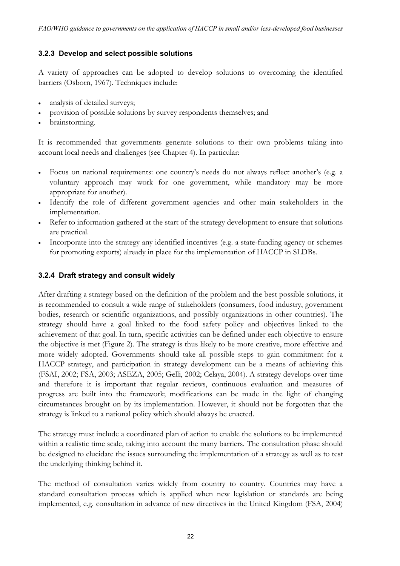## **3.2.3 Develop and select possible solutions**

A variety of approaches can be adopted to develop solutions to overcoming the identified barriers (Osborn, 1967). Techniques include:

- analysis of detailed surveys;
- provision of possible solutions by survey respondents themselves; and
- brainstorming.

It is recommended that governments generate solutions to their own problems taking into account local needs and challenges (see Chapter 4). In particular:

- <sup>x</sup> Focus on national requirements: one country's needs do not always reflect another's (e.g. a voluntary approach may work for one government, while mandatory may be more appropriate for another).
- <sup>x</sup> Identify the role of different government agencies and other main stakeholders in the implementation.
- Refer to information gathered at the start of the strategy development to ensure that solutions are practical.
- <sup>x</sup> Incorporate into the strategy any identified incentives (e.g. a state-funding agency or schemes for promoting exports) already in place for the implementation of HACCP in SLDBs.

## **3.2.4 Draft strategy and consult widely**

After drafting a strategy based on the definition of the problem and the best possible solutions, it is recommended to consult a wide range of stakeholders (consumers, food industry, government bodies, research or scientific organizations, and possibly organizations in other countries). The strategy should have a goal linked to the food safety policy and objectives linked to the achievement of that goal. In turn, specific activities can be defined under each objective to ensure the objective is met (Figure 2). The strategy is thus likely to be more creative, more effective and more widely adopted. Governments should take all possible steps to gain commitment for a HACCP strategy, and participation in strategy development can be a means of achieving this (FSAI, 2002; FSA, 2003; ASEZA, 2005; Gelli, 2002; Celaya, 2004). A strategy develops over time and therefore it is important that regular reviews, continuous evaluation and measures of progress are built into the framework; modifications can be made in the light of changing circumstances brought on by its implementation. However, it should not be forgotten that the strategy is linked to a national policy which should always be enacted.

The strategy must include a coordinated plan of action to enable the solutions to be implemented within a realistic time scale, taking into account the many barriers. The consultation phase should be designed to elucidate the issues surrounding the implementation of a strategy as well as to test the underlying thinking behind it.

The method of consultation varies widely from country to country. Countries may have a standard consultation process which is applied when new legislation or standards are being implemented, e.g. consultation in advance of new directives in the United Kingdom (FSA, 2004)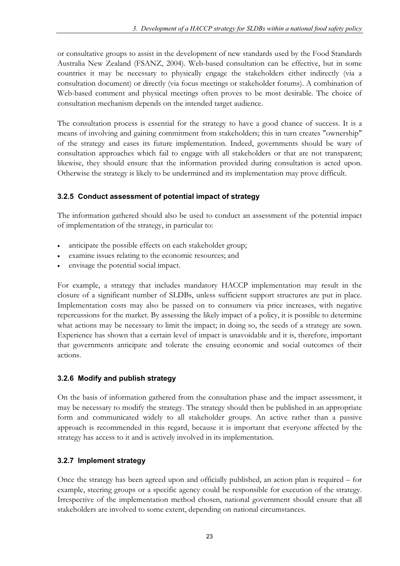or consultative groups to assist in the development of new standards used by the Food Standards Australia New Zealand (FSANZ, 2004). Web-based consultation can be effective, but in some countries it may be necessary to physically engage the stakeholders either indirectly (via a consultation document) or directly (via focus meetings or stakeholder forums). A combination of Web-based comment and physical meetings often proves to be most desirable. The choice of consultation mechanism depends on the intended target audience.

The consultation process is essential for the strategy to have a good chance of success. It is a means of involving and gaining commitment from stakeholders; this in turn creates "ownership" of the strategy and eases its future implementation. Indeed, governments should be wary of consultation approaches which fail to engage with all stakeholders or that are not transparent; likewise, they should ensure that the information provided during consultation is acted upon. Otherwise the strategy is likely to be undermined and its implementation may prove difficult.

## **3.2.5 Conduct assessment of potential impact of strategy**

The information gathered should also be used to conduct an assessment of the potential impact of implementation of the strategy, in particular to:

- anticipate the possible effects on each stakeholder group;
- examine issues relating to the economic resources; and
- envisage the potential social impact.

For example, a strategy that includes mandatory HACCP implementation may result in the closure of a significant number of SLDBs, unless sufficient support structures are put in place. Implementation costs may also be passed on to consumers via price increases, with negative repercussions for the market. By assessing the likely impact of a policy, it is possible to determine what actions may be necessary to limit the impact; in doing so, the seeds of a strategy are sown. Experience has shown that a certain level of impact is unavoidable and it is, therefore, important that governments anticipate and tolerate the ensuing economic and social outcomes of their actions.

## **3.2.6 Modify and publish strategy**

On the basis of information gathered from the consultation phase and the impact assessment, it may be necessary to modify the strategy. The strategy should then be published in an appropriate form and communicated widely to all stakeholder groups. An active rather than a passive approach is recommended in this regard, because it is important that everyone affected by the strategy has access to it and is actively involved in its implementation.

## **3.2.7 Implement strategy**

Once the strategy has been agreed upon and officially published, an action plan is required – for example, steering groups or a specific agency could be responsible for execution of the strategy. Irrespective of the implementation method chosen, national government should ensure that all stakeholders are involved to some extent, depending on national circumstances.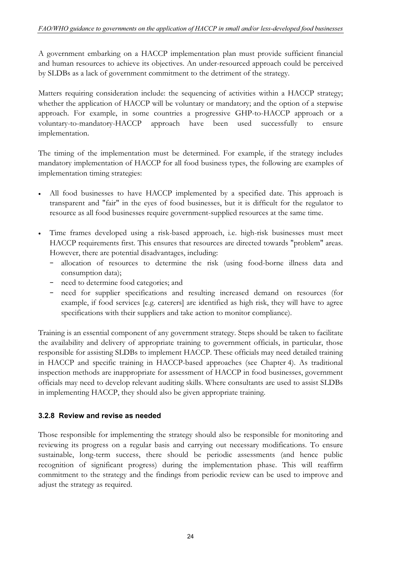A government embarking on a HACCP implementation plan must provide sufficient financial and human resources to achieve its objectives. An under-resourced approach could be perceived by SLDBs as a lack of government commitment to the detriment of the strategy.

Matters requiring consideration include: the sequencing of activities within a HACCP strategy; whether the application of HACCP will be voluntary or mandatory; and the option of a stepwise approach. For example, in some countries a progressive GHP-to-HACCP approach or a voluntary-to-mandatory-HACCP approach have been used successfully to ensure implementation.

The timing of the implementation must be determined. For example, if the strategy includes mandatory implementation of HACCP for all food business types, the following are examples of implementation timing strategies:

- All food businesses to have HACCP implemented by a specified date. This approach is transparent and "fair" in the eyes of food businesses, but it is difficult for the regulator to resource as all food businesses require government-supplied resources at the same time.
- Time frames developed using a risk-based approach, i.e. high-risk businesses must meet HACCP requirements first. This ensures that resources are directed towards "problem" areas. However, there are potential disadvantages, including:
	- allocation of resources to determine the risk (using food-borne illness data and consumption data);
	- need to determine food categories; and
	- need for supplier specifications and resulting increased demand on resources (for example, if food services [e.g. caterers] are identified as high risk, they will have to agree specifications with their suppliers and take action to monitor compliance).

Training is an essential component of any government strategy. Steps should be taken to facilitate the availability and delivery of appropriate training to government officials, in particular, those responsible for assisting SLDBs to implement HACCP. These officials may need detailed training in HACCP and specific training in HACCP-based approaches (see Chapter 4). As traditional inspection methods are inappropriate for assessment of HACCP in food businesses, government officials may need to develop relevant auditing skills. Where consultants are used to assist SLDBs in implementing HACCP, they should also be given appropriate training.

## **3.2.8 Review and revise as needed**

Those responsible for implementing the strategy should also be responsible for monitoring and reviewing its progress on a regular basis and carrying out necessary modifications. To ensure sustainable, long-term success, there should be periodic assessments (and hence public recognition of significant progress) during the implementation phase. This will reaffirm commitment to the strategy and the findings from periodic review can be used to improve and adjust the strategy as required.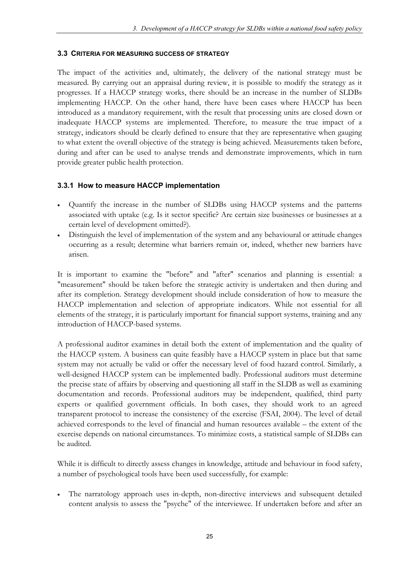#### **3.3 CRITERIA FOR MEASURING SUCCESS OF STRATEGY**

The impact of the activities and, ultimately, the delivery of the national strategy must be measured. By carrying out an appraisal during review, it is possible to modify the strategy as it progresses. If a HACCP strategy works, there should be an increase in the number of SLDBs implementing HACCP. On the other hand, there have been cases where HACCP has been introduced as a mandatory requirement, with the result that processing units are closed down or inadequate HACCP systems are implemented. Therefore, to measure the true impact of a strategy, indicators should be clearly defined to ensure that they are representative when gauging to what extent the overall objective of the strategy is being achieved. Measurements taken before, during and after can be used to analyse trends and demonstrate improvements, which in turn provide greater public health protection.

## **3.3.1 How to measure HACCP implementation**

- <sup>x</sup> Quantify the increase in the number of SLDBs using HACCP systems and the patterns associated with uptake (e.g. Is it sector specific? Are certain size businesses or businesses at a certain level of development omitted?).
- Distinguish the level of implementation of the system and any behavioural or attitude changes occurring as a result; determine what barriers remain or, indeed, whether new barriers have arisen.

It is important to examine the "before" and "after" scenarios and planning is essential: a "measurement" should be taken before the strategic activity is undertaken and then during and after its completion. Strategy development should include consideration of how to measure the HACCP implementation and selection of appropriate indicators. While not essential for all elements of the strategy, it is particularly important for financial support systems, training and any introduction of HACCP-based systems.

A professional auditor examines in detail both the extent of implementation and the quality of the HACCP system. A business can quite feasibly have a HACCP system in place but that same system may not actually be valid or offer the necessary level of food hazard control. Similarly, a well-designed HACCP system can be implemented badly. Professional auditors must determine the precise state of affairs by observing and questioning all staff in the SLDB as well as examining documentation and records. Professional auditors may be independent, qualified, third party experts or qualified government officials. In both cases, they should work to an agreed transparent protocol to increase the consistency of the exercise (FSAI, 2004). The level of detail achieved corresponds to the level of financial and human resources available – the extent of the exercise depends on national circumstances. To minimize costs, a statistical sample of SLDBs can be audited.

While it is difficult to directly assess changes in knowledge, attitude and behaviour in food safety, a number of psychological tools have been used successfully, for example:

The narratology approach uses in-depth, non-directive interviews and subsequent detailed content analysis to assess the "psyche" of the interviewee. If undertaken before and after an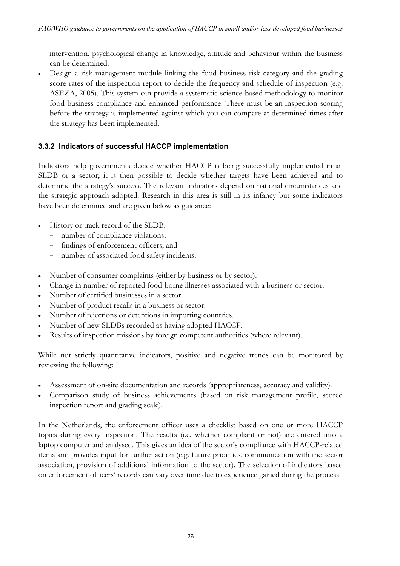intervention, psychological change in knowledge, attitude and behaviour within the business can be determined.

• Design a risk management module linking the food business risk category and the grading score rates of the inspection report to decide the frequency and schedule of inspection (e.g. ASEZA, 2005). This system can provide a systematic science-based methodology to monitor food business compliance and enhanced performance. There must be an inspection scoring before the strategy is implemented against which you can compare at determined times after the strategy has been implemented.

## **3.3.2 Indicators of successful HACCP implementation**

Indicators help governments decide whether HACCP is being successfully implemented in an SLDB or a sector; it is then possible to decide whether targets have been achieved and to determine the strategy's success. The relevant indicators depend on national circumstances and the strategic approach adopted. Research in this area is still in its infancy but some indicators have been determined and are given below as guidance:

- History or track record of the SLDB:
	- number of compliance violations;
	- findings of enforcement officers; and
	- number of associated food safety incidents.
- Number of consumer complaints (either by business or by sector).
- <sup>x</sup> Change in number of reported food-borne illnesses associated with a business or sector.
- Number of certified businesses in a sector.
- Number of product recalls in a business or sector.
- Number of rejections or detentions in importing countries.
- Number of new SLDBs recorded as having adopted HACCP.
- Results of inspection missions by foreign competent authorities (where relevant).

While not strictly quantitative indicators, positive and negative trends can be monitored by reviewing the following:

- <sup>x</sup> Assessment of on-site documentation and records (appropriateness, accuracy and validity).
- <sup>x</sup> Comparison study of business achievements (based on risk management profile, scored inspection report and grading scale).

In the Netherlands, the enforcement officer uses a checklist based on one or more HACCP topics during every inspection. The results (i.e. whether compliant or not) are entered into a laptop computer and analysed. This gives an idea of the sector's compliance with HACCP-related items and provides input for further action (e.g. future priorities, communication with the sector association, provision of additional information to the sector). The selection of indicators based on enforcement officers' records can vary over time due to experience gained during the process.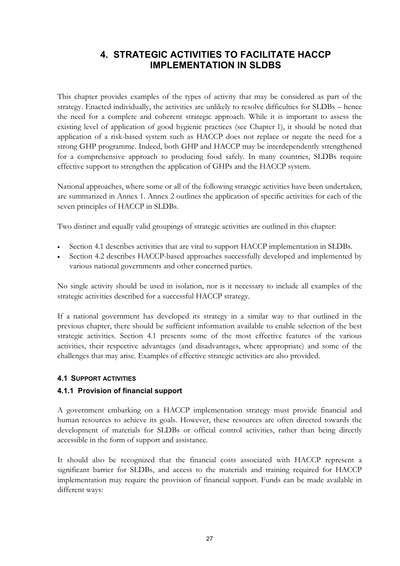# **4. STRATEGIC ACTIVITIES TO FACILITATE HACCP IMPLEMENTATION IN SLDBS**

This chapter provides examples of the types of activity that may be considered as part of the strategy. Enacted individually, the activities are unlikely to resolve difficulties for SLDBs – hence the need for a complete and coherent strategic approach. While it is important to assess the existing level of application of good hygienic practices (see Chapter 1), it should be noted that application of a risk-based system such as HACCP does not replace or negate the need for a strong GHP programme. Indeed, both GHP and HACCP may be interdependently strengthened for a comprehensive approach to producing food safely. In many countries, SLDBs require effective support to strengthen the application of GHPs and the HACCP system.

National approaches, where some or all of the following strategic activities have been undertaken, are summarized in Annex 1. Annex 2 outlines the application of specific activities for each of the seven principles of HACCP in SLDBs.

Two distinct and equally valid groupings of strategic activities are outlined in this chapter:

- Section 4.1 describes activities that are vital to support HACCP implementation in SLDBs.
- Section 4.2 describes HACCP-based approaches successfully developed and implemented by various national governments and other concerned parties.

No single activity should be used in isolation, nor is it necessary to include all examples of the strategic activities described for a successful HACCP strategy.

If a national government has developed its strategy in a similar way to that outlined in the previous chapter, there should be sufficient information available to enable selection of the best strategic activities. Section 4.1 presents some of the most effective features of the various activities, their respective advantages (and disadvantages, where appropriate) and some of the challenges that may arise. Examples of effective strategic activities are also provided.

#### **4.1 SUPPORT ACTIVITIES**

#### **4.1.1 Provision of financial support**

A government embarking on a HACCP implementation strategy must provide financial and human resources to achieve its goals. However, these resources are often directed towards the development of materials for SLDBs or official control activities, rather than being directly accessible in the form of support and assistance.

It should also be recognized that the financial costs associated with HACCP represent a significant barrier for SLDBs, and access to the materials and training required for HACCP implementation may require the provision of financial support. Funds can be made available in different ways: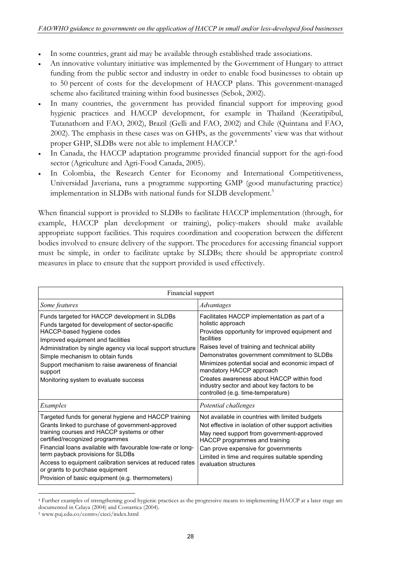- In some countries, grant aid may be available through established trade associations.
- An innovative voluntary initiative was implemented by the Government of Hungary to attract funding from the public sector and industry in order to enable food businesses to obtain up to 50 percent of costs for the development of HACCP plans. This government-managed scheme also facilitated training within food businesses (Sebok, 2002).
- In many countries, the government has provided financial support for improving good hygienic practices and HACCP development, for example in Thailand (Keeratipibul, Tutanathorn and FAO, 2002), Brazil (Gelli and FAO, 2002) and Chile (Quintana and FAO, 2002). The emphasis in these cases was on GHPs, as the governments' view was that without proper GHP, SLDBs were not able to implement HACCP.<sup>4</sup>
- <sup>x</sup> In Canada, the HACCP adaptation programme provided financial support for the agri-food sector (Agriculture and Agri-Food Canada, 2005).
- In Colombia, the Research Center for Economy and International Competitiveness, Universidad Javeriana, runs a programme supporting GMP (good manufacturing practice) implementation in SLDBs with national funds for SLDB development.<sup>5</sup>

When financial support is provided to SLDBs to facilitate HACCP implementation (through, for example, HACCP plan development or training), policy-makers should make available appropriate support facilities. This requires coordination and cooperation between the different bodies involved to ensure delivery of the support. The procedures for accessing financial support must be simple, in order to facilitate uptake by SLDBs; there should be appropriate control measures in place to ensure that the support provided is used effectively.

| Financial support                                                                                                                                                                                                                                                                                                                                                                                                                                   |                                                                                                                                                                                                                                                                                                                                                                                                                                                         |  |
|-----------------------------------------------------------------------------------------------------------------------------------------------------------------------------------------------------------------------------------------------------------------------------------------------------------------------------------------------------------------------------------------------------------------------------------------------------|---------------------------------------------------------------------------------------------------------------------------------------------------------------------------------------------------------------------------------------------------------------------------------------------------------------------------------------------------------------------------------------------------------------------------------------------------------|--|
| Some features                                                                                                                                                                                                                                                                                                                                                                                                                                       | Advantages                                                                                                                                                                                                                                                                                                                                                                                                                                              |  |
| Funds targeted for HACCP development in SLDBs<br>Funds targeted for development of sector-specific<br>HACCP-based hygiene codes<br>Improved equipment and facilities<br>Administration by single agency via local support structure<br>Simple mechanism to obtain funds<br>Support mechanism to raise awareness of financial<br>support<br>Monitoring system to evaluate success                                                                    | Facilitates HACCP implementation as part of a<br>holistic approach<br>Provides opportunity for improved equipment and<br>facilities<br>Raises level of training and technical ability<br>Demonstrates government commitment to SLDBs<br>Minimizes potential social and economic impact of<br>mandatory HACCP approach<br>Creates awareness about HACCP within food<br>industry sector and about key factors to be<br>controlled (e.g. time-temperature) |  |
| Examples                                                                                                                                                                                                                                                                                                                                                                                                                                            | Potential challenges                                                                                                                                                                                                                                                                                                                                                                                                                                    |  |
| Targeted funds for general hygiene and HACCP training<br>Grants linked to purchase of government-approved<br>training courses and HACCP systems or other<br>certified/recognized programmes<br>Financial loans available with favourable low-rate or long-<br>term payback provisions for SLDBs<br>Access to equipment calibration services at reduced rates<br>or grants to purchase equipment<br>Provision of basic equipment (e.g. thermometers) | Not available in countries with limited budgets<br>Not effective in isolation of other support activities<br>May need support from government-approved<br>HACCP programmes and training<br>Can prove expensive for governments<br>Limited in time and requires suitable spending<br>evaluation structures                                                                                                                                               |  |

<sup>4</sup> Further examples of strengthening good hygienic practices as the progressive means to implementing HACCP at a later stage are documented in Celaya (2004) and Costarrica (2004).

<sup>5</sup> www.puj.edu.co/centro/cieci/index.html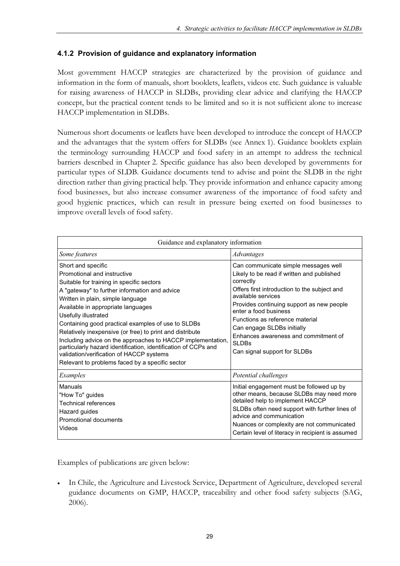## **4.1.2 Provision of guidance and explanatory information**

Most government HACCP strategies are characterized by the provision of guidance and information in the form of manuals, short booklets, leaflets, videos etc. Such guidance is valuable for raising awareness of HACCP in SLDBs, providing clear advice and clarifying the HACCP concept, but the practical content tends to be limited and so it is not sufficient alone to increase HACCP implementation in SLDBs.

Numerous short documents or leaflets have been developed to introduce the concept of HACCP and the advantages that the system offers for SLDBs (see Annex 1). Guidance booklets explain the terminology surrounding HACCP and food safety in an attempt to address the technical barriers described in Chapter 2. Specific guidance has also been developed by governments for particular types of SLDB. Guidance documents tend to advise and point the SLDB in the right direction rather than giving practical help. They provide information and enhance capacity among food businesses, but also increase consumer awareness of the importance of food safety and good hygienic practices, which can result in pressure being exerted on food businesses to improve overall levels of food safety.

| Guidance and explanatory information                                                                                                                                                                                                                                                                                                                                                                                                                                                                                                                                                                 |                                                                                                                                                                                                                                                                                                                                                                                                      |
|------------------------------------------------------------------------------------------------------------------------------------------------------------------------------------------------------------------------------------------------------------------------------------------------------------------------------------------------------------------------------------------------------------------------------------------------------------------------------------------------------------------------------------------------------------------------------------------------------|------------------------------------------------------------------------------------------------------------------------------------------------------------------------------------------------------------------------------------------------------------------------------------------------------------------------------------------------------------------------------------------------------|
| Some features                                                                                                                                                                                                                                                                                                                                                                                                                                                                                                                                                                                        | Advantages                                                                                                                                                                                                                                                                                                                                                                                           |
| Short and specific<br>Promotional and instructive<br>Suitable for training in specific sectors<br>A "gateway" to further information and advice<br>Written in plain, simple language<br>Available in appropriate languages<br>Usefully illustrated<br>Containing good practical examples of use to SLDBs<br>Relatively inexpensive (or free) to print and distribute<br>Including advice on the approaches to HACCP implementation,<br>particularly hazard identification, identification of CCPs and<br>validation/verification of HACCP systems<br>Relevant to problems faced by a specific sector | Can communicate simple messages well<br>Likely to be read if written and published<br>correctly<br>Offers first introduction to the subject and<br>available services<br>Provides continuing support as new people<br>enter a food business<br>Functions as reference material<br>Can engage SLDBs initially<br>Enhances awareness and commitment of<br><b>SLDBs</b><br>Can signal support for SLDBs |
| Examples                                                                                                                                                                                                                                                                                                                                                                                                                                                                                                                                                                                             | Potential challenges                                                                                                                                                                                                                                                                                                                                                                                 |
| Manuals<br>"How To" guides<br>Technical references<br>Hazard guides<br>Promotional documents<br>Videos                                                                                                                                                                                                                                                                                                                                                                                                                                                                                               | Initial engagement must be followed up by<br>other means, because SLDBs may need more<br>detailed help to implement HACCP<br>SLDBs often need support with further lines of<br>advice and communication<br>Nuances or complexity are not communicated<br>Certain level of literacy in recipient is assumed                                                                                           |

xamples of publications are given below: E

In Chile, the Agriculture and Livestock Service, Department of Agriculture, developed several guidance documents on GMP, HACCP, traceability and other food safety subjects (SAG, 2006).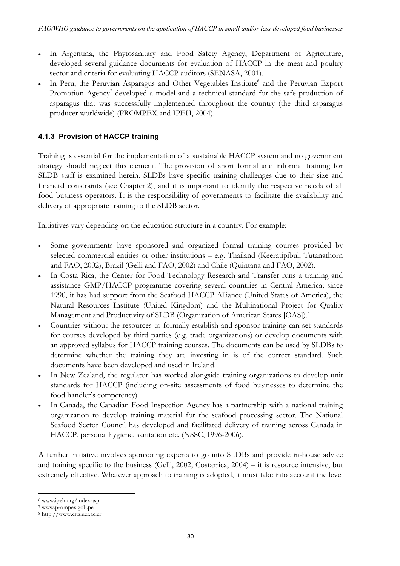- <sup>x</sup> In Argentina, the Phytosanitary and Food Safety Agency, Department of Agriculture, developed several guidance documents for evaluation of HACCP in the meat and poultry sector and criteria for evaluating HACCP auditors (SENASA, 2001).
- asparagus that was successfully implemented throughout the country (the third asparagus • In Peru, the Peruvian Asparagus and Other Vegetables Institute<sup>6</sup> and the Peruvian Export Promotion Agency<sup>7</sup> developed a model and a technical standard for the safe production of producer worldwide) (PROMPEX and IPEH, 2004).

## **4.1 .3 Provision of HACCP training**

Training is essential for the implementation of a sustainable HACCP system and no government strategy should neglect this element. The provision of short formal and informal training for SLDB staff is examined herein. SLDBs have specific training challenges due to their size and financial constraints (see Chapter 2), and it is important to identify the respective needs of all food business operators. It is the responsibility of governments to facilitate the availability and delivery of appropriate training to the SLDB sector.

Initiatives vary depending on the education structure in a country. For example:

- Some governments have sponsored and organized formal training courses provided by selected commercial entities or other institutions - e.g. Thailand (Keeratipibul, Tutanathorn and FAO, 2002), Brazil (Gelli and FAO, 2002) and Chile (Quintana and FAO, 2002).  $\bullet$
- 1990, it has had support from the Seafood HACCP Alliance (United States of America), the <sup>x</sup> In Costa Rica, the Center for Food Technology Research and Transfer runs a training and assistance GMP/HACCP programme covering several countries in Central America; since Natural Resources Institute (United Kingdom) and the Multinational Project for Quality Management and Productivity of SLDB (Organization of American States [OAS]).<sup>8</sup>
- Countries without the resources to formally establish and sponsor training can set standards an approved syllabus for HACCP training courses. The documents can be used by SLDBs to for courses developed by third parties (e.g. trade organizations) or develop documents with determine whether the training they are investing in is of the correct standard. Such documents have been developed and used in Ireland.
- $\bullet$ In New Zealand, the regulator has worked alongside training organizations to develop unit standards for HACCP (including on-site assessments of food businesses to determine the food handler's competency).
- Seafood Sector Council has developed and facilitated delivery of training across Canada in In Canada, the Canadian Food Inspection Agency has a partnership with a national training organization to develop training material for the seafood processing sector. The National HACCP, personal hygiene, sanitation etc. (NSSC, 1996-2006).

A f urther initiative involves sponsoring experts to go into SLDBs and provide in-house advice and training specific to the business (Gelli, 2002; Costarrica, 2004) – it is resource intensive, but extremely effective. Whatever approach to training is adopted, it must take into account the level

<sup>6</sup> www.ipeh.org/index.asp

<sup>7</sup> www.prompex.gob.pe

<sup>8</sup> http://www.cita.ucr.ac.cr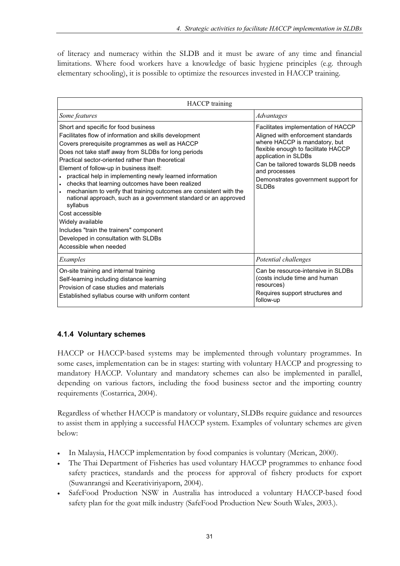of literacy and numeracy within the SLDB and it must be aware of any time and financial limitations. Where food workers have a knowledge of basic hygiene principles (e.g. through elementary schooling), it is possible to optimize the resources invested in HACCP training.

| <b>HACCP</b> training                                                                                                                                                                                                                                                                                                                                                                                                                                                                                                                                                                                                                                                                                                               |                                                                                                                                                                                                                                                                                         |  |
|-------------------------------------------------------------------------------------------------------------------------------------------------------------------------------------------------------------------------------------------------------------------------------------------------------------------------------------------------------------------------------------------------------------------------------------------------------------------------------------------------------------------------------------------------------------------------------------------------------------------------------------------------------------------------------------------------------------------------------------|-----------------------------------------------------------------------------------------------------------------------------------------------------------------------------------------------------------------------------------------------------------------------------------------|--|
| Some features                                                                                                                                                                                                                                                                                                                                                                                                                                                                                                                                                                                                                                                                                                                       | Advantages                                                                                                                                                                                                                                                                              |  |
| Short and specific for food business<br>Facilitates flow of information and skills development<br>Covers prerequisite programmes as well as HACCP<br>Does not take staff away from SLDBs for long periods<br>Practical sector-oriented rather than theoretical<br>Element of follow-up in business itself:<br>practical help in implementing newly learned information<br>checks that learning outcomes have been realized<br>mechanism to verify that training outcomes are consistent with the<br>national approach, such as a government standard or an approved<br>syllabus<br>Cost accessible<br>Widely available<br>Includes "train the trainers" component<br>Developed in consultation with SLDBs<br>Accessible when needed | Facilitates implementation of HACCP<br>Aligned with enforcement standards<br>where HACCP is mandatory, but<br>flexible enough to facilitate HACCP<br>application in SLDBs<br>Can be tailored towards SLDB needs<br>and processes<br>Demonstrates government support for<br><b>SLDBs</b> |  |
| Examples                                                                                                                                                                                                                                                                                                                                                                                                                                                                                                                                                                                                                                                                                                                            | Potential challenges                                                                                                                                                                                                                                                                    |  |
| On-site training and internal training<br>Self-learning including distance learning<br>Provision of case studies and materials<br>Established syllabus course with uniform content                                                                                                                                                                                                                                                                                                                                                                                                                                                                                                                                                  | Can be resource-intensive in SLDBs<br>(costs include time and human<br>resources)<br>Requires support structures and<br>follow-up                                                                                                                                                       |  |

# **4.1.4 Voluntary schemes**

ACCP or HACCP-based systems may be implemented through voluntary programmes. In H some cases, implementation can be in stages: starting with voluntary HACCP and progressing to mandatory HACCP. Voluntary and mandatory schemes can also be implemented in parallel, depending on various factors, including the food business sector and the importing country requirements (Costarrica, 2004).

to assist them in applying a successful HACCP system. Examples of voluntary schemes are given below: Regardless of whether HACCP is mandatory or voluntary, SLDBs require guidance and resources

- In Malaysia, HACCP implementation by food companies is voluntary (Merican, 2000).
- The Thai Department of Fisheries has used voluntary HACCP programmes to enhance food safety practices, standards and the process for approval of fishery products for export (Suwanrangsi and Keerativiriyaporn, 2004).
- SafeFood Production NSW in Australia has introduced a voluntary HACCP-based food safety plan for the goat milk industry (SafeFood Production New South Wales, 2003.).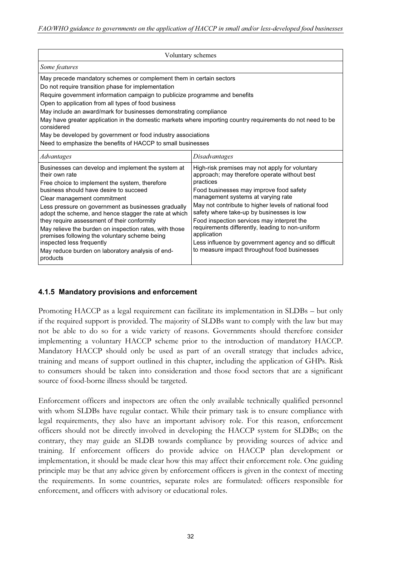| Voluntary schemes                                                                                                                                                                                                                                                                                                                                                                                                                                                                                                                                                                                |                                                                                                                                                                                                                                                                                                                                                                                                                                                                                                                            |  |
|--------------------------------------------------------------------------------------------------------------------------------------------------------------------------------------------------------------------------------------------------------------------------------------------------------------------------------------------------------------------------------------------------------------------------------------------------------------------------------------------------------------------------------------------------------------------------------------------------|----------------------------------------------------------------------------------------------------------------------------------------------------------------------------------------------------------------------------------------------------------------------------------------------------------------------------------------------------------------------------------------------------------------------------------------------------------------------------------------------------------------------------|--|
| Some features                                                                                                                                                                                                                                                                                                                                                                                                                                                                                                                                                                                    |                                                                                                                                                                                                                                                                                                                                                                                                                                                                                                                            |  |
| May precede mandatory schemes or complement them in certain sectors<br>Do not require transition phase for implementation<br>Require government information campaign to publicize programme and benefits<br>Open to application from all types of food business<br>May include an award/mark for businesses demonstrating compliance<br>May have greater application in the domestic markets where importing country requirements do not need to be<br>considered<br>May be developed by government or food industry associations<br>Need to emphasize the benefits of HACCP to small businesses |                                                                                                                                                                                                                                                                                                                                                                                                                                                                                                                            |  |
| Advantages                                                                                                                                                                                                                                                                                                                                                                                                                                                                                                                                                                                       | Disadvantages                                                                                                                                                                                                                                                                                                                                                                                                                                                                                                              |  |
| Businesses can develop and implement the system at<br>their own rate<br>Free choice to implement the system, therefore<br>business should have desire to succeed<br>Clear management commitment<br>Less pressure on government as businesses gradually<br>adopt the scheme, and hence stagger the rate at which<br>they require assessment of their conformity<br>May relieve the burden on inspection rates, with those<br>premises following the voluntary scheme being<br>inspected less frequently<br>May reduce burden on laboratory analysis of end-<br>products                           | High-risk premises may not apply for voluntary<br>approach; may therefore operate without best<br>practices<br>Food businesses may improve food safety<br>management systems at varying rate<br>May not contribute to higher levels of national food<br>safety where take-up by businesses is low<br>Food inspection services may interpret the<br>requirements differently, leading to non-uniform<br>application<br>Less influence by government agency and so difficult<br>to measure impact throughout food businesses |  |

### **4.1.5 Mandatory provisions and enforcemen t**

Promoting HACCP as a legal requirement can facilitate its implementation in SLDBs - but only if the required support is provided. The majority of SLDBs want to comply with the law but may not be able to do so for a wide variety of reasons. Governments should therefore consider implementing a voluntary HACCP scheme prior to the introduction of mandatory HACCP. Mandatory HACCP should only be used as part of an overall strategy that includes advice, training and means of support outlined in this chapter, including the application of GHPs. Risk to consumers should be taken into consideration and those food sectors that are a significant source of food-borne illness should be targeted.

contrary, they may guide an SLDB towards compliance by providing sources of advice and training. If enforcement officers do provide advice on HACCP plan development or Enforcement officers and inspectors are often the only available technically qualified personnel with whom SLDBs have regular contact. While their primary task is to ensure compliance with legal requirements, they also have an important advisory role. For this reason, enforcement officers should not be directly involved in developing the HACCP system for SLDBs; on the implementation, it should be made clear how this may affect their enforcement role. One guiding principle may be that any advice given by enforcement officers is given in the context of meeting the requirements. In some countries, separate roles are formulated: officers responsible for enforcement, and officers with advisory or educational roles.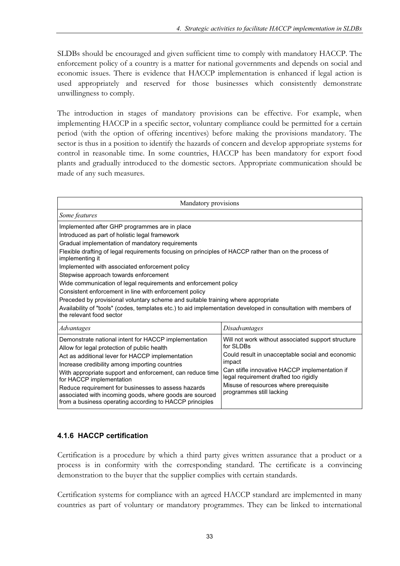SLDBs should be encouraged and given sufficient time to comply with mandatory HACCP. The enforcement policy of a country is a matter for national governments and depends on social and economic issues. There is evidence that HACCP implementation is enhanced if legal action is used appropriately and reserved for those businesses which consistently demonstrate nwillingness to comply. u

sector is thus in a position to identify the hazards of concern and develop appropriate systems for control in reasonable time. In some countries, HACCP has been mandatory for export food The introduction in stages of mandatory provisions can be effective. For example, when implementing HACCP in a specific sector, voluntary compliance could be permitted for a certain period (with the option of offering incentives) before making the provisions mandatory. The plants and gradually introduced to the domestic sectors. Appropriate communication should be made of any such measures.

| Mandatory provisions                                                                                                                                                                                                                                                                                                                                                                                                                                                                                                                                                                                                                                                                                                                       |                                                                                                                                                                                                                                                                                               |  |
|--------------------------------------------------------------------------------------------------------------------------------------------------------------------------------------------------------------------------------------------------------------------------------------------------------------------------------------------------------------------------------------------------------------------------------------------------------------------------------------------------------------------------------------------------------------------------------------------------------------------------------------------------------------------------------------------------------------------------------------------|-----------------------------------------------------------------------------------------------------------------------------------------------------------------------------------------------------------------------------------------------------------------------------------------------|--|
| Some features                                                                                                                                                                                                                                                                                                                                                                                                                                                                                                                                                                                                                                                                                                                              |                                                                                                                                                                                                                                                                                               |  |
| Implemented after GHP programmes are in place<br>Introduced as part of holistic legal framework<br>Gradual implementation of mandatory requirements<br>Flexible drafting of legal requirements focusing on principles of HACCP rather than on the process of<br>implementing it<br>Implemented with associated enforcement policy<br>Stepwise approach towards enforcement<br>Wide communication of legal requirements and enforcement policy<br>Consistent enforcement in line with enforcement policy<br>Preceded by provisional voluntary scheme and suitable training where appropriate<br>Availability of "tools" (codes, templates etc.) to aid implementation developed in consultation with members of<br>the relevant food sector |                                                                                                                                                                                                                                                                                               |  |
| Advantages                                                                                                                                                                                                                                                                                                                                                                                                                                                                                                                                                                                                                                                                                                                                 | Disadvantages                                                                                                                                                                                                                                                                                 |  |
| Demonstrate national intent for HACCP implementation<br>Allow for legal protection of public health<br>Act as additional lever for HACCP implementation<br>Increase credibility among importing countries<br>With appropriate support and enforcement, can reduce time<br>for HACCP implementation<br>Reduce requirement for businesses to assess hazards<br>associated with incoming goods, where goods are sourced<br>from a business operating according to HACCP principles                                                                                                                                                                                                                                                            | Will not work without associated support structure<br>for SLDBs<br>Could result in unacceptable social and economic<br>impact<br>Can stifle innovative HACCP implementation if<br>legal requirement drafted too rigidly<br>Misuse of resources where prerequisite<br>programmes still lacking |  |

# **4.1.6 HACCP certification**

Certification is a procedure by which a third party gives written assurance that a product or a process is in conformity with the corresponding standard. The certificate is a convincing demonstration to the buyer that the supplier complies with certain standards.

Certification systems for compliance with an agreed HACCP standard are implemented in many countries as part of voluntary or mandatory programmes. They can be linked to international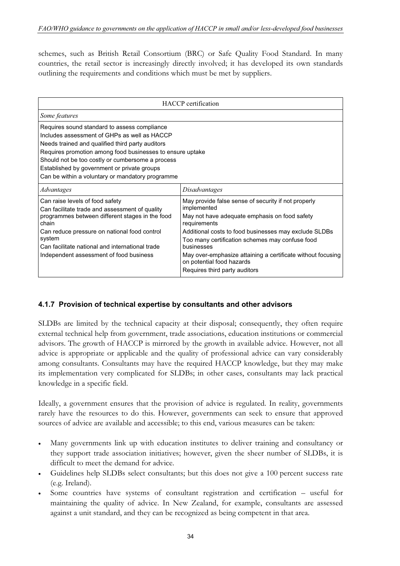schemes, such as British Retail Consortium (BRC) or Safe Quality Food Standard. In many countries, the retail sector is increasingly directly involved; it has developed its own standards outlining the requirements and conditions which must be met by suppliers.

| <b>HACCP</b> certification                                                                                                                                                                                                                                                                                                                                           |                                                                                                                                                                                                                                                                                                                                                                                            |  |
|----------------------------------------------------------------------------------------------------------------------------------------------------------------------------------------------------------------------------------------------------------------------------------------------------------------------------------------------------------------------|--------------------------------------------------------------------------------------------------------------------------------------------------------------------------------------------------------------------------------------------------------------------------------------------------------------------------------------------------------------------------------------------|--|
| Some features                                                                                                                                                                                                                                                                                                                                                        |                                                                                                                                                                                                                                                                                                                                                                                            |  |
| Requires sound standard to assess compliance<br>Includes assessment of GHPs as well as HACCP<br>Needs trained and qualified third party auditors<br>Requires promotion among food businesses to ensure uptake<br>Should not be too costly or cumbersome a process<br>Established by government or private groups<br>Can be within a voluntary or mandatory programme |                                                                                                                                                                                                                                                                                                                                                                                            |  |
| Advantages                                                                                                                                                                                                                                                                                                                                                           | Disadvantages                                                                                                                                                                                                                                                                                                                                                                              |  |
| Can raise levels of food safety<br>Can facilitate trade and assessment of quality<br>programmes between different stages in the food<br>chain<br>Can reduce pressure on national food control<br>system<br>Can facilitate national and international trade<br>Independent assessment of food business                                                                | May provide false sense of security if not properly<br>implemented<br>May not have adequate emphasis on food safety<br>requirements<br>Additional costs to food businesses may exclude SLDBs<br>Too many certification schemes may confuse food<br>businesses<br>May over-emphasize attaining a certificate without focusing<br>on potential food hazards<br>Requires third party auditors |  |

### **4.1.7 Provision of technical expertise by consultants and other advisors**

SLDBs are limited by the technical capacity at their disposal; consequently, they often require external technical help from government, trade associations, education institutions or commercial dvisors. The growth of HACCP is mirrored by the growth in available advice. However, not all a dvice is appropriate or applicable and the quality of professional advice can vary considerably a among consultants. Consultants may have the required HACCP knowledge, but they may make its implementation very complicated for SLDBs; in other cases, consultants may lack practical knowledge in a specific field.

Ideally, a government ensures that the provision of advice is regulated. In reality, governments rarely have the resources to do this. However, governments can seek to ensure that approved sources of advice are available and accessible; to this end, various measures can be taken:

- Many governments link up with education institutes to deliver training and consultancy or they support trade association initiatives; however, given the sheer number of SLDBs, it is difficult to meet the demand for advice.
- <sup>x</sup> Guidelines help SLDBs select consultants; but this does not give a 100 percent success rate (e.g. Ireland).
- Some countries have systems of consultant registration and certification useful for maintaining the quality of advice. In New Zealand, for example, consultants are assessed against a unit standard, and they can be recognized as being competent in that area.  $\bullet$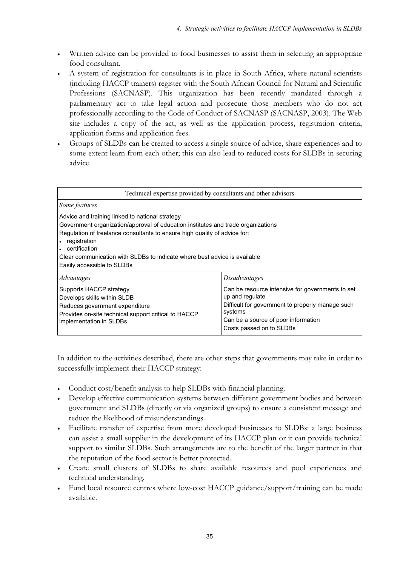- Written advice can be provided to food businesses to assist them in selecting an appropriate food consultant.
- <sup>x</sup> A system of registration for consultants is in place in South Africa, where natural scientists Professions (SACNASP). This organization has been recently mandated through a site includes a copy of the act, as well as the application process, registration criteria, (including HACCP trainers) register with the South African Council for Natural and Scientific parliamentary act to take legal action and prosecute those members who do not act professionally according to the Code of Conduct of SACNASP (SACNASP, 2003). The Web application forms and application fees.
- Groups of SLDBs can be created to access a single source of advice, share experiences and to some extent learn from each other; this can also lead to reduced costs for SLDBs in securing advice.

| Technical expertise provided by consultants and other advisors                                                                                                                                                                                                                                                                                               |                                                                                                                                                                                                       |  |
|--------------------------------------------------------------------------------------------------------------------------------------------------------------------------------------------------------------------------------------------------------------------------------------------------------------------------------------------------------------|-------------------------------------------------------------------------------------------------------------------------------------------------------------------------------------------------------|--|
| Some features                                                                                                                                                                                                                                                                                                                                                |                                                                                                                                                                                                       |  |
| Advice and training linked to national strategy<br>Government organization/approval of education institutes and trade organizations<br>Regulation of freelance consultants to ensure high quality of advice for:<br>registration<br>certification<br>Clear communication with SLDBs to indicate where best advice is available<br>Easily accessible to SLDBs |                                                                                                                                                                                                       |  |
| Advantages                                                                                                                                                                                                                                                                                                                                                   | <i>Disadvantages</i>                                                                                                                                                                                  |  |
| Supports HACCP strategy<br>Develops skills within SLDB<br>Reduces government expenditure<br>Provides on-site technical support critical to HACCP<br>implementation in SLDBs                                                                                                                                                                                  | Can be resource intensive for governments to set<br>up and regulate<br>Difficult for government to properly manage such<br>systems<br>Can be a source of poor information<br>Costs passed on to SLDBs |  |

In addition to the activities described, there are other steps that governments may take in order to successfully implement their HACCP strategy:

- Conduct cost/benefit analysis to help SLDBs with financial planning.
- Develop effective communication systems between different government bodies and between government and SLDBs (directly or via organized groups) to ensure a consistent message and reduce the likelihood of misunderstandings.
- Facilitate transfer of expertise from more developed businesses to SLDBs: a large business support to similar SLDBs. Such arrangements are to the benefit of the larger partner in that the reputation of the food sector is better protected.  $\bullet$ can assist a small supplier in the development of its HACCP plan or it can provide technical
- Create small clusters of SLDBs to share available resources and pool experiences and technical understanding.
- $\bullet$ Fund local resource centres where low-cost HACCP guidance/support/training can be made available.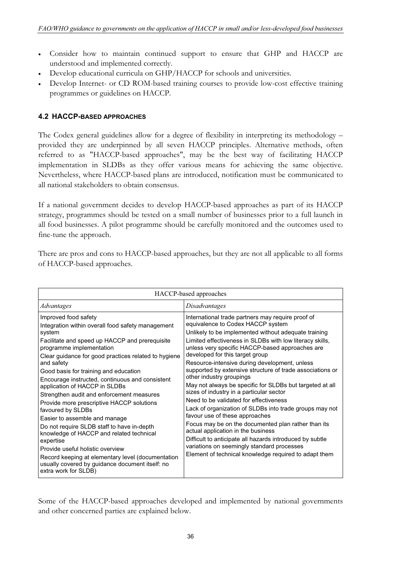- <sup>x</sup> Consider how to maintain continued support to ensure that GHP and HACCP are understood and implemented correctly.
- Develop educational curricula on GHP/HACCP for schools and universities. x
- Develop Internet- or CD ROM-based training courses to provide low-cost effective training programmes or guidelines on HACCP.

### **2 4. HACCP-BASED APPROACHES**

provided they are underpinned by all seven HACCP principles. Alternative methods, often referred to as "HACCP-based approaches", may be the best way of facilitating HACCP Nevertheless, where HACCP-based plans are introduced, notification must be communicated to all national stakeholders to obtain consensus. The Codex general guidelines allow for a degree of flexibility in interpreting its methodology – implementation in SLDBs as they offer various means for achieving the same objective.

If a national government decides to develop HACCP-based approaches as part of its HACCP strategy, programmes should be tested on a small number of businesses prior to a full launch in all food businesses. A pilot programme should be carefully monitored and the outcomes used to fine-tune the approach.

There are pros and cons to HACCP-based approaches, but they are not all applicable to all forms of HACCP-based approaches.

Some of the HACCP-based approaches developed and implemented by national governments and other concerned parties are explained below.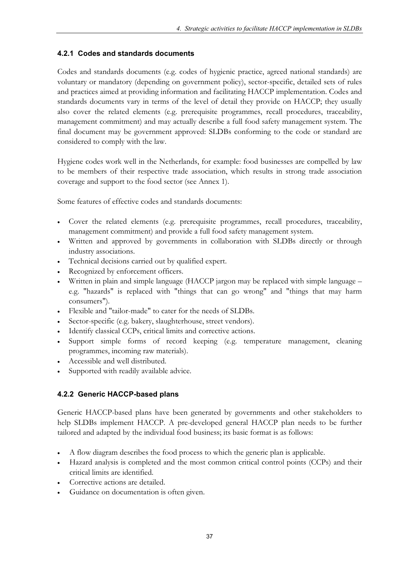## **4.2.1 Codes and standards docu ments**

Codes and standards documents (e.g. codes of hygienic practice, agreed national standards) are voluntary or mandatory (depending on government policy), sector-specific, detailed sets of rules and practices aimed at providing information and facilitating HACCP implementation. Codes and standards documents vary in terms of the level of detail they provide on HACCP; they usually also cover the related elements (e.g. prerequisite programmes, recall procedures, traceability, management commitment) and may actually describe a full food safety management system. The final document may be government approved: SLDBs conforming to the code or standard are considered to comply with the law.

Hygiene codes work well in the Netherlands, for example: food businesses are compelled by law to be members of their respective trade association, which results in strong trade association coverage and support to the food sector (see Annex 1).

Some features of effective codes and standards documents:

- Cover the related elements (e.g. prerequisite programmes, recall procedures, traceability, management commitment) and provide a full food safety management system.
- Written and approved by governments in collaboration with SLDBs directly or through x industry associations.
- <sup>x</sup> Technical decisions carried out by qualified expert.
- Recognized by enforcement officers.
- Written in plain and simple language (HACCP jargon may be replaced with simple language e.g. "hazards" is replaced with "things that can go wrong" and "things that may harm consumers").
- Flexible and "tailor-made" to cater for the needs of SLDBs.
- Sector-specific (e.g. bakery, slaughterhouse, street vendors).
- Identify classical CCPs, critical limits and corrective actions.
- Support simple forms of record keeping (e.g. temperature management, cleaning programmes, incoming raw materials).
- Accessible and well distributed.
- Supported with readily available advice.

## **4.2.2 Generic HACCP-based plans**

Generic HACCP-based plans have been generated by governments and other stakeholders to help SLDBs implement HACCP. A pre-developed general HACCP plan needs to be further tailored and adapted by the individual food business; its basic format is as follows:

- <sup>x</sup> A flow diagram describes the food process to which the generic plan is applicable.
- Hazard analysis is completed and the most common critical control points (CCPs) and their critical limits are identified.
- Corrective actions are detailed.
- Guidance on documentation is often given.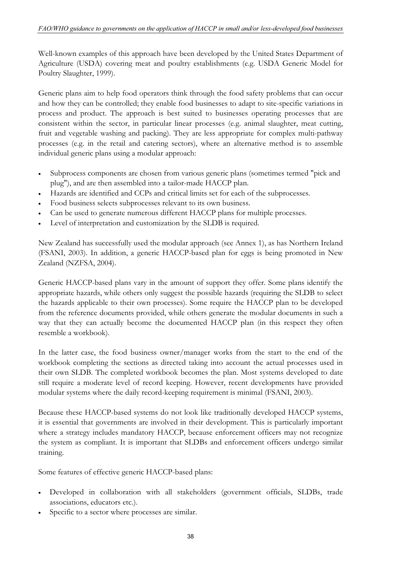Well-known examples of this approach have been developed by the United States Department of Agriculture (USDA) covering meat and poultry establishments (e.g. USDA Generic Model for Poultry Slaughter, 1999).

Generic plans aim to help food operators think through the food safety problems that can occur and how they can be controlled; they enable food businesses to adapt to site-specific variations in consistent within the sector, in particular linear processes (e.g. animal slaughter, meat cutting, fruit and vegetable washing and packing). They are less appropriate for complex multi-pathway processes (e.g. in the retail and catering sectors), where an alternative method is to assemble individual generic plans using a modular approach: process and product. The approach is best suited to businesses operating processes that are

- · Subprocess components are chosen from various generic plans (sometimes termed "pick and plug"), and are then assembled into a tailor-made HACCP plan.
- <sup>x</sup> Hazards are identified and CCPs and critical limits set for each of the subprocesses.
- Food business selects subprocesses relevant to its own business.
- Can be used to generate numerous different HACCP plans for multiple processes. x
- <sup>x</sup> Level of interpretation and customization by the SLDB is required.

New Zealand has successfully used the modular approach (see Annex 1), as has Northern Ireland (FSANI, 2003). In addition, a generic HACCP-based plan for eggs is being promoted in New Zealand (NZFSA, 2004).

the hazards applicable to their own processes). Some require the HACCP plan to be developed from the reference documents provided, while others generate the modular documents in such a Generic HACCP-based plans vary in the amount of support they offer. Some plans identify the appropriate hazards, while others only suggest the possible hazards (requiring the SLDB to select way that they can actually become the documented HACCP plan (in this respect they often resemble a workbook).

still require a moderate level of record keeping. However, recent developments have provided modular systems where the daily record-keeping requirement is minimal (FSANI, 2003). In the latter case, the food business owner/manager works from the start to the end of the workbook completing the sections as directed taking into account the actual processes used in their own SLDB. The completed workbook becomes the plan. Most systems developed to date

Because these HACCP-based systems do not look like traditionally developed HACCP systems, it is essential that governments are involved in their development. This is particularly important where a strategy includes mandatory HACCP, because enforcement officers may not recognize the system as compliant. It is important that SLDBs and enforcement officers undergo similar training.

Some features of effective generic HACCP-based plans:

- associations, educators etc.). <sup>x</sup> Developed in collaboration with all stakeholders (government officials, SLDBs, trade
- Specific to a sector where processes are similar.  $\bullet$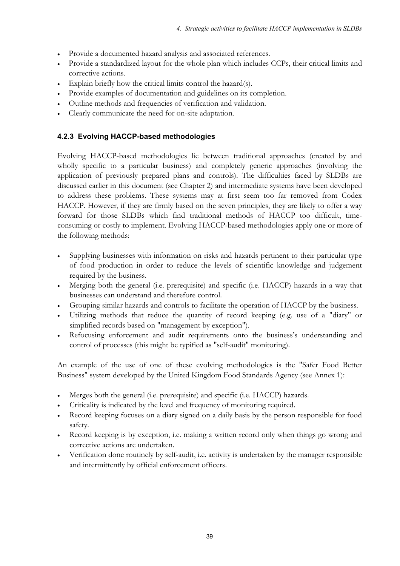- Provide a documented hazard analysis and associated references.
- Provide a standardized layout for the whole plan which includes CCPs, their critical limits and corrective actions.
- <sup>x</sup> Explain briefly how the critical limits control the hazard(s).
- Provide examples of documentation and guidelines on its completion.
- Outline methods and frequencies of verification and validation.
- Clearly communicate the need for on-site adaptation.  $\bullet$

### **4.2.3 Evolving HACCP-based methodologies**

application of previously prepared plans and controls). The difficulties faced by SLDBs are consuming or costly to implement. Evolving HACCP-based methodologies apply one or more of the following methods: Evolving HACCP-based methodologies lie between traditional approaches (created by and wholly specific to a particular business) and completely generic approaches (involving the discussed earlier in this document (see Chapter 2) and intermediate systems have been developed to address these problems. These systems may at first seem too far removed from Codex HACCP. However, if they are firmly based on the seven principles, they are likely to offer a way forward for those SLDBs which find traditional methods of HACCP too difficult, time-

- Supplying businesses with information on risks and hazards pertinent to their particular type  $\bullet$ of food production in order to reduce the levels of scientific knowledge and judgement required by the business.
- Merging both the general (i.e. prerequisite) and specific (i.e. HACCP) hazards in a way that businesses can understand and therefore control.
- Grouping similar hazards and controls to facilitate the operation of HACCP by the business.
- Utilizing methods that reduce the quantity of record keeping (e.g. use of a "diary" or simplified records based on "management by exception").
- Refocusing enforcement and audit requirements onto the business's understanding and control of processes (this might be typified as "self-audit" monitoring).

An example of the use of one of these evolving methodologies is the "Safer Food Better Business" system developed by the United Kingdom Food Standards Agency (see Annex 1):

- Merges both the general (i.e. prerequisite) and specific (i.e. HACCP) hazards.
- Criticality is indicated by the level and frequency of monitoring required.
- Record keeping focuses on a diary signed on a daily basis by the person responsible for food safety.
- Record keeping is by exception, i.e. making a written record only when things go wrong and corrective actions are undertaken.
- <sup>x</sup> Verification done routinely by self-audit, i.e. activity is undertaken by the manager responsible and intermittently by official enforcement officers.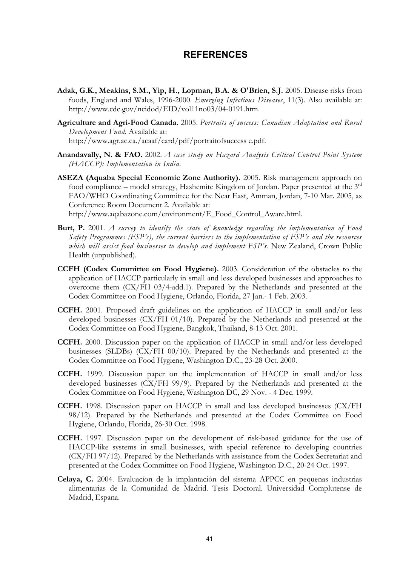# **REFERENCES**

- **Adak, G.K., Meakins, S.M., Yip, H., Lopman, B.A. & O'Brien, S.J.** 2005. Disease risks from foods, England and Wales, 1996-2000. *Emerging Infectious Diseases*, 11(3). Also available at: http://www.cdc.gov/ncidod/EID/vol11no03/04-0191.htm.
- **Agriculture and Agri-Food Canada.** 2005. *Portraits of success: Canadian Adaptation and Rural Development Fund.* Available at: http://www.agr.ac.ca./acaaf/card/pdf/portraitofsuccess e.pdf.
- **Anandavally, N. & FAO.** 2002. *A case study on Hazard Analysis Critical Control Point System (HACCP): Implementation in India.*
- **ASEZA (Aquaba Special Economic Zone Authority).** 2005. Risk management approach on food compliance – model strategy, Hashemite Kingdom of Jordan. Paper presented at the  $3<sup>rd</sup>$ FAO/WHO Coordinating Committee for the Near East, Amman, Jordan, 7-10 Mar. 2005, as Conference Room Document 2. Available at:

http://www.aqabazone.com/environment/E\_Food\_Control\_Aware.html.

- **Burt, P.** 2001. *A survey to identify the state of knowledge regarding the implementation of Food Safety Programmes (FSP's), the current barriers to the implementation of FSP's and the resources which will assist food businesses to develop and implement FSP's*. New Zealand, Crown Public Health (unpublished).
- **CCFH (Codex Committee on Food Hygiene).** 2003. Consideration of the obstacles to the application of HACCP particularly in small and less developed businesses and approaches to overcome them (CX/FH 03/4-add.1). Prepared by the Netherlands and presented at the Codex Committee on Food Hygiene, Orlando, Florida, 27 Jan.- 1 Feb. 2003.
- **CCFH.** 2001. Proposed draft guidelines on the application of HACCP in small and/or less developed businesses (CX/FH 01/10). Prepared by the Netherlands and presented at the Codex Committee on Food Hygiene, Bangkok, Thailand, 8-13 Oct. 2001.
- **CCFH.** 2000. Discussion paper on the application of HACCP in small and/or less developed businesses (SLDBs) (CX/FH 00/10). Prepared by the Netherlands and presented at the Codex Committee on Food Hygiene, Washington D.C., 23-28 Oct. 2000.
- **CCFH.** 1999. Discussion paper on the implementation of HACCP in small and/or less developed businesses (CX/FH 99/9). Prepared by the Netherlands and presented at the Codex Committee on Food Hygiene, Washington DC, 29 Nov. - 4 Dec. 1999.
- **CCFH.** 1998. Discussion paper on HACCP in small and less developed businesses (CX/FH 98/12). Prepared by the Netherlands and presented at the Codex Committee on Food Hygiene, Orlando, Florida, 26-30 Oct. 1998.
- **CCFH.** 1997. Discussion paper on the development of risk-based guidance for the use of HACCP-like systems in small businesses, with special reference to developing countries (CX/FH 97/12). Prepared by the Netherlands with assistance from the Codex Secretariat and presented at the Codex Committee on Food Hygiene, Washington D.C., 20-24 Oct. 1997.
- **Celaya, C.** 2004. Evaluacíon de la implantación del sistema APPCC en pequenas industrias alimentarias de la Comunidad de Madrid. Tesis Doctoral. Universidad Complutense de Madrid, Espana.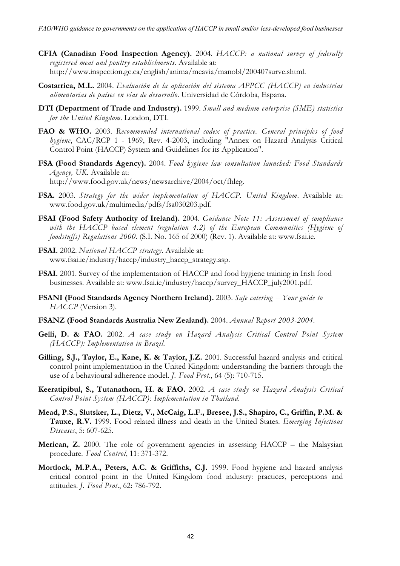- **CFIA (Canadian Food Inspection Agency).** 2004. *HACCP: a national survey of federally registered meat and poultry establishments*. Available at: http://www.inspection.gc.ca/english/anima/meavia/manobl/200407surve.shtml.
- **Costarrica, M.L.** 2004. *Evaluación de la aplicación del sistema APPCC (HACCP) en industrias alimentarias de países en vías de desarrollo*. Universidad de Córdoba, Espana.
- **DTI (Department of Trade and Industry).** 1999. *Small and medium enterprise (SME) statistics for the United Kingdom*. London, DTI.
- **FAO & WHO.** 2003. *Recommended international codex of practice. General principles of food hygiene*, CAC/RCP 1 - 1969, Rev. 4-2003, including "Annex on Hazard Analysis Critical Control Point (HACCP) System and Guidelines for its Application".
- **FSA (Food Standards Agency).** 2004. *Food hygiene law consultation launched: Food Standards Agency, UK.* Available at: http://www.food.gov.uk/news/newsarchive/2004/oct/fhleg.
- **FSA.** 2003. *Strategy for the wider implementation of HACCP. United Kingdom*. Available at: www.food.gov.uk/multimedia/pdfs/fsa030203.pdf.
- **FSAI (Food Safety Authority of Ireland).** 2004. *Guidance Note 11: Assessment of compliance with the HACCP based element (regulation 4.2) of the European Communities (Hygiene of foodstuffs) Regulations 2000.* (S.I. No. 165 of 2000) (Rev. 1). Available at: www.fsai.ie.
- **FSAI.** 2002. *National HACCP strategy*. Available at: www.fsai.ie/industry/haccp/industry\_haccp\_strategy.asp.
- **FSAI.** 2001. Survey of the implementation of HACCP and food hygiene training in Irish food businesses. Available at: www.fsai.ie/industry/haccp/survey\_HACCP\_july2001.pdf.
- **FSANI (Food Standards Agency Northern Ireland).** 2003. *Safe catering Your guide to HACCP* (Version 3).
- **FSANZ (Food Standards Australia New Zealand).** 2004. *Annual Report 2003-2004.*
- **Gelli, D. & FAO.** 2002. *A case study on Hazard Analysis Critical Control Point System (HACCP): Implementation in Brazil.*
- **Gilling, S.J., Taylor, E., Kane, K. & Taylor, J.Z.** 2001. Successful hazard analysis and critical control point implementation in the United Kingdom: understanding the barriers through the use of a behavioural adherence model. *J. Food Prot*., 64 (5): 710-715.
- **Keeratipibul, S., Tutanathorn, H. & FAO.** 2002. *A case study on Hazard Analysis Critical Control Point System (HACCP): Implementation in Thailand.*
- **Mead, P.S., Slutsker, L., Dietz, V., McCaig, L.F., Bresee, J.S., Shapiro, C., Griffin, P.M. & Tauxe, R.V.** 1999. Food related illness and death in the United States. *Emerging Infectious Diseases*, 5: 607-625.
- **Merican, Z.** 2000. The role of government agencies in assessing HACCP the Malaysian procedure*. Food Control*, 11: 371-372.
- **Mortlock, M.P.A., Peters, A.C. & Griffiths, C.J.** 1999. Food hygiene and hazard analysis critical control point in the United Kingdom food industry: practices, perceptions and attitudes. *J. Food Prot*., 62: 786-792.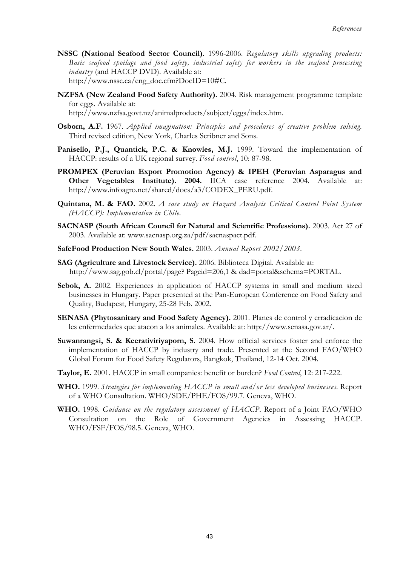- **NSSC (National Seafood Sector Council).** 1996-2006. *Regulatory skills upgrading products: Basic seafood spoilage and food safety, industrial safety for workers in the seafood processing industry* (and HACCP DVD). Available at: http://www.nssc.ca/eng\_doc.cfm?DocID=10#C.
- **NZFSA (New Zealand Food Safety Authority).** 2004. Risk management programme template for eggs. Available at: http://www.nzfsa.govt.nz/animalproducts/subject/eggs/index.htm.
- **Osborn, A.F.** 1967. *Applied imagination: Principles and procedures of creative problem solving.* Third revised edition, New York, Charles Scribner and Sons.
- Panisello, P.J., Quantick, P.C. & Knowles, M.J. 1999. Toward the implementation of HACCP: results of a UK regional survey. *Food control*, 10: 87-98.
- **PROMPEX (Peruvian Export Promotion Agency) & IPEH (Peruvian Asparagus and Other Vegetables Institute). 2004.** IICA case reference 2004. Available at: http://www.infoagro.net/shared/docs/a3/CODEX\_PERU.pdf.
- **Quintana, M. & FAO.** 2002. *A case study on Hazard Analysis Critical Control Point System (HACCP): Implementation in Chile.*
- **SACNASP (South African Council for Natural and Scientific Professions).** 2003. Act 27 of 2003. Available at: www.sacnasp.org.za/pdf/sacnaspact.pdf.
- **SafeFood Production New South Wales.** 2003. *Annual Report 2002/2003.*
- **SAG (Agriculture and Livestock Service).** 2006. Biblioteca Digital. Available at: http://www.sag.gob.cl/portal/page? Pageid=206,1 & dad=portal&schema=PORTAL.
- **Sebok, A.** 2002. Experiences in application of HACCP systems in small and medium sized businesses in Hungary. Paper presented at the Pan-European Conference on Food Safety and Quality, Budapest, Hungary, 25-28 Feb. 2002.
- **SENASA (Phytosanitary and Food Safety Agency).** 2001. Planes de control y erradicacion de les enfermedades que atacon a los animales. Available at: http://www.senasa.gov.ar/.
- **Suwanrangsi, S. & Keerativiriyaporn, S.** 2004. How official services foster and enforce the implementation of HACCP by industry and trade. Presented at the Second FAO/WHO Global Forum for Food Safety Regulators, Bangkok, Thailand, 12-14 Oct. 2004.
- **Taylor, E.** 2001. HACCP in small companies: benefit or burden? *Food Control*, 12: 217-222.
- **WHO.** 1999. *Strategies for implementing HACCP in small and/or less developed businesses.* Report of a WHO Consultation. WHO/SDE/PHE/FOS/99.7. Geneva, WHO.
- **WHO.** 1998. *Guidance on the regulatory assessment of HACCP*. Report of a Joint FAO/WHO Consultation on the Role of Government Agencies in Assessing HACCP. WHO/FSF/FOS/98.5. Geneva, WHO.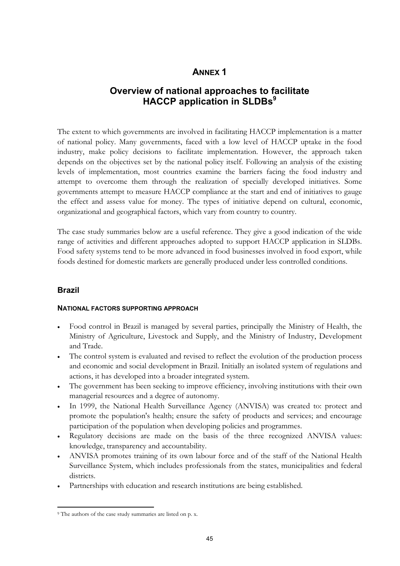# **ANNEX 1**

# **Overview of national approaches to facilitate HACCP application in SLDBs<sup>9</sup>**

The extent to which governments are involved in facilitating HACCP implementation is a matter of national policy. Many governments, faced with a low level of HACCP uptake in the food industry, make policy decisions to facilitate implementation. However, the approach taken depends on the objectives set by the national policy itself. Following an analysis of the existing levels of implementation, most countries examine the barriers facing the food industry and attempt to overcome them through the realization of specially developed initiatives. Some governments attempt to measure HACCP compliance at the start and end of initiatives to gauge the effect and assess value for money. The types of initiative depend on cultural, economic, organizational and geographical factors, which vary from country to country.

The case study summaries below are a useful reference. They give a good indication of the wide range of activities and different approaches adopted to support HACCP application in SLDBs. Food safety systems tend to be more advanced in food businesses involved in food export, while foods destined for domestic markets are generally produced under less controlled conditions.

## **Brazil**

#### **NATIONAL FACTORS SUPPORTING APPROACH**

- Food control in Brazil is managed by several parties, principally the Ministry of Health, the Ministry of Agriculture, Livestock and Supply, and the Ministry of Industry, Development and Trade.
- The control system is evaluated and revised to reflect the evolution of the production process and economic and social development in Brazil. Initially an isolated system of regulations and actions, it has developed into a broader integrated system.
- The government has been seeking to improve efficiency, involving institutions with their own managerial resources and a degree of autonomy.
- In 1999, the National Health Surveillance Agency (ANVISA) was created to: protect and promote the population's health; ensure the safety of products and services; and encourage participation of the population when developing policies and programmes.
- Regulatory decisions are made on the basis of the three recognized ANVISA values: knowledge, transparency and accountability.
- <sup>x</sup> ANVISA promotes training of its own labour force and of the staff of the National Health Surveillance System, which includes professionals from the states, municipalities and federal districts.
- Partnerships with education and research institutions are being established.

<sup>9</sup> The authors of the case study summaries are listed on p. x.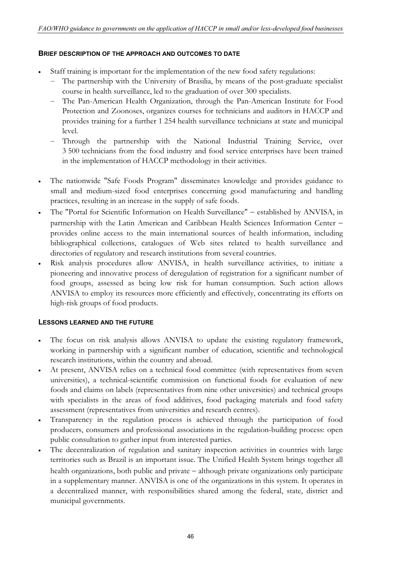#### **BRIEF DESCRIPTION OF THE APPROACH AND OUTCOMES TO DATE**

- Staff training is important for the implementation of the new food safety regulations:
	- The partnership with the University of Brasilia, by means of the post-graduate specialist course in health surveillance, led to the graduation of over 300 specialists.
	- The Pan-American Health Organization, through the Pan-American Institute for Food Protection and Zoonoses, organizes courses for technicians and auditors in HACCP and provides training for a further 1 254 health surveillance technicians at state and municipal level.
	- Through the partnership with the National Industrial Training Service, over 3 500 technicians from the food industry and food service enterprises have been trained in the implementation of HACCP methodology in their activities.
- <sup>x</sup> The nationwide "Safe Foods Program" disseminates knowledge and provides guidance to small and medium-sized food enterprises concerning good manufacturing and handling practices, resulting in an increase in the supply of safe foods.
- The "Portal for Scientific Information on Health Surveillance" established by ANVISA, in partnership with the Latin American and Caribbean Health Sciences Information Center provides online access to the main international sources of health information, including bibliographical collections, catalogues of Web sites related to health surveillance and directories of regulatory and research institutions from several countries.
- Risk analysis procedures allow ANVISA, in health surveillance activities, to initiate a pioneering and innovative process of deregulation of registration for a significant number of food groups, assessed as being low risk for human consumption. Such action allows ANVISA to employ its resources more efficiently and effectively, concentrating its efforts on high-risk groups of food products.

#### **LESSONS LEARNED AND THE FUTURE**

- The focus on risk analysis allows ANVISA to update the existing regulatory framework, working in partnership with a significant number of education, scientific and technological research institutions, within the country and abroad.
- At present, ANVISA relies on a technical food committee (with representatives from seven universities), a technical-scientific commission on functional foods for evaluation of new foods and claims on labels (representatives from nine other universities) and technical groups with specialists in the areas of food additives, food packaging materials and food safety assessment (representatives from universities and research centres).
- <sup>x</sup> Transparency in the regulation process is achieved through the participation of food producers, consumers and professional associations in the regulation-building process: open public consultation to gather input from interested parties.
- The decentralization of regulation and sanitary inspection activities in countries with large territories such as Brazil is an important issue. The Unified Health System brings together all health organizations, both public and private – although private organizations only participate in a supplementary manner. ANVISA is one of the organizations in this system. It operates in a decentralized manner, with responsibilities shared among the federal, state, district and municipal governments.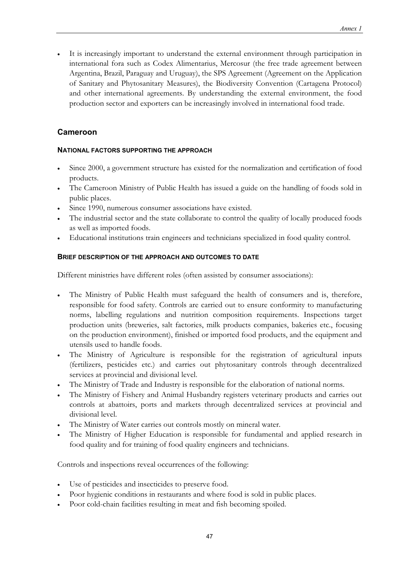It is increasingly important to understand the external environment through participation in international fora such as Codex Alimentarius, Mercosur (the free trade agreement between Argentina, Brazil, Paraguay and Uruguay), the SPS Agreement (Agreement on the Application of Sanitary and Phytosanitary Measures), the Biodiversity Convention (Cartagena Protocol) and other international agreements. By understanding the external environment, the food production sector and exporters can be increasingly involved in international food trade.

## **Cameroon**

### **NATIONAL FACTORS SUPPORTING THE APPROACH**

- Since 2000, a government structure has existed for the normalization and certification of food products.
- <sup>x</sup> The Cameroon Ministry of Public Health has issued a guide on the handling of foods sold in public places.
- Since 1990, numerous consumer associations have existed.
- The industrial sector and the state collaborate to control the quality of locally produced foods as well as imported foods.
- Educational institutions train engineers and technicians specialized in food quality control.

### **BRIEF DESCRIPTION OF THE APPROACH AND OUTCOMES TO DATE**

Different ministries have different roles (often assisted by consumer associations):

- The Ministry of Public Health must safeguard the health of consumers and is, therefore, responsible for food safety. Controls are carried out to ensure conformity to manufacturing norms, labelling regulations and nutrition composition requirements. Inspections target production units (breweries, salt factories, milk products companies, bakeries etc., focusing on the production environment), finished or imported food products, and the equipment and utensils used to handle foods.
- The Ministry of Agriculture is responsible for the registration of agricultural inputs (fertilizers, pesticides etc.) and carries out phytosanitary controls through decentralized services at provincial and divisional level.
- The Ministry of Trade and Industry is responsible for the elaboration of national norms.
- <sup>x</sup> The Ministry of Fishery and Animal Husbandry registers veterinary products and carries out controls at abattoirs, ports and markets through decentralized services at provincial and divisional level.
- The Ministry of Water carries out controls mostly on mineral water.
- The Ministry of Higher Education is responsible for fundamental and applied research in food quality and for training of food quality engineers and technicians.

Controls and inspections reveal occurrences of the following:

- Use of pesticides and insecticides to preserve food.
- Poor hygienic conditions in restaurants and where food is sold in public places.
- Poor cold-chain facilities resulting in meat and fish becoming spoiled.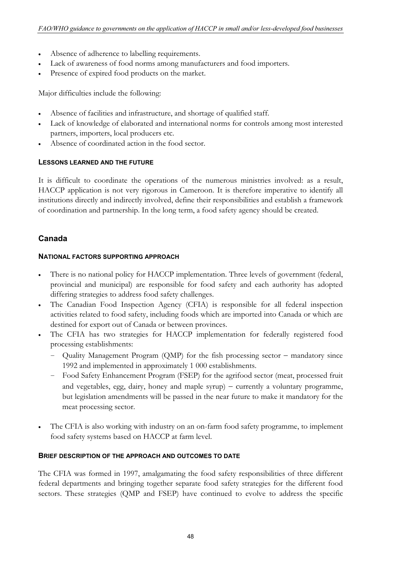- Absence of adherence to labelling requirements.
- Lack of awareness of food norms among manufacturers and food importers.
- Presence of expired food products on the market.

Major difficulties include the following:

- <sup>x</sup> Absence of facilities and infrastructure, and shortage of qualified staff.
- <sup>x</sup> Lack of knowledge of elaborated and international norms for controls among most interested partners, importers, local producers etc.
- Absence of coordinated action in the food sector.

#### **LESSONS LEARNED AND THE FUTURE**

It is difficult to coordinate the operations of the numerous ministries involved: as a result, HACCP application is not very rigorous in Cameroon. It is therefore imperative to identify all institutions directly and indirectly involved, define their responsibilities and establish a framework of coordination and partnership. In the long term, a food safety agency should be created.

### **Canada**

#### **NATIONAL FACTORS SUPPORTING APPROACH**

- There is no national policy for HACCP implementation. Three levels of government (federal, provincial and municipal) are responsible for food safety and each authority has adopted differing strategies to address food safety challenges.
- The Canadian Food Inspection Agency (CFIA) is responsible for all federal inspection activities related to food safety, including foods which are imported into Canada or which are destined for export out of Canada or between provinces.
- The CFIA has two strategies for HACCP implementation for federally registered food processing establishments:
	- Quality Management Program (QMP) for the fish processing sector mandatory since 1992 and implemented in approximately 1 000 establishments.
	- Food Safety Enhancement Program (FSEP) for the agrifood sector (meat, processed fruit and vegetables, egg, dairy, honey and maple syrup)  $-$  currently a voluntary programme, but legislation amendments will be passed in the near future to make it mandatory for the meat processing sector.
- The CFIA is also working with industry on an on-farm food safety programme, to implement food safety systems based on HACCP at farm level.

#### **BRIEF DESCRIPTION OF THE APPROACH AND OUTCOMES TO DATE**

The CFIA was formed in 1997, amalgamating the food safety responsibilities of three different federal departments and bringing together separate food safety strategies for the different food sectors. These strategies (QMP and FSEP) have continued to evolve to address the specific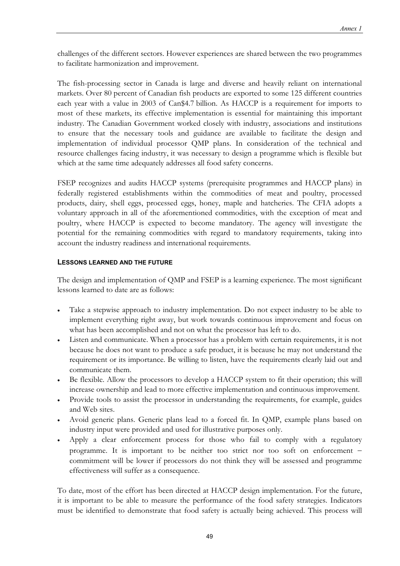challenges of the different sectors. However experiences are shared between the two programmes to facilitate harmonization and improvement.

The fish-processing sector in Canada is large and diverse and heavily reliant on international markets. Over 80 percent of Canadian fish products are exported to some 125 different countries each year with a value in 2003 of Can\$4.7 billion. As HACCP is a requirement for imports to most of these markets, its effective implementation is essential for maintaining this important industry. The Canadian Government worked closely with industry, associations and institutions to ensure that the necessary tools and guidance are available to facilitate the design and implementation of individual processor QMP plans. In consideration of the technical and resource challenges facing industry, it was necessary to design a programme which is flexible but which at the same time adequately addresses all food safety concerns.

FSEP recognizes and audits HACCP systems (prerequisite programmes and HACCP plans) in federally registered establishments within the commodities of meat and poultry, processed products, dairy, shell eggs, processed eggs, honey, maple and hatcheries. The CFIA adopts a voluntary approach in all of the aforementioned commodities, with the exception of meat and poultry, where HACCP is expected to become mandatory. The agency will investigate the potential for the remaining commodities with regard to mandatory requirements, taking into account the industry readiness and international requirements.

#### **LESSONS LEARNED AND THE FUTURE**

The design and implementation of QMP and FSEP is a learning experience. The most significant lessons learned to date are as follows:

- Take a stepwise approach to industry implementation. Do not expect industry to be able to implement everything right away, but work towards continuous improvement and focus on what has been accomplished and not on what the processor has left to do.
- Listen and communicate. When a processor has a problem with certain requirements, it is not because he does not want to produce a safe product, it is because he may not understand the requirement or its importance. Be willing to listen, have the requirements clearly laid out and communicate them.
- <sup>x</sup> Be flexible. Allow the processors to develop a HACCP system to fit their operation; this will increase ownership and lead to more effective implementation and continuous improvement.
- Provide tools to assist the processor in understanding the requirements, for example, guides and Web sites.
- Avoid generic plans. Generic plans lead to a forced fit. In QMP, example plans based on industry input were provided and used for illustrative purposes only.
- Apply a clear enforcement process for those who fail to comply with a regulatory programme. It is important to be neither too strict nor too soft on enforcement commitment will be lower if processors do not think they will be assessed and programme effectiveness will suffer as a consequence.

To date, most of the effort has been directed at HACCP design implementation. For the future, it is important to be able to measure the performance of the food safety strategies. Indicators must be identified to demonstrate that food safety is actually being achieved. This process will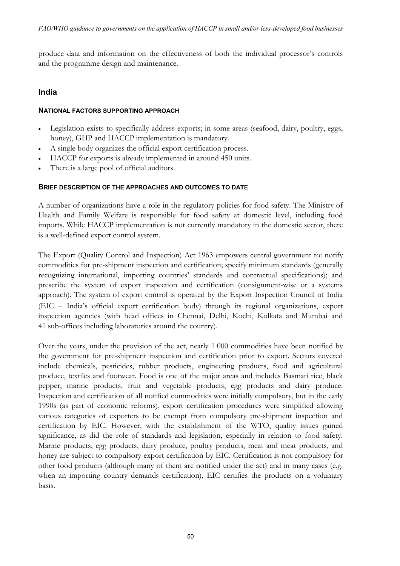produce data and information on the effectiveness of both the individual processor's controls and the programme design and maintenance.

### **India**

#### **NATIONAL FACTORS SUPPORTING APPROACH**

- Legislation exists to specifically address exports; in some areas (seafood, dairy, poultry, eggs, honey), GHP and HACCP implementation is mandatory.
- A single body organizes the official export certification process.
- HACCP for exports is already implemented in around 450 units.
- There is a large pool of official auditors.

### **BRIEF DESCRIPTION OF THE APPROACHES AND OUTCOMES TO DATE**

A number of organizations have a role in the regulatory policies for food safety. The Ministry of Health and Family Welfare is responsible for food safety at domestic level, including food imports. While HACCP implementation is not currently mandatory in the domestic sector, there is a well-defined export control system.

The Export (Quality Control and Inspection) Act 1963 empowers central government to: notify commodities for pre-shipment inspection and certification; specify minimum standards (generally recognizing international, importing countries' standards and contractual specifications); and prescribe the system of export inspection and certification (consignment-wise or a systems approach). The system of export control is operated by the Export Inspection Council of India (EIC - India's official export certification body) through its regional organizations, export inspection agencies (with head offices in Chennai, Delhi, Kochi, Kolkata and Mumbai and 41 sub-offices including laboratories around the country).

Over the years, under the provision of the act, nearly 1 000 commodities have been notified by the government for pre-shipment inspection and certification prior to export. Sectors covered include chemicals, pesticides, rubber products, engineering products, food and agricultural produce, textiles and footwear. Food is one of the major areas and includes Basmati rice, black pepper, marine products, fruit and vegetable products, egg products and dairy produce. Inspection and certification of all notified commodities were initially compulsory, but in the early 1990s (as part of economic reforms), export certification procedures were simplified allowing various categories of exporters to be exempt from compulsory pre-shipment inspection and certification by EIC. However, with the establishment of the WTO, quality issues gained significance, as did the role of standards and legislation, especially in relation to food safety. Marine products, egg products, dairy produce, poultry products, meat and meat products, and honey are subject to compulsory export certification by EIC. Certification is not compulsory for other food products (although many of them are notified under the act) and in many cases (e.g. when an importing country demands certification), EIC certifies the products on a voluntary basis.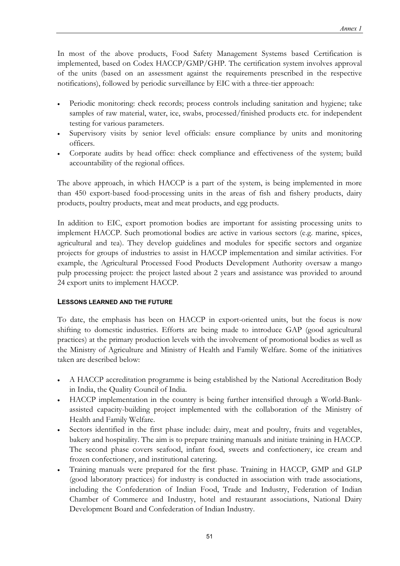In most of the above products, Food Safety Management Systems based Certification is implemented, based on Codex HACCP/GMP/GHP. The certification system involves approval of the units (based on an assessment against the requirements prescribed in the respective notifications), followed by periodic surveillance by EIC with a three-tier approach:

- Periodic monitoring: check records; process controls including sanitation and hygiene; take samples of raw material, water, ice, swabs, processed/finished products etc. for independent testing for various parameters.
- Supervisory visits by senior level officials: ensure compliance by units and monitoring officers.
- Corporate audits by head office: check compliance and effectiveness of the system; build accountability of the regional offices.

The above approach, in which HACCP is a part of the system, is being implemented in more than 450 export-based food-processing units in the areas of fish and fishery products, dairy products, poultry products, meat and meat products, and egg products.

In addition to EIC, export promotion bodies are important for assisting processing units to implement HACCP. Such promotional bodies are active in various sectors (e.g. marine, spices, agricultural and tea). They develop guidelines and modules for specific sectors and organize projects for groups of industries to assist in HACCP implementation and similar activities. For example, the Agricultural Processed Food Products Development Authority oversaw a mango pulp processing project: the project lasted about 2 years and assistance was provided to around 24 export units to implement HACCP.

#### **LESSONS LEARNED AND THE FUTURE**

To date, the emphasis has been on HACCP in export-oriented units, but the focus is now shifting to domestic industries. Efforts are being made to introduce GAP (good agricultural practices) at the primary production levels with the involvement of promotional bodies as well as the Ministry of Agriculture and Ministry of Health and Family Welfare. Some of the initiatives taken are described below:

- <sup>x</sup> A HACCP accreditation programme is being established by the National Accreditation Body in India, the Quality Council of India.
- HACCP implementation in the country is being further intensified through a World-Bankassisted capacity-building project implemented with the collaboration of the Ministry of Health and Family Welfare.
- Sectors identified in the first phase include: dairy, meat and poultry, fruits and vegetables, bakery and hospitality. The aim is to prepare training manuals and initiate training in HACCP. The second phase covers seafood, infant food, sweets and confectionery, ice cream and frozen confectionery, and institutional catering.
- <sup>x</sup> Training manuals were prepared for the first phase. Training in HACCP, GMP and GLP (good laboratory practices) for industry is conducted in association with trade associations, including the Confederation of Indian Food, Trade and Industry, Federation of Indian Chamber of Commerce and Industry, hotel and restaurant associations, National Dairy Development Board and Confederation of Indian Industry.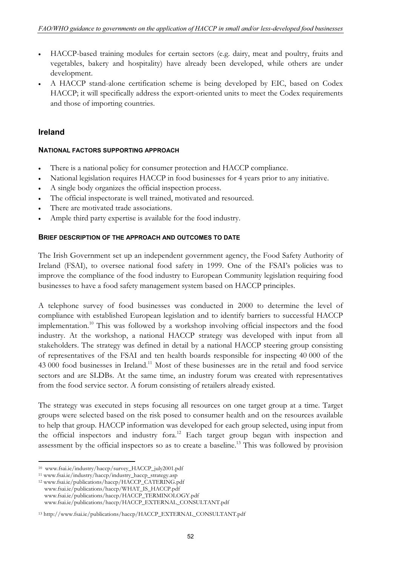- <sup>x</sup> HACCP-based training modules for certain sectors (e.g. dairy, meat and poultry, fruits and vegetables, bakery and hospitality) have already been developed, while others are under development.
- <sup>x</sup> A HACCP stand-alone certification scheme is being developed by EIC, based on Codex HACCP; it will specifically address the export-oriented units to meet the Codex requirements and those of importing countries.

## **Ireland**

### **NATIONAL FACTORS SUPPORTING APPROACH**

- There is a national policy for consumer protection and HACCP compliance.
- National legislation requires HACCP in food businesses for 4 years prior to any initiative.
- A single body organizes the official inspection process.
- The official inspectorate is well trained, motivated and resourced.
- There are motivated trade associations.
- Ample third party expertise is available for the food industry.

### **BRIEF DESCRIPTION OF THE APPROACH AND OUTCOMES TO DATE**

The Irish Government set up an independent government agency, the Food Safety Authority of Ireland (FSAI), to oversee national food safety in 1999. One of the FSAI's policies was to improve the compliance of the food industry to European Community legislation requiring food businesses to have a food safety management system based on HACCP principles.

A telephone survey of food businesses was conducted in 2000 to determine the level of compliance with established European legislation and to identify barriers to successful HACCP implementation.<sup>10</sup> This was followed by a workshop involving official inspectors and the food industry. At the workshop, a national HACCP strategy was developed with input from all stakeholders. The strategy was defined in detail by a national HACCP steering group consisting of representatives of the FSAI and ten health boards responsible for inspecting 40 000 of the 43 000 food businesses in Ireland.<sup>11</sup> Most of these businesses are in the retail and food service sectors and are SLDBs. At the same time, an industry forum was created with representatives from the food service sector. A forum consisting of retailers already existed.

The strategy was executed in steps focusing all resources on one target group at a time. Target groups were selected based on the risk posed to consumer health and on the resources available to help that group. HACCP information was developed for each group selected, using input from the official inspectors and industry fora.<sup>12</sup> Each target group began with inspection and assessment by the official inspectors so as to create a baseline.<sup>13</sup> This was followed by provision

<sup>10</sup> www.fsai.ie/industry/haccp/survey\_HACCP\_july2001.pdf

<sup>&</sup>lt;sup>11</sup> www.fsai.ie/industry/haccp/industry\_haccp\_strategy.asp

<sup>&</sup>lt;sup>12</sup> www.fsai.ie/publications/haccp/HACCP\_CATERING.pdf

www.fsai.ie/publications/haccp/WHAT\_IS\_HACCP.pdf www.fsai.ie/publications/haccp/HACCP\_TERMINOLOGY.pdf www.fsai.ie/publications/haccp/HACCP\_EXTERNAL\_CONSULTANT.pdf

<sup>13</sup> http://www.fsai.ie/publications/haccp/HACCP\_EXTERNAL\_CONSULTANT.pdf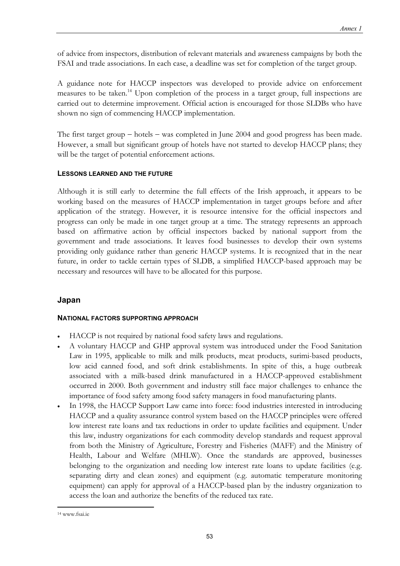of advice from inspectors, distribution of relevant materials and awareness campaigns by both the FSAI and trade associations. In each case, a deadline was set for completion of the target group.

A guidance note for HACCP inspectors was developed to provide advice on enforcement measures to be taken.<sup>14</sup> Upon completion of the process in a target group, full inspections are carried out to determine improvement. Official action is encouraged for those SLDBs who have shown no sign of commencing HACCP implementation.

The first target group  $-$  hotels  $-$  was completed in June 2004 and good progress has been made. However, a small but significant group of hotels have not started to develop HACCP plans; they will be the target of potential enforcement actions.

### **LESSONS LEARNED AND THE FUTURE**

Although it is still early to determine the full effects of the Irish approach, it appears to be working based on the measures of HACCP implementation in target groups before and after application of the strategy. However, it is resource intensive for the official inspectors and progress can only be made in one target group at a time. The strategy represents an approach based on affirmative action by official inspectors backed by national support from the government and trade associations. It leaves food businesses to develop their own systems providing only guidance rather than generic HACCP systems. It is recognized that in the near future, in order to tackle certain types of SLDB, a simplified HACCP-based approach may be necessary and resources will have to be allocated for this purpose.

## **Japan**

### **NATIONAL FACTORS SUPPORTING APPROACH**

- HACCP is not required by national food safety laws and regulations.
- <sup>x</sup> A voluntary HACCP and GHP approval system was introduced under the Food Sanitation Law in 1995, applicable to milk and milk products, meat products, surimi-based products, low acid canned food, and soft drink establishments. In spite of this, a huge outbreak associated with a milk-based drink manufactured in a HACCP-approved establishment occurred in 2000. Both government and industry still face major challenges to enhance the importance of food safety among food safety managers in food manufacturing plants.
- In 1998, the HACCP Support Law came into force: food industries interested in introducing HACCP and a quality assurance control system based on the HACCP principles were offered low interest rate loans and tax reductions in order to update facilities and equipment. Under this law, industry organizations for each commodity develop standards and request approval from both the Ministry of Agriculture, Forestry and Fisheries (MAFF) and the Ministry of Health, Labour and Welfare (MHLW). Once the standards are approved, businesses belonging to the organization and needing low interest rate loans to update facilities (e.g. separating dirty and clean zones) and equipment (e.g. automatic temperature monitoring equipment) can apply for approval of a HACCP-based plan by the industry organization to access the loan and authorize the benefits of the reduced tax rate.

<sup>14</sup> www.fsai.ie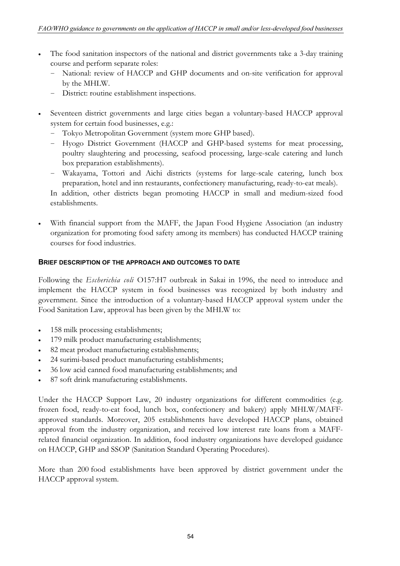- The food sanitation inspectors of the national and district governments take a 3-day training course and perform separate roles:
	- National: review of HACCP and GHP documents and on-site verification for approval by the MHLW.
	- District: routine establishment inspections.
- Seventeen district governments and large cities began a voluntary-based HACCP approval system for certain food businesses, e.g.:
	- Tokyo Metropolitan Government (system more GHP based).
	- Hyogo District Government (HACCP and GHP-based systems for meat processing, poultry slaughtering and processing, seafood processing, large-scale catering and lunch box preparation establishments).
	- Wakayama, Tottori and Aichi districts (systems for large-scale catering, lunch box preparation, hotel and inn restaurants, confectionery manufacturing, ready-to-eat meals).

In addition, other districts began promoting HACCP in small and medium-sized food establishments.

<sup>x</sup> With financial support from the MAFF, the Japan Food Hygiene Association (an industry organization for promoting food safety among its members) has conducted HACCP training courses for food industries.

### **BRIEF DESCRIPTION OF THE APPROACH AND OUTCOMES TO DATE**

Following the *Escherichia coli* O157:H7 outbreak in Sakai in 1996, the need to introduce and implement the HACCP system in food businesses was recognized by both industry and government. Since the introduction of a voluntary-based HACCP approval system under the Food Sanitation Law, approval has been given by the MHLW to:

- 158 milk processing establishments;
- 179 milk product manufacturing establishments;
- 82 meat product manufacturing establishments;
- <sup>x</sup> 24 surimi-based product manufacturing establishments;
- 36 low acid canned food manufacturing establishments; and
- <sup>x</sup> 87 soft drink manufacturing establishments.

Under the HACCP Support Law, 20 industry organizations for different commodities (e.g. frozen food, ready-to-eat food, lunch box, confectionery and bakery) apply MHLW/MAFFapproved standards. Moreover, 205 establishments have developed HACCP plans, obtained approval from the industry organization, and received low interest rate loans from a MAFFrelated financial organization. In addition, food industry organizations have developed guidance on HACCP, GHP and SSOP (Sanitation Standard Operating Procedures).

More than 200 food establishments have been approved by district government under the HACCP approval system.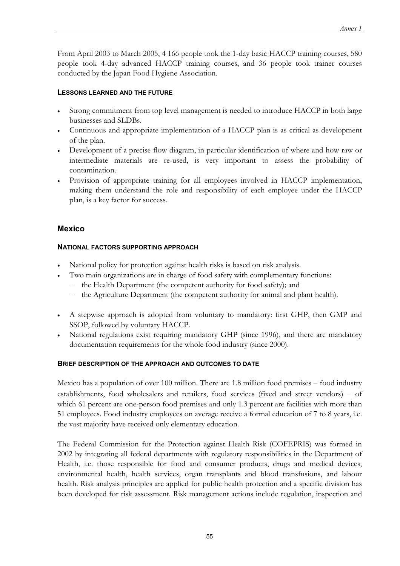From April 2003 to March 2005, 4 166 people took the 1-day basic HACCP training courses, 580 people took 4-day advanced HACCP training courses, and 36 people took trainer courses conducted by the Japan Food Hygiene Association.

#### **LESSONS LEARNED AND THE FUTURE**

- Strong commitment from top level management is needed to introduce HACCP in both large businesses and SLDBs.
- Continuous and appropriate implementation of a HACCP plan is as critical as development of the plan.
- Development of a precise flow diagram, in particular identification of where and how raw or intermediate materials are re-used, is very important to assess the probability of contamination.
- Provision of appropriate training for all employees involved in HACCP implementation, making them understand the role and responsibility of each employee under the HACCP plan, is a key factor for success.

### **Mexico**

#### **NATIONAL FACTORS SUPPORTING APPROACH**

- National policy for protection against health risks is based on risk analysis.
- Two main organizations are in charge of food safety with complementary functions:
	- the Health Department (the competent authority for food safety); and
	- the Agriculture Department (the competent authority for animal and plant health).
- A stepwise approach is adopted from voluntary to mandatory: first GHP, then GMP and SSOP, followed by voluntary HACCP.
- National regulations exist requiring mandatory GHP (since 1996), and there are mandatory documentation requirements for the whole food industry (since 2000).

#### **BRIEF DESCRIPTION OF THE APPROACH AND OUTCOMES TO DATE**

Mexico has a population of over  $100$  million. There are 1.8 million food premises  $-$  food industry establishments, food wholesalers and retailers, food services (fixed and street vendors)  $-$  of which 61 percent are one-person food premises and only 1.3 percent are facilities with more than 51 employees. Food industry employees on average receive a formal education of 7 to 8 years, i.e. the vast majority have received only elementary education.

The Federal Commission for the Protection against Health Risk (COFEPRIS) was formed in 2002 by integrating all federal departments with regulatory responsibilities in the Department of Health, i.e. those responsible for food and consumer products, drugs and medical devices, environmental health, health services, organ transplants and blood transfusions, and labour health. Risk analysis principles are applied for public health protection and a specific division has been developed for risk assessment. Risk management actions include regulation, inspection and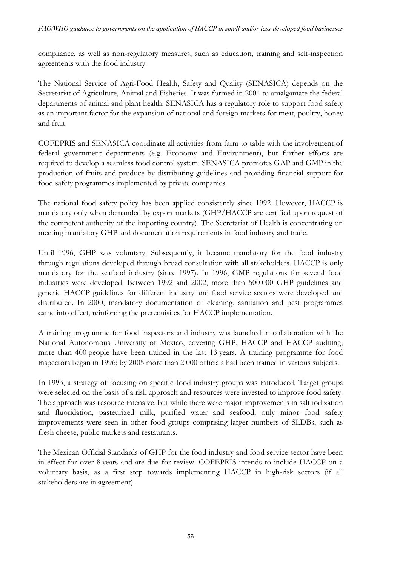compliance, as well as non-regulatory measures, such as education, training and self-inspection agreements with the food industry.

The National Service of Agri-Food Health, Safety and Quality (SENASICA) depends on the Secretariat of Agriculture, Animal and Fisheries. It was formed in 2001 to amalgamate the federal departments of animal and plant health. SENASICA has a regulatory role to support food safety as an important factor for the expansion of national and foreign markets for meat, poultry, honey and fruit.

COFEPRIS and SENASICA coordinate all activities from farm to table with the involvement of federal government departments (e.g. Economy and Environment), but further efforts are required to develop a seamless food control system. SENASICA promotes GAP and GMP in the production of fruits and produce by distributing guidelines and providing financial support for food safety programmes implemented by private companies.

The national food safety policy has been applied consistently since 1992. However, HACCP is mandatory only when demanded by export markets (GHP/HACCP are certified upon request of the competent authority of the importing country). The Secretariat of Health is concentrating on meeting mandatory GHP and documentation requirements in food industry and trade.

Until 1996, GHP was voluntary. Subsequently, it became mandatory for the food industry through regulations developed through broad consultation with all stakeholders. HACCP is only mandatory for the seafood industry (since 1997). In 1996, GMP regulations for several food industries were developed. Between 1992 and 2002, more than 500 000 GHP guidelines and generic HACCP guidelines for different industry and food service sectors were developed and distributed. In 2000, mandatory documentation of cleaning, sanitation and pest programmes came into effect, reinforcing the prerequisites for HACCP implementation.

A training programme for food inspectors and industry was launched in collaboration with the National Autonomous University of Mexico, covering GHP, HACCP and HACCP auditing; more than 400 people have been trained in the last 13 years. A training programme for food inspectors began in 1996; by 2005 more than 2 000 officials had been trained in various subjects.

In 1993, a strategy of focusing on specific food industry groups was introduced. Target groups were selected on the basis of a risk approach and resources were invested to improve food safety. The approach was resource intensive, but while there were major improvements in salt iodization and fluoridation, pasteurized milk, purified water and seafood, only minor food safety improvements were seen in other food groups comprising larger numbers of SLDBs, such as fresh cheese, public markets and restaurants.

The Mexican Official Standards of GHP for the food industry and food service sector have been in effect for over 8 years and are due for review. COFEPRIS intends to include HACCP on a voluntary basis, as a first step towards implementing HACCP in high-risk sectors (if all stakeholders are in agreement).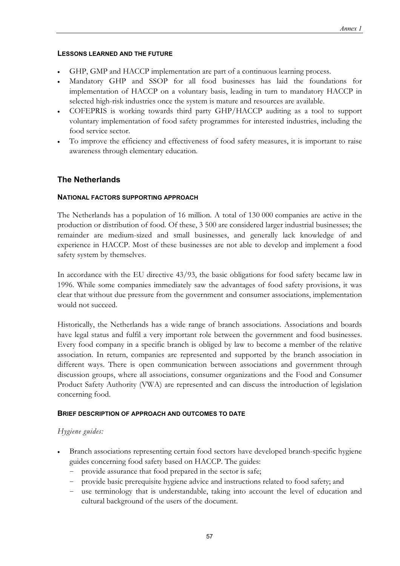#### **LESSONS LEARNED AND THE FUTURE**

- GHP, GMP and HACCP implementation are part of a continuous learning process.
- <sup>x</sup> Mandatory GHP and SSOP for all food businesses has laid the foundations for implementation of HACCP on a voluntary basis, leading in turn to mandatory HACCP in selected high-risk industries once the system is mature and resources are available.
- <sup>x</sup> COFEPRIS is working towards third party GHP/HACCP auditing as a tool to support voluntary implementation of food safety programmes for interested industries, including the food service sector.
- <sup>x</sup> To improve the efficiency and effectiveness of food safety measures, it is important to raise awareness through elementary education.

## **The Netherlands**

#### **NATIONAL FACTORS SUPPORTING APPROACH**

The Netherlands has a population of 16 million. A total of 130 000 companies are active in the production or distribution of food. Of these, 3 500 are considered larger industrial businesses; the remainder are medium-sized and small businesses, and generally lack knowledge of and experience in HACCP. Most of these businesses are not able to develop and implement a food safety system by themselves.

In accordance with the EU directive 43/93, the basic obligations for food safety became law in 1996. While some companies immediately saw the advantages of food safety provisions, it was clear that without due pressure from the government and consumer associations, implementation would not succeed.

Historically, the Netherlands has a wide range of branch associations. Associations and boards have legal status and fulfil a very important role between the government and food businesses. Every food company in a specific branch is obliged by law to become a member of the relative association. In return, companies are represented and supported by the branch association in different ways. There is open communication between associations and government through discussion groups, where all associations, consumer organizations and the Food and Consumer Product Safety Authority (VWA) are represented and can discuss the introduction of legislation concerning food.

#### **BRIEF DESCRIPTION OF APPROACH AND OUTCOMES TO DATE**

### *Hygiene guides:*

- Branch associations representing certain food sectors have developed branch-specific hygiene guides concerning food safety based on HACCP. The guides:
	- provide assurance that food prepared in the sector is safe;
	- provide basic prerequisite hygiene advice and instructions related to food safety; and
	- use terminology that is understandable, taking into account the level of education and cultural background of the users of the document.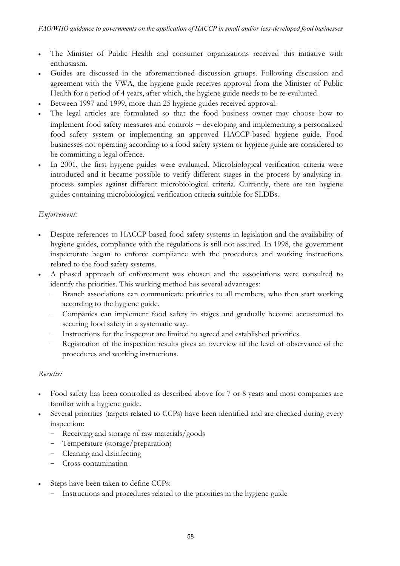- The Minister of Public Health and consumer organizations received this initiative with enthusiasm.
- <sup>x</sup> Guides are discussed in the aforementioned discussion groups. Following discussion and agreement with the VWA, the hygiene guide receives approval from the Minister of Public Health for a period of 4 years, after which, the hygiene guide needs to be re-evaluated.
- Between 1997 and 1999, more than 25 hygiene guides received approval.
- The legal articles are formulated so that the food business owner may choose how to implement food safety measures and controls - developing and implementing a personalized food safety system or implementing an approved HACCP-based hygiene guide. Food businesses not operating according to a food safety system or hygiene guide are considered to be committing a legal offence.
- In 2001, the first hygiene guides were evaluated. Microbiological verification criteria were introduced and it became possible to verify different stages in the process by analysing inprocess samples against different microbiological criteria. Currently, there are ten hygiene guides containing microbiological verification criteria suitable for SLDBs.

### *Enforcement:*

- Despite references to HACCP-based food safety systems in legislation and the availability of hygiene guides, compliance with the regulations is still not assured. In 1998, the government inspectorate began to enforce compliance with the procedures and working instructions related to the food safety systems.
- <sup>x</sup> A phased approach of enforcement was chosen and the associations were consulted to identify the priorities. This working method has several advantages:
	- î Branch associations can communicate priorities to all members, who then start working according to the hygiene guide.
	- Companies can implement food safety in stages and gradually become accustomed to securing food safety in a systematic way.
	- Instructions for the inspector are limited to agreed and established priorities.
	- Registration of the inspection results gives an overview of the level of observance of the procedures and working instructions.

### *Results:*

- <sup>x</sup> Food safety has been controlled as described above for 7 or 8 years and most companies are familiar with a hygiene guide.
- Several priorities (targets related to CCPs) have been identified and are checked during every inspection:
	- Receiving and storage of raw materials/goods
	- Temperature (storage/preparation)
	- Cleaning and disinfecting
	- Cross-contamination
- Steps have been taken to define CCPs:
	- Instructions and procedures related to the priorities in the hygiene guide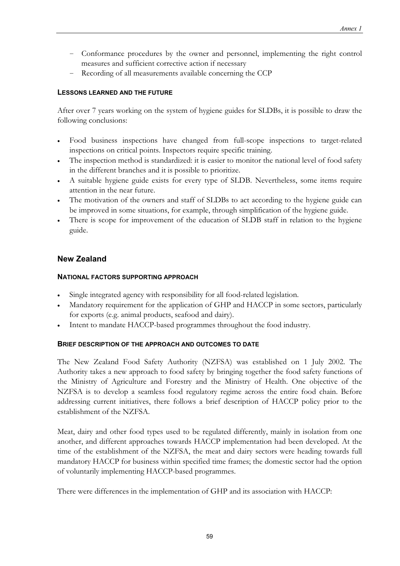- î Conformance procedures by the owner and personnel, implementing the right control measures and sufficient corrective action if necessary
- Recording of all measurements available concerning the CCP

### **LESSONS LEARNED AND THE FUTURE**

After over 7 years working on the system of hygiene guides for SLDBs, it is possible to draw the following conclusions:

- Food business inspections have changed from full-scope inspections to target-related inspections on critical points. Inspectors require specific training.
- The inspection method is standardized: it is easier to monitor the national level of food safety in the different branches and it is possible to prioritize.
- <sup>x</sup> A suitable hygiene guide exists for every type of SLDB. Nevertheless, some items require attention in the near future.
- The motivation of the owners and staff of SLDBs to act according to the hygiene guide can be improved in some situations, for example, through simplification of the hygiene guide.
- There is scope for improvement of the education of SLDB staff in relation to the hygiene guide.

## **New Zealand**

### **NATIONAL FACTORS SUPPORTING APPROACH**

- Single integrated agency with responsibility for all food-related legislation.
- <sup>x</sup> Mandatory requirement for the application of GHP and HACCP in some sectors, particularly for exports (e.g. animal products, seafood and dairy).
- Intent to mandate HACCP-based programmes throughout the food industry.

### **BRIEF DESCRIPTION OF THE APPROACH AND OUTCOMES TO DATE**

The New Zealand Food Safety Authority (NZFSA) was established on 1 July 2002. The Authority takes a new approach to food safety by bringing together the food safety functions of the Ministry of Agriculture and Forestry and the Ministry of Health. One objective of the NZFSA is to develop a seamless food regulatory regime across the entire food chain. Before addressing current initiatives, there follows a brief description of HACCP policy prior to the establishment of the NZFSA.

Meat, dairy and other food types used to be regulated differently, mainly in isolation from one another, and different approaches towards HACCP implementation had been developed. At the time of the establishment of the NZFSA, the meat and dairy sectors were heading towards full mandatory HACCP for business within specified time frames; the domestic sector had the option of voluntarily implementing HACCP-based programmes.

There were differences in the implementation of GHP and its association with HACCP: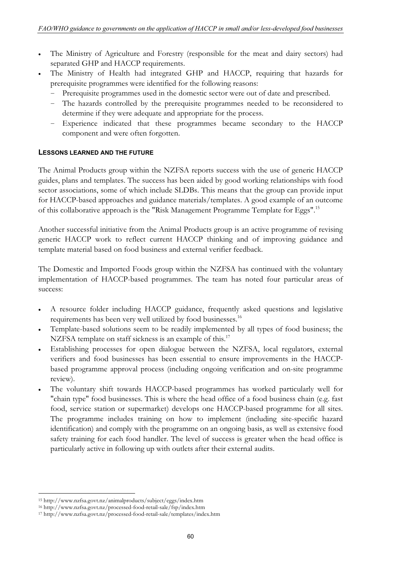- The Ministry of Agriculture and Forestry (responsible for the meat and dairy sectors) had separated GHP and HACCP requirements.
- The Ministry of Health had integrated GHP and HACCP, requiring that hazards for prerequisite programmes were identified for the following reasons:
	- Prerequisite programmes used in the domestic sector were out of date and prescribed.
	- The hazards controlled by the prerequisite programmes needed to be reconsidered to determine if they were adequate and appropriate for the process.
	- Experience indicated that these programmes became secondary to the HACCP component and were often forgotten.

### **LESSONS LEARNED AND THE FUTURE**

The Animal Products group within the NZFSA reports success with the use of generic HACCP guides, plans and templates. The success has been aided by good working relationships with food sector associations, some of which include SLDBs. This means that the group can provide input for HACCP-based approaches and guidance materials/templates. A good example of an outcome of this collaborative approach is the "Risk Management Programme Template for Eggs".<sup>15</sup>

Another successful initiative from the Animal Products group is an active programme of revising generic HACCP work to reflect current HACCP thinking and of improving guidance and template material based on food business and external verifier feedback.

The Domestic and Imported Foods group within the NZFSA has continued with the voluntary implementation of HACCP-based programmes. The team has noted four particular areas of success:

- A resource folder including HACCP guidance, frequently asked questions and legislative requirements has been very well utilized by food businesses.<sup>16</sup>
- Template-based solutions seem to be readily implemented by all types of food business; the NZFSA template on staff sickness is an example of this.<sup>17</sup>
- <sup>x</sup> Establishing processes for open dialogue between the NZFSA, local regulators, external verifiers and food businesses has been essential to ensure improvements in the HACCPbased programme approval process (including ongoing verification and on-site programme review).
- The voluntary shift towards HACCP-based programmes has worked particularly well for "chain type" food businesses. This is where the head office of a food business chain (e.g. fast food, service station or supermarket) develops one HACCP-based programme for all sites. The programme includes training on how to implement (including site-specific hazard identification) and comply with the programme on an ongoing basis, as well as extensive food safety training for each food handler. The level of success is greater when the head office is particularly active in following up with outlets after their external audits.

<sup>15</sup> http://www.nzfsa.govt.nz/animalproducts/subject/eggs/index.htm

<sup>16</sup> http://www.nzfsa.govt.nz/processed-food-retail-sale/fsp/index.htm

<sup>17</sup> http://www.nzfsa.govt.nz/processed-food-retail-sale/templates/index.htm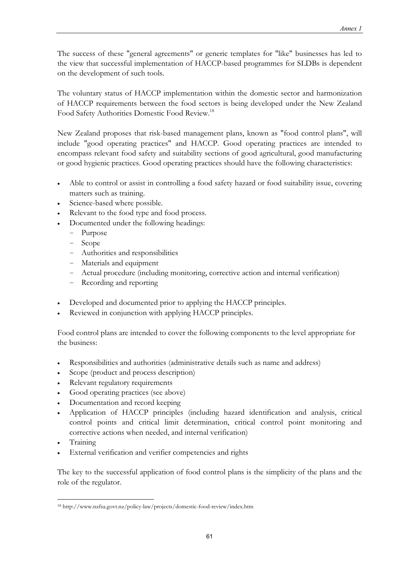The success of these "general agreements" or generic templates for "like" businesses has led to the view that successful implementation of HACCP-based programmes for SLDBs is dependent on the development of such tools.

The voluntary status of HACCP implementation within the domestic sector and harmonization of HACCP requirements between the food sectors is being developed under the New Zealand Food Safety Authorities Domestic Food Review.<sup>18</sup>

New Zealand proposes that risk-based management plans, known as "food control plans", will include "good operating practices" and HACCP. Good operating practices are intended to encompass relevant food safety and suitability sections of good agricultural, good manufacturing or good hygienic practices. Good operating practices should have the following characteristics:

- Able to control or assist in controlling a food safety hazard or food suitability issue, covering matters such as training.
- Science-based where possible.
- Relevant to the food type and food process.
- Documented under the following headings:
	- Purpose
	- Scope
	- Authorities and responsibilities
	- Materials and equipment
	- Actual procedure (including monitoring, corrective action and internal verification)
	- Recording and reporting
- Developed and documented prior to applying the HACCP principles.
- Reviewed in conjunction with applying HACCP principles.

Food control plans are intended to cover the following components to the level appropriate for the business:

- <sup>x</sup> Responsibilities and authorities (administrative details such as name and address)
- Scope (product and process description)
- Relevant regulatory requirements
- Good operating practices (see above)
- Documentation and record keeping
- <sup>x</sup> Application of HACCP principles (including hazard identification and analysis, critical control points and critical limit determination, critical control point monitoring and corrective actions when needed, and internal verification)
- **Training**
- External verification and verifier competencies and rights

The key to the successful application of food control plans is the simplicity of the plans and the role of the regulator.

<sup>18</sup> http://www.nzfsa.govt.nz/policy-law/projects/domestic-food-review/index.htm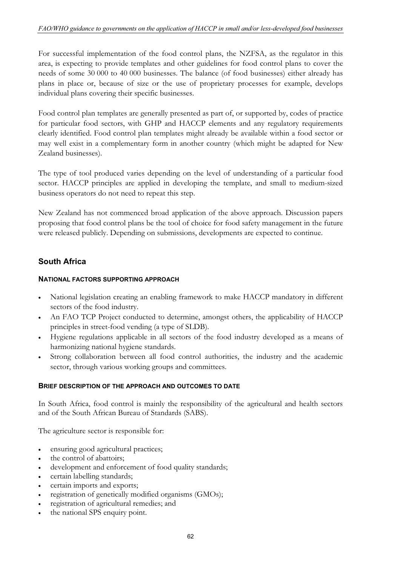For successful implementation of the food control plans, the NZFSA, as the regulator in this area, is expecting to provide templates and other guidelines for food control plans to cover the needs of some 30 000 to 40 000 businesses. The balance (of food businesses) either already has plans in place or, because of size or the use of proprietary processes for example, develops individual plans covering their specific businesses.

Food control plan templates are generally presented as part of, or supported by, codes of practice for particular food sectors, with GHP and HACCP elements and any regulatory requirements clearly identified. Food control plan templates might already be available within a food sector or may well exist in a complementary form in another country (which might be adapted for New Zealand businesses).

The type of tool produced varies depending on the level of understanding of a particular food sector. HACCP principles are applied in developing the template, and small to medium-sized business operators do not need to repeat this step.

New Zealand has not commenced broad application of the above approach. Discussion papers proposing that food control plans be the tool of choice for food safety management in the future were released publicly. Depending on submissions, developments are expected to continue.

# **South Africa**

## **NATIONAL FACTORS SUPPORTING APPROACH**

- National legislation creating an enabling framework to make HACCP mandatory in different sectors of the food industry.
- An FAO TCP Project conducted to determine, amongst others, the applicability of HACCP principles in street-food vending (a type of SLDB).
- <sup>x</sup> Hygiene regulations applicable in all sectors of the food industry developed as a means of harmonizing national hygiene standards.
- Strong collaboration between all food control authorities, the industry and the academic sector, through various working groups and committees.

## **BRIEF DESCRIPTION OF THE APPROACH AND OUTCOMES TO DATE**

In South Africa, food control is mainly the responsibility of the agricultural and health sectors and of the South African Bureau of Standards (SABS).

The agriculture sector is responsible for:

- ensuring good agricultural practices;
- the control of abattoirs;
- development and enforcement of food quality standards;
- certain labelling standards;
- certain imports and exports;
- registration of genetically modified organisms (GMOs);
- <sup>x</sup> registration of agricultural remedies; and
- the national SPS enquiry point.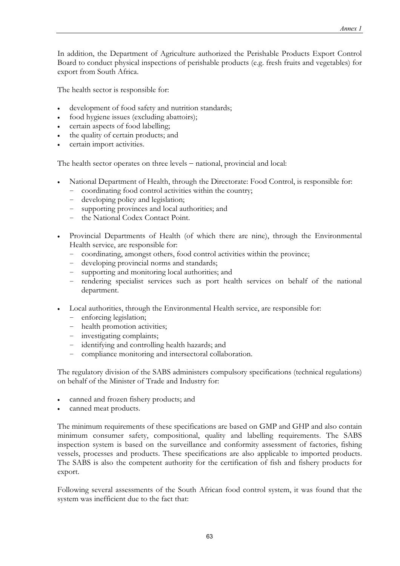In addition, the Department of Agriculture authorized the Perishable Products Export Control Board to conduct physical inspections of perishable products (e.g. fresh fruits and vegetables) for export from South Africa.

The health sector is responsible for:

- development of food safety and nutrition standards;
- food hygiene issues (excluding abattoirs);
- certain aspects of food labelling;
- the quality of certain products; and
- certain import activities.

The health sector operates on three levels – national, provincial and local:

- National Department of Health, through the Directorate: Food Control, is responsible for:
	- coordinating food control activities within the country;
	- developing policy and legislation;
	- supporting provinces and local authorities; and
	- the National Codex Contact Point.
- Provincial Departments of Health (of which there are nine), through the Environmental Health service, are responsible for:
	- coordinating, amongst others, food control activities within the province;
	- developing provincial norms and standards;
	- supporting and monitoring local authorities; and
	- rendering specialist services such as port health services on behalf of the national department.
- Local authorities, through the Environmental Health service, are responsible for:
	- enforcing legislation;
	- health promotion activities;
	- investigating complaints;
	- identifying and controlling health hazards; and
	- compliance monitoring and intersectoral collaboration.

The regulatory division of the SABS administers compulsory specifications (technical regulations) on behalf of the Minister of Trade and Industry for:

- canned and frozen fishery products; and
- canned meat products.

The minimum requirements of these specifications are based on GMP and GHP and also contain minimum consumer safety, compositional, quality and labelling requirements. The SABS inspection system is based on the surveillance and conformity assessment of factories, fishing vessels, processes and products. These specifications are also applicable to imported products. The SABS is also the competent authority for the certification of fish and fishery products for export.

Following several assessments of the South African food control system, it was found that the system was inefficient due to the fact that: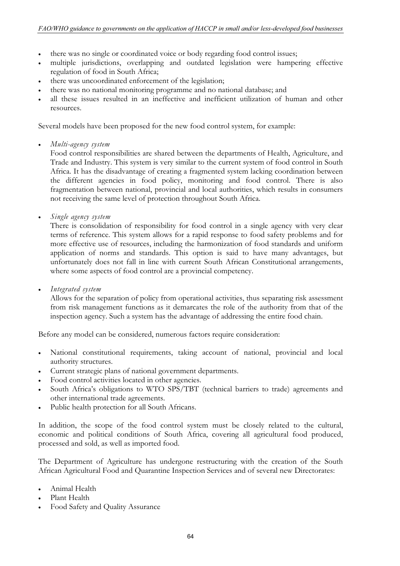- there was no single or coordinated voice or body regarding food control issues;
- <sup>x</sup> multiple jurisdictions, overlapping and outdated legislation were hampering effective regulation of food in South Africa;
- there was uncoordinated enforcement of the legislation;
- there was no national monitoring programme and no national database; and
- all these issues resulted in an ineffective and inefficient utilization of human and other resources.

Several models have been proposed for the new food control system, for example:

<sup>x</sup> *Multi-agency system* 

Food control responsibilities are shared between the departments of Health, Agriculture, and Trade and Industry. This system is very similar to the current system of food control in South Africa. It has the disadvantage of creating a fragmented system lacking coordination between the different agencies in food policy, monitoring and food control. There is also fragmentation between national, provincial and local authorities, which results in consumers not receiving the same level of protection throughout South Africa.

<sup>x</sup> *Single agency system*

There is consolidation of responsibility for food control in a single agency with very clear terms of reference. This system allows for a rapid response to food safety problems and for more effective use of resources, including the harmonization of food standards and uniform application of norms and standards. This option is said to have many advantages, but unfortunately does not fall in line with current South African Constitutional arrangements, where some aspects of food control are a provincial competency.

<sup>x</sup> *Integrated system*

Allows for the separation of policy from operational activities, thus separating risk assessment from risk management functions as it demarcates the role of the authority from that of the inspection agency. Such a system has the advantage of addressing the entire food chain.

Before any model can be considered, numerous factors require consideration:

- National constitutional requirements, taking account of national, provincial and local authority structures.
- Current strategic plans of national government departments.
- <sup>x</sup> Food control activities located in other agencies.
- <sup>x</sup> South Africa's obligations to WTO SPS/TBT (technical barriers to trade) agreements and other international trade agreements.
- Public health protection for all South Africans.

In addition, the scope of the food control system must be closely related to the cultural, economic and political conditions of South Africa, covering all agricultural food produced, processed and sold, as well as imported food.

The Department of Agriculture has undergone restructuring with the creation of the South African Agricultural Food and Quarantine Inspection Services and of several new Directorates:

- Animal Health
- Plant Health
- Food Safety and Quality Assurance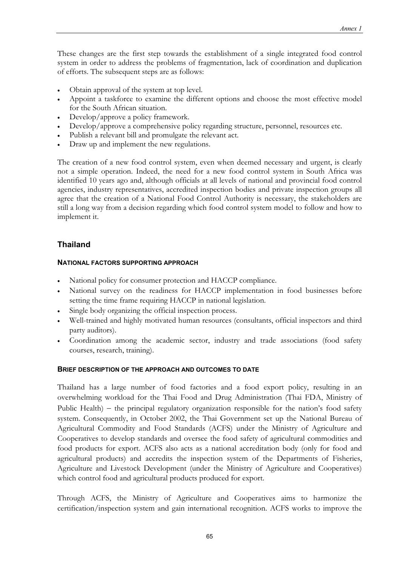These changes are the first step towards the establishment of a single integrated food control system in order to address the problems of fragmentation, lack of coordination and duplication of efforts. The subsequent steps are as follows:

- Obtain approval of the system at top level.
- Appoint a taskforce to examine the different options and choose the most effective model for the South African situation.
- Develop/approve a policy framework.
- Develop/approve a comprehensive policy regarding structure, personnel, resources etc.
- Publish a relevant bill and promulgate the relevant act.
- Draw up and implement the new regulations.

The creation of a new food control system, even when deemed necessary and urgent, is clearly not a simple operation. Indeed, the need for a new food control system in South Africa was identified 10 years ago and, although officials at all levels of national and provincial food control agencies, industry representatives, accredited inspection bodies and private inspection groups all agree that the creation of a National Food Control Authority is necessary, the stakeholders are still a long way from a decision regarding which food control system model to follow and how to implement it.

## **Thailand**

#### **NATIONAL FACTORS SUPPORTING APPROACH**

- National policy for consumer protection and HACCP compliance.
- National survey on the readiness for HACCP implementation in food businesses before setting the time frame requiring HACCP in national legislation.
- Single body organizing the official inspection process.
- Well-trained and highly motivated human resources (consultants, official inspectors and third party auditors).
- Coordination among the academic sector, industry and trade associations (food safety courses, research, training).

#### **BRIEF DESCRIPTION OF THE APPROACH AND OUTCOMES TO DATE**

Thailand has a large number of food factories and a food export policy, resulting in an overwhelming workload for the Thai Food and Drug Administration (Thai FDA, Ministry of Public Health)  $-$  the principal regulatory organization responsible for the nation's food safety system. Consequently, in October 2002, the Thai Government set up the National Bureau of Agricultural Commodity and Food Standards (ACFS) under the Ministry of Agriculture and Cooperatives to develop standards and oversee the food safety of agricultural commodities and food products for export. ACFS also acts as a national accreditation body (only for food and agricultural products) and accredits the inspection system of the Departments of Fisheries, Agriculture and Livestock Development (under the Ministry of Agriculture and Cooperatives) which control food and agricultural products produced for export.

Through ACFS, the Ministry of Agriculture and Cooperatives aims to harmonize the certification/inspection system and gain international recognition. ACFS works to improve the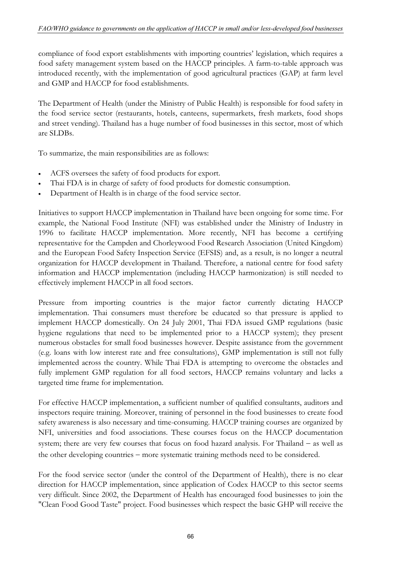compliance of food export establishments with importing countries' legislation, which requires a food safety management system based on the HACCP principles. A farm-to-table approach was introduced recently, with the implementation of good agricultural practices (GAP) at farm level and GMP and HACCP for food establishments.

The Department of Health (under the Ministry of Public Health) is responsible for food safety in the food service sector (restaurants, hotels, canteens, supermarkets, fresh markets, food shops and street vending). Thailand has a huge number of food businesses in this sector, most of which are SLDBs.

To summarize, the main responsibilities are as follows:

- ACFS oversees the safety of food products for export.
- Thai FDA is in charge of safety of food products for domestic consumption.
- Department of Health is in charge of the food service sector.

Initiatives to support HACCP implementation in Thailand have been ongoing for some time. For example, the National Food Institute (NFI) was established under the Ministry of Industry in 1996 to facilitate HACCP implementation. More recently, NFI has become a certifying representative for the Campden and Chorleywood Food Research Association (United Kingdom) and the European Food Safety Inspection Service (EFSIS) and, as a result, is no longer a neutral organization for HACCP development in Thailand. Therefore, a national centre for food safety information and HACCP implementation (including HACCP harmonization) is still needed to effectively implement HACCP in all food sectors.

Pressure from importing countries is the major factor currently dictating HACCP implementation. Thai consumers must therefore be educated so that pressure is applied to implement HACCP domestically. On 24 July 2001, Thai FDA issued GMP regulations (basic hygiene regulations that need to be implemented prior to a HACCP system); they present numerous obstacles for small food businesses however. Despite assistance from the government (e.g. loans with low interest rate and free consultations), GMP implementation is still not fully implemented across the country. While Thai FDA is attempting to overcome the obstacles and fully implement GMP regulation for all food sectors, HACCP remains voluntary and lacks a targeted time frame for implementation.

For effective HACCP implementation, a sufficient number of qualified consultants, auditors and inspectors require training. Moreover, training of personnel in the food businesses to create food safety awareness is also necessary and time-consuming. HACCP training courses are organized by NFI, universities and food associations. These courses focus on the HACCP documentation system; there are very few courses that focus on food hazard analysis. For Thailand  $-$  as well as the other developing countries - more systematic training methods need to be considered.

For the food service sector (under the control of the Department of Health), there is no clear direction for HACCP implementation, since application of Codex HACCP to this sector seems very difficult. Since 2002, the Department of Health has encouraged food businesses to join the "Clean Food Good Taste" project. Food businesses which respect the basic GHP will receive the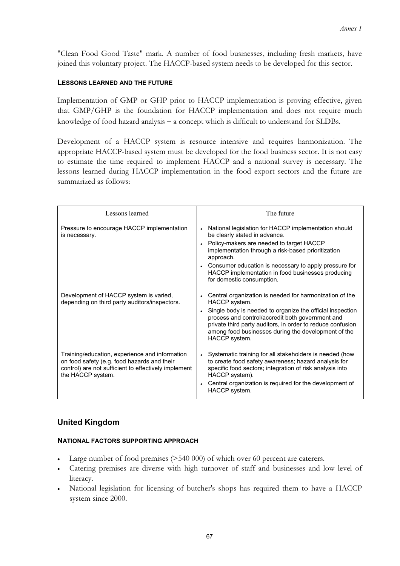"Clean Food Good Taste" mark. A number of food businesses, including fresh markets, have joined this voluntary project. The HACCP-based system needs to be developed for this sector.

## **LESSONS LEARNED AND THE FUTURE**

Implementation of GMP or GHP prior to HACCP implementation is proving effective, given that GMP/GHP is the foundation for HACCP implementation and does not require much knowledge of food hazard analysis  $-$  a concept which is difficult to understand for SLDBs.

Development of a HACCP system is resource intensive and requires harmonization. The appropriate HACCP-based system must be developed for the food business sector. It is not easy to estimate the time required to implement HACCP and a national survey is necessary. The lessons learned during HACCP implementation in the food export sectors and the future are summarized as follows:

| Lessons learned                                                                                                                                                            | The future                                                                                                                                                                                                                                                                                                                                                   |
|----------------------------------------------------------------------------------------------------------------------------------------------------------------------------|--------------------------------------------------------------------------------------------------------------------------------------------------------------------------------------------------------------------------------------------------------------------------------------------------------------------------------------------------------------|
| Pressure to encourage HACCP implementation<br>is necessary.                                                                                                                | National legislation for HACCP implementation should<br>$\bullet$<br>be clearly stated in advance.<br>Policy-makers are needed to target HACCP<br>implementation through a risk-based prioritization<br>approach.<br>Consumer education is necessary to apply pressure for<br>HACCP implementation in food businesses producing<br>for domestic consumption. |
| Development of HACCP system is varied,<br>depending on third party auditors/inspectors.                                                                                    | Central organization is needed for harmonization of the<br>HACCP system.<br>Single body is needed to organize the official inspection<br>process and control/accredit both government and<br>private third party auditors, in order to reduce confusion<br>among food businesses during the development of the<br>HACCP system.                              |
| Training/education, experience and information<br>on food safety (e.g. food hazards and their<br>control) are not sufficient to effectively implement<br>the HACCP system. | Systematic training for all stakeholders is needed (how<br>to create food safety awareness; hazard analysis for<br>specific food sectors; integration of risk analysis into<br>HACCP system).<br>Central organization is required for the development of<br>HACCP system.                                                                                    |

## **United Kingdom**

### **NATIONAL FACTORS SUPPORTING APPROACH**

- Large number of food premises (>540 000) of which over 60 percent are caterers.
- Catering premises are diverse with high turnover of staff and businesses and low level of literacy.
- National legislation for licensing of butcher's shops has required them to have a HACCP system since 2000.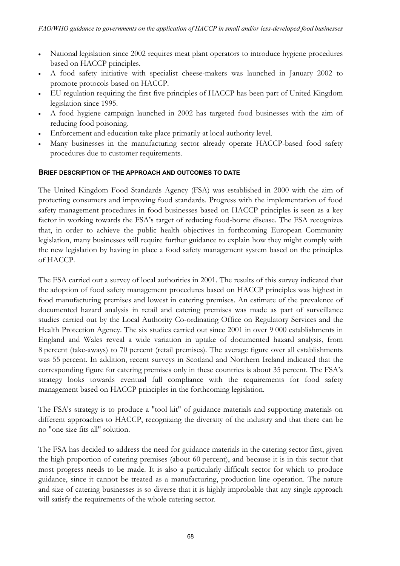- National legislation since 2002 requires meat plant operators to introduce hygiene procedures based on HACCP principles.
- <sup>x</sup> A food safety initiative with specialist cheese-makers was launched in January 2002 to promote protocols based on HACCP.
- <sup>x</sup> EU regulation requiring the first five principles of HACCP has been part of United Kingdom legislation since 1995.
- <sup>x</sup> A food hygiene campaign launched in 2002 has targeted food businesses with the aim of reducing food poisoning.
- <sup>x</sup> Enforcement and education take place primarily at local authority level.
- Many businesses in the manufacturing sector already operate HACCP-based food safety procedures due to customer requirements.

## **BRIEF DESCRIPTION OF THE APPROACH AND OUTCOMES TO DATE**

The United Kingdom Food Standards Agency (FSA) was established in 2000 with the aim of protecting consumers and improving food standards. Progress with the implementation of food safety management procedures in food businesses based on HACCP principles is seen as a key factor in working towards the FSA's target of reducing food-borne disease. The FSA recognizes that, in order to achieve the public health objectives in forthcoming European Community legislation, many businesses will require further guidance to explain how they might comply with the new legislation by having in place a food safety management system based on the principles of HACCP.

The FSA carried out a survey of local authorities in 2001. The results of this survey indicated that the adoption of food safety management procedures based on HACCP principles was highest in food manufacturing premises and lowest in catering premises. An estimate of the prevalence of documented hazard analysis in retail and catering premises was made as part of surveillance studies carried out by the Local Authority Co-ordinating Office on Regulatory Services and the Health Protection Agency. The six studies carried out since 2001 in over 9 000 establishments in England and Wales reveal a wide variation in uptake of documented hazard analysis, from 8 percent (take-aways) to 70 percent (retail premises). The average figure over all establishments was 55 percent. In addition, recent surveys in Scotland and Northern Ireland indicated that the corresponding figure for catering premises only in these countries is about 35 percent. The FSA's strategy looks towards eventual full compliance with the requirements for food safety management based on HACCP principles in the forthcoming legislation.

The FSA's strategy is to produce a "tool kit" of guidance materials and supporting materials on different approaches to HACCP, recognizing the diversity of the industry and that there can be no "one size fits all" solution.

The FSA has decided to address the need for guidance materials in the catering sector first, given the high proportion of catering premises (about 60 percent), and because it is in this sector that most progress needs to be made. It is also a particularly difficult sector for which to produce guidance, since it cannot be treated as a manufacturing, production line operation. The nature and size of catering businesses is so diverse that it is highly improbable that any single approach will satisfy the requirements of the whole catering sector.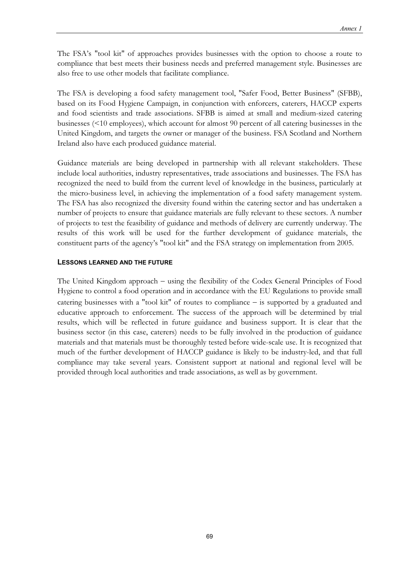The FSA's "tool kit" of approaches provides businesses with the option to choose a route to compliance that best meets their business needs and preferred management style. Businesses are also free to use other models that facilitate compliance.

The FSA is developing a food safety management tool, "Safer Food, Better Business" (SFBB), based on its Food Hygiene Campaign, in conjunction with enforcers, caterers, HACCP experts and food scientists and trade associations. SFBB is aimed at small and medium-sized catering businesses (<10 employees), which account for almost 90 percent of all catering businesses in the United Kingdom, and targets the owner or manager of the business. FSA Scotland and Northern Ireland also have each produced guidance material.

Guidance materials are being developed in partnership with all relevant stakeholders. These include local authorities, industry representatives, trade associations and businesses. The FSA has recognized the need to build from the current level of knowledge in the business, particularly at the micro-business level, in achieving the implementation of a food safety management system. The FSA has also recognized the diversity found within the catering sector and has undertaken a number of projects to ensure that guidance materials are fully relevant to these sectors. A number of projects to test the feasibility of guidance and methods of delivery are currently underway. The results of this work will be used for the further development of guidance materials, the constituent parts of the agency's "tool kit" and the FSA strategy on implementation from 2005.

#### **LESSONS LEARNED AND THE FUTURE**

The United Kingdom approach – using the flexibility of the Codex General Principles of Food Hygiene to control a food operation and in accordance with the EU Regulations to provide small catering businesses with a "tool kit" of routes to compliance  $-$  is supported by a graduated and educative approach to enforcement. The success of the approach will be determined by trial results, which will be reflected in future guidance and business support. It is clear that the business sector (in this case, caterers) needs to be fully involved in the production of guidance materials and that materials must be thoroughly tested before wide-scale use. It is recognized that much of the further development of HACCP guidance is likely to be industry-led, and that full compliance may take several years. Consistent support at national and regional level will be provided through local authorities and trade associations, as well as by government.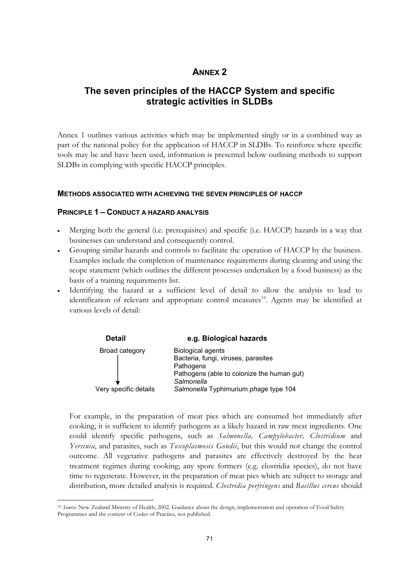# **ANNEX 2**

# **The seven principles of the HACCP System and specific strategic activities in SLDBs**

Annex 1 outlines various activities which may be implemented singly or in a combined way as part of the national policy for the application of HACCP in SLDBs. To reinforce where specific tools may be and have been used, information is presented below outlining methods to support SLDBs in complying with specific HACCP principles.

#### **METHODS ASSOCIATED WITH ACHIEVING THE SEVEN PRINCIPLES OF HACCP**

#### **PRINCIPLE 1–CONDUCT A HAZARD ANALYSIS**

- <sup>x</sup> Merging both the general (i.e. prerequisites) and specific (i.e. HACCP) hazards in a way that businesses can understand and consequently control.
- Grouping similar hazards and controls to facilitate the operation of HACCP by the business. Examples include the completion of maintenance requirements during cleaning and using the scope statement (which outlines the different processes undertaken by a food business) as the basis of a training requirements list.
- <sup>x</sup> Identifying the hazard at a sufficient level of detail to allow the analysis to lead to identification of relevant and appropriate control measures<sup>19</sup>. Agents may be identified at various levels of detail:



For example, in the preparation of meat pies which are consumed hot immediately after cooking, it is sufficient to identify pathogens as a likely hazard in raw meat ingredients. One could identify specific pathogens, such as *Salmonella, Campylobacter, Clostridium* and *Yersinia*, and parasites, such as *Toxoplasmosis Gondii*, but this would not change the control outcome. All vegetative pathogens and parasites are effectively destroyed by the heat treatment regimes during cooking; any spore formers (e.g. clostridia species), do not have time to regenerate. However, in the preparation of meat pies which are subject to storage and distribution, more detailed analysis is required. *Clostridia perfringens* and *Bacillus cereus* should

<sup>19</sup> *Source:* New Zealand Ministry of Health, 2002. Guidance about the design, implementation and operation of Food Safety Programmes and the content of Codes of Practice, not published.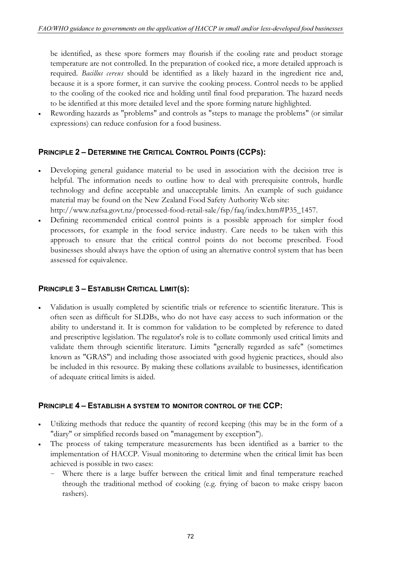be identified, as these spore formers may flourish if the cooling rate and product storage temperature are not controlled. In the preparation of cooked rice, a more detailed approach is required. *Bacillus cereus* should be identified as a likely hazard in the ingredient rice and, because it is a spore former, it can survive the cooking process. Control needs to be applied to the cooling of the cooked rice and holding until final food preparation. The hazard needs to be identified at this more detailed level and the spore forming nature highlighted.

Rewording hazards as "problems" and controls as "steps to manage the problems" (or similar expressions) can reduce confusion for a food business.

# **PRINCIPLE 2–DETERMINE THE CRITICAL CONTROL POINTS (CCPS):**

- <sup>x</sup> Developing general guidance material to be used in association with the decision tree is helpful. The information needs to outline how to deal with prerequisite controls, hurdle technology and define acceptable and unacceptable limits. An example of such guidance material may be found on the New Zealand Food Safety Authority Web site:
- http://www.nzfsa.govt.nz/processed-food-retail-sale/fsp/faq/index.htm#P35\_1457.
- Defining recommended critical control points is a possible approach for simpler food processors, for example in the food service industry. Care needs to be taken with this approach to ensure that the critical control points do not become prescribed. Food businesses should always have the option of using an alternative control system that has been assessed for equivalence.

# **PRINCIPLE 3–ESTABLISH CRITICAL LIMIT(S):**

<sup>x</sup> Validation is usually completed by scientific trials or reference to scientific literature. This is often seen as difficult for SLDBs, who do not have easy access to such information or the ability to understand it. It is common for validation to be completed by reference to dated and prescriptive legislation. The regulator's role is to collate commonly used critical limits and validate them through scientific literature. Limits "generally regarded as safe" (sometimes known as "GRAS") and including those associated with good hygienic practices, should also be included in this resource. By making these collations available to businesses, identification of adequate critical limits is aided.

# **PRINCIPLE 4–ESTABLISH A SYSTEM TO MONITOR CONTROL OF THE CCP:**

- Utilizing methods that reduce the quantity of record keeping (this may be in the form of a "diary" or simplified records based on "management by exception").
- The process of taking temperature measurements has been identified as a barrier to the implementation of HACCP. Visual monitoring to determine when the critical limit has been achieved is possible in two cases:
	- Where there is a large buffer between the critical limit and final temperature reached through the traditional method of cooking (e.g. frying of bacon to make crispy bacon rashers).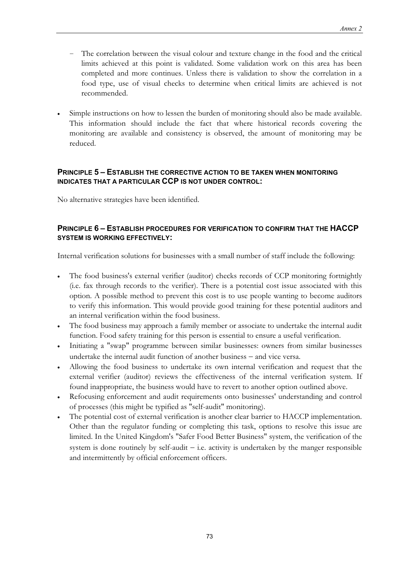- î The correlation between the visual colour and texture change in the food and the critical limits achieved at this point is validated. Some validation work on this area has been completed and more continues. Unless there is validation to show the correlation in a food type, use of visual checks to determine when critical limits are achieved is not recommended.
- Simple instructions on how to lessen the burden of monitoring should also be made available. This information should include the fact that where historical records covering the monitoring are available and consistency is observed, the amount of monitoring may be reduced.

## **PRINCIPLE 5–ESTABLISH THE CORRECTIVE ACTION TO BE TAKEN WHEN MONITORING INDICATES THAT A PARTICULAR CCP IS NOT UNDER CONTROL:**

No alternative strategies have been identified.

## **PRINCIPLE 6–ESTABLISH PROCEDURES FOR VERIFICATION TO CONFIRM THAT THE HACCP SYSTEM IS WORKING EFFECTIVELY:**

Internal verification solutions for businesses with a small number of staff include the following:

- The food business's external verifier (auditor) checks records of CCP monitoring fortnightly (i.e. fax through records to the verifier). There is a potential cost issue associated with this option. A possible method to prevent this cost is to use people wanting to become auditors to verify this information. This would provide good training for these potential auditors and an internal verification within the food business.
- The food business may approach a family member or associate to undertake the internal audit function. Food safety training for this person is essential to ensure a useful verification.
- <sup>x</sup> Initiating a "swap" programme between similar businesses: owners from similar businesses undertake the internal audit function of another business - and vice versa.
- <sup>x</sup> Allowing the food business to undertake its own internal verification and request that the external verifier (auditor) reviews the effectiveness of the internal verification system. If found inappropriate, the business would have to revert to another option outlined above.
- <sup>x</sup> Refocusing enforcement and audit requirements onto businesses' understanding and control of processes (this might be typified as "self-audit" monitoring).
- The potential cost of external verification is another clear barrier to HACCP implementation. Other than the regulator funding or completing this task, options to resolve this issue are limited. In the United Kingdom's "Safer Food Better Business" system, the verification of the system is done routinely by self-audit  $-$  i.e. activity is undertaken by the manger responsible and intermittently by official enforcement officers.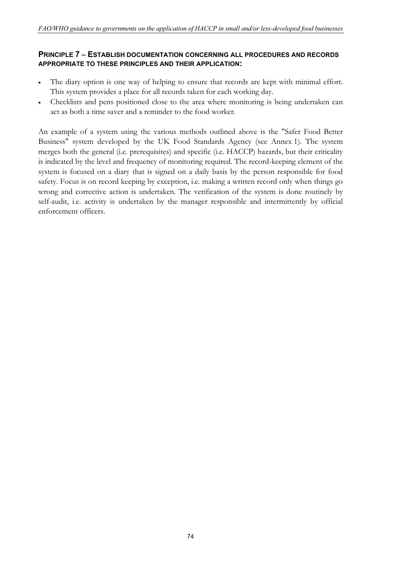# **PRINCIPLE 7 ESTABLISH DOCUMENTATION CONCERNING ALL PROCEDURES AND RECORDS APPROPRIATE TO THESE PRINCIPLES AND THEIR APPLICATION:**

- The diary option is one way of helping to ensure that records are kept with minimal effort. This system provides a place for all records taken for each working day.
- Checklists and pens positioned close to the area where monitoring is being undertaken can act as both a time saver and a reminder to the food worker.

An example of a system using the various methods outlined above is the "Safer Food Better Business" system developed by the UK Food Standards Agency (see Annex 1). The system merges both the general (i.e. prerequisites) and specific (i.e. HACCP) hazards, but their criticality is indicated by the level and frequency of monitoring required. The record-keeping element of the system is focused on a diary that is signed on a daily basis by the person responsible for food safety. Focus is on record keeping by exception, i.e. making a written record only when things go wrong and corrective action is undertaken. The verification of the system is done routinely by self-audit, i.e. activity is undertaken by the manager responsible and intermittently by official enforcement officers.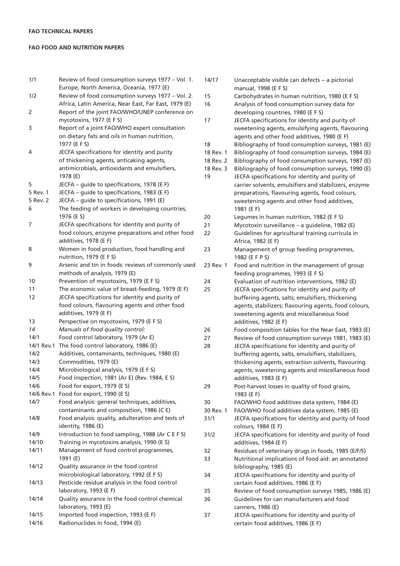#### **FAO FOOD AND NUTRITION PAPERS**

| 1/1        | Review of food consumption surveys 1977 - Vol. 1.    |        |
|------------|------------------------------------------------------|--------|
|            | Europe, North America, Oceania, 1977 (E)             |        |
| 1/2        | Review of food consumption surveys 1977 - Vol. 2.    |        |
|            | Africa, Latin America, Near East, Far East, 1979 (E) |        |
| 2          | Report of the joint FAO/WHO/UNEP conference on       |        |
|            | mycotoxins, 1977 (E F S)                             |        |
| 3          | Report of a joint FAO/WHO expert consultation        |        |
|            | on dietary fats and oils in human nutrition,         |        |
|            | 1977 (E F S)                                         |        |
| 4          | JECFA specifications for identity and purity         |        |
|            | of thickening agents, anticaking agents,             |        |
|            | antimicrobials, antioxidants and emulsifiers,        |        |
|            | 1978 (E)                                             |        |
| 5          | JECFA - guide to specifications, 1978 (E F)          |        |
| 5 Rev. 1   | JECFA - guide to specifications, 1983 (E F)          |        |
| 5 Rev. 2   | JECFA - guide to specifications, 1991 (E)            |        |
| 6          | The feeding of workers in developing countries,      |        |
|            | 1976 (E S)                                           | 2      |
| 7          | JECFA specifications for identity and purity of      | 2      |
|            | food colours, enzyme preparations and other food     | Ž      |
|            | additives, 1978 (E F)                                |        |
| 8          | Women in food production, food handling and          | 2      |
|            | nutrition, 1979 (E F S)                              |        |
| 9          | Arsenic and tin in foods: reviews of commonly used   | 2      |
|            |                                                      |        |
|            | methods of analysis, 1979 (E)                        |        |
| 10         | Prevention of mycotoxins, 1979 (E F S)               | 2      |
| 11         | The economic value of breast-feeding, 1979 (E F)     | Ž      |
| 12         | JECFA specifications for identity and purity of      |        |
|            | food colours, flavouring agents and other food       |        |
|            | additives, 1979 (E F)                                |        |
| 13         | Perspective on mycotoxins, 1979 (E F S)              |        |
| 14         | Manuals of food quality control:                     | 2      |
| 14/1       | Food control laboratory, 1979 (Ar E)                 | 2      |
| 14/1 Rev.1 | The food control laboratory, 1986 (E)                | 2      |
| 14/2       | Additives, contaminants, techniques, 1980 (E)        |        |
| 14/3       | Commodities, 1979 (E)                                |        |
| 14/4       | Microbiological analysis, 1979 (E F S)               |        |
| 14/5       | Food inspection, 1981 (Ar E) (Rev. 1984, E S)        |        |
| 14/6       | Food for export, 1979 (E S)                          | 2      |
| 14/6 Rev.1 | Food for export, 1990 (E S)                          |        |
| 14/7       | Food analysis: general techniques, additives,        | Ξ      |
|            | contaminants and composition, 1986 (C E)             |        |
| 14/8       | Food analysis: quality, adulteration and tests of    |        |
|            | identity, 1986 (E)                                   |        |
| 14/9       | Introduction to food sampling, 1988 (Ar C E F S)     | Ξ      |
| 14/10      | Training in mycotoxins analysis, 1990 (E S)          |        |
| 14/11      | Management of food control programmes,               | Ξ      |
|            | 1991 (E)                                             | Ξ      |
| 14/12      | Quality assurance in the food control                |        |
|            | microbiological laboratory, 1992 (E F S)             | Ξ      |
| 14/13      | Pesticide residue analysis in the food control       |        |
|            | laboratory, 1993 (E F)                               |        |
| 14/14      | Quality assurance in the food control chemical       | Ξ<br>Ξ |
|            | laboratory, 1993 (E)                                 |        |
| 14/15      | Imported food inspection, 1993 (E F)                 |        |
| 14/16      | Radionuclides in food, 1994 (E)                      | Ξ      |
|            |                                                      |        |

| 14/17     | Unacceptable visible can defects - a pictorial<br>manual, 1998 (E F S) |
|-----------|------------------------------------------------------------------------|
| 15        | Carbohydrates in human nutrition, 1980 (E F S)                         |
| 16        | Analysis of food consumption survey data for                           |
|           | developing countries, 1980 (E F S)                                     |
| 17        | JECFA specifications for identity and purity of                        |
|           | sweetening agents, emulsifying agents, flavouring                      |
|           | agents and other food additives, 1980 (E F)                            |
| 18        | Bibliography of food consumption surveys, 1981 (E)                     |
| 18 Rev. 1 | Bibliography of food consumption surveys, 1984 (E)                     |
| 18 Rev. 2 | Bibliography of food consumption surveys, 1987 (E)                     |
| 18 Rev. 3 | Bibliography of food consumption surveys, 1990 (E)                     |
| 19        | JECFA specifications for identity and purity of                        |
|           | carrier solvents, emulsifiers and stabilizers, enzyme                  |
|           | preparations, flavouring agents, food colours,                         |
|           | sweetening agents and other food additives,                            |
|           | 1981 (E F)                                                             |
| 20        | Legumes in human nutrition, 1982 (E F S)                               |
| 21        | Mycotoxin surveillance - a guideline, 1982 (E)                         |
| 22        | Guidelines for agricultural training curricula in                      |
|           | Africa, 1982 (E F)                                                     |
| 23        | Management of group feeding programmes,                                |
|           | 1982 (E F P S)                                                         |
| 23 Rev. 1 | Food and nutrition in the management of group                          |
|           | feeding programmes, 1993 (E F S)                                       |
| 24        | Evaluation of nutrition interventions, 1982 (E)                        |
| 25        | JECFA specifications for identity and purity of                        |
|           | buffering agents, salts; emulsifiers, thickening                       |
|           | agents, stabilizers; flavouring agents, food colours,                  |
|           | sweetening agents and miscellaneous food                               |
|           | additives, 1982 (E F)                                                  |
| 26        | Food composition tables for the Near East, 1983 (E)                    |
| 27        | Review of food consumption surveys 1981, 1983 (E)                      |
| 28        | JECFA specifications for identity and purity of                        |
|           | buffering agents, salts, emulsifiers, stabilizers,                     |
|           | thickening agents, extraction solvents, flavouring                     |
|           | agents, sweetening agents and miscellaneous food                       |
|           | additives, 1983 (E F)                                                  |
| 29        | Post-harvest losses in quality of food grains,                         |
| 30        | 1983 (E F)<br>FAO/WHO food additives data system, 1984 (E)             |
| 30 Rev. 1 | FAO/WHO food additives data system, 1985 (E)                           |
| 31/1      | JECFA specifications for identity and purity of food                   |
|           | colours, 1984 (E F)                                                    |
| 31/2      | JECFA specifications for identity and purity of food                   |
|           | additives, 1984 (E F)                                                  |
| 32        | Residues of veterinary drugs in foods, 1985 (E/F/S)                    |
| 33        | Nutritional implications of food aid: an annotated                     |
|           | bibliography, 1985 (E)                                                 |
| 34        | JECFA specifications for identity and purity of                        |
|           | certain food additives, 1986 (E F)                                     |
| 35        | Review of food consumption surveys 1985, 1986 (E)                      |
| 36        | Guidelines for can manufacturers and food                              |
|           | canners, 1986 (E)                                                      |
| 37        | JECFA specifications for identity and purity of                        |
|           | certain food additives, 1986 (E F)                                     |
|           |                                                                        |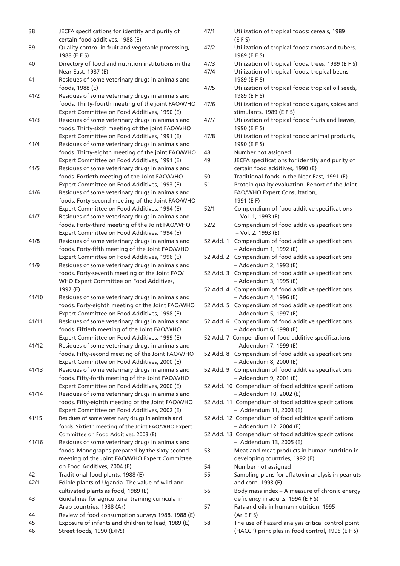- JECFA specifications for identity and purity of 38 certain food additives, 1988 (E)
- 39 Quality control in fruit and vegetable processing, 1988 (E F S)
- Directory of food and nutrition institutions in the 40 Near East, 1987 (E)
- $41$ Residues of some veterinary drugs in animals and foods, 1988 (E)
- $41/2$ Residues of some veterinary drugs in animals and foods. Thirty-fourth meeting of the joint FAO/WHO Expert Committee on Food Additives, 1990 (E)
- $41/3$ Residues of some veterinary drugs in animals and foods. Thirty-sixth meeting of the joint FAO/WHO Expert Committee on Food Additives, 1991 (E)
- $41/4$ Residues of some veterinary drugs in animals and foods. Thirty-eighth meeting of the joint FAO/WHO Expert Committee on Food Additives, 1991 (E)
- $41/5$ Residues of some veterinary drugs in animals and foods. Fortieth meeting of the Joint FAO/WHO Expert Committee on Food Additives, 1993 (E)
- $41/6$ Residues of some veterinary drugs in animals and foods. Forty-second meeting of the Joint FAO/WHO Expert Committee on Food Additives, 1994 (E)
- 41/7 Residues of some veterinary drugs in animals and foods. Forty-third meeting of the Joint FAO/WHO Expert Committee on Food Additives, 1994 (E)
- $41/8$ Residues of some veterinary drugs in animals and foods. Forty-fifth meeting of the Joint FAO/WHO Expert Committee on Food Additives, 1996 (E)
- 41/9 Residues of some veterinary drugs in animals and foods. Forty-seventh meeting of the Joint FAO/ WHO Expert Committee on Food Additives, 1997 (E)
- 41/10 Residues of some veterinary drugs in animals and foods. Forty-eighth meeting of the Joint FAO/WHO Expert Committee on Food Additives, 1998 (E)
- $41/11$ Residues of some veterinary drugs in animals and foods. Fiftieth meeting of the Joint FAO/WHO Expert Committee on Food Additives, 1999 (E)
- $41/12$ Residues of some veterinary drugs in animals and foods. Fifty-second meeting of the Joint FAO/WHO Expert Committee on Food Additives, 2000 (E)  $41/13$
- Residues of some veterinary drugs in animals and foods. Fifty-forth meeting of the Joint FAO/WHO Expert Committee on Food Additives, 2000 (E)
- 41/14 Residues of some veterinary drugs in animals and foods. Fifty-eighth meeting of the Joint FAO/WHO Expert Committee on Food Additives, 2002 (E)
- $41/15$ Residues of some veterinary drugs in animals and foods. Sixtieth meeting of the Joint FAO/WHO Expert Committee on Food Additives, 2003 (E)
- 41/16 Residues of some veterinary drugs in animals and foods. Monographs prepared by the sixty-second meeting of the Joint FAO/WHO Expert Committee on Food Additives, 2004 (E)

42 Traditional food plants, 1988 (E)

- $42/1$ Edible plants of Uganda. The value of wild and cultivated plants as food, 1989 (E)
- 43 Guidelines for agricultural training curricula in Arab countries, 1988 (Ar)
- 44 Review of food consumption surveys 1988, 1988 (E)
- 45 Exposure of infants and children to lead, 1989 (E)
- Street foods, 1990 (E/F/S) 46
- $47/1$ Utilization of tropical foods: cereals, 1989  $(F F S)$
- $47/2$ Utilization of tropical foods: roots and tubers, 1989 (E F S)
- $47/3$ Utilization of tropical foods: trees, 1989 (E F S)
- $47/4$ Utilization of tropical foods: tropical beans. 1989 (E F S)
- $47/5$ Utilization of tropical foods: tropical oil seeds, 1989 (E F S)
- Utilization of tropical foods: sugars, spices and  $47/6$ stimulants, 1989 (E F S)
- 47/7 Utilization of tropical foods: fruits and leaves, 1990 (E F S)
- 47/8 Utilization of tropical foods: animal products, 1990 (E F S)
- 48 Number not assigned
- JECFA specifications for identity and purity of  $\Delta$ 9 certain food additives, 1990 (E)
- 50 Traditional foods in the Near East, 1991 (E)
- 51 Protein quality evaluation. Report of the Joint FAO/WHO Expert Consultation, 1991 (E F)
- $52/1$ Compendium of food additive specifications - Vol. 1, 1993 (E)
- $52/2$ Compendium of food additive specifications - Vol. 2, 1993 (E)
- 52 Add. 1 Compendium of food additive specifications - Addendum 1, 1992 (E)
- 52 Add. 2 Compendium of food additive specifications - Addendum 2, 1993 (E)
- 52 Add. 3 Compendium of food additive specifications - Addendum 3, 1995 (E)
- 52 Add. 4 Compendium of food additive specifications - Addendum 4, 1996 (E)
- 52 Add. 5 Compendium of food additive specifications - Addendum 5, 1997 (E)
- 52 Add. 6 Compendium of food additive specifications - Addendum 6, 1998 (E)
- 52 Add. 7 Compendium of food additive specifications - Addendum 7, 1999 (E)
- 52 Add. 8 Compendium of food additive specifications - Addendum 8, 2000 (E)
- 52 Add. 9 Compendium of food additive specifications - Addendum 9, 2001 (E)
- 52 Add. 10 Compendium of food additive specifications - Addendum 10, 2002 (E)
- 52 Add. 11 Compendium of food additive specifications - Addendum 11, 2003 (E)
- 52 Add. 12 Compendium of food additive specifications - Addendum 12, 2004 (E)
- 52 Add. 13 Compendium of food additive specifications - Addendum 13, 2005 (E)
- 53 Meat and meat products in human nutrition in developing countries, 1992 (E)
- 54 Number not assigned
- 55 Sampling plans for aflatoxin analysis in peanuts and corn, 1993 (E)
- 56 Body mass index - A measure of chronic energy deficiency in adults, 1994 (E F S)
- 57 Fats and oils in human nutrition, 1995  $(Ar E F S)$
- 58 The use of hazard analysis critical control point (HACCP) principles in food control, 1995 (E F S)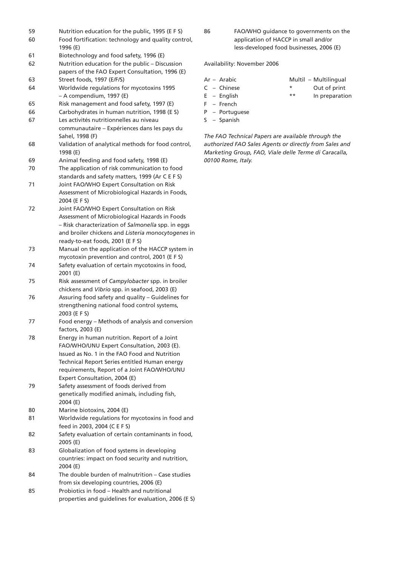- Nutrition education for the public, 1995 (E F S) 59
- 60 Food fortification: technology and quality control, 1996 (E)
- 61 Biotechnology and food safety, 1996 (E)
- 62 Nutrition education for the public - Discussion papers of the FAO Expert Consultation, 1996 (E)
- 63 Street foods, 1997 (E/F/S)
- 64 Worldwide regulations for mycotoxins 1995 - A compendium, 1997 (E)
- Risk management and food safety, 1997 (E) 65
- Carbohydrates in human nutrition, 1998 (E S) 66
- 67 Les activités nutritionnelles au niveau communautaire - Expériences dans les pays du Sahel, 1998 (F)
- Validation of analytical methods for food control, 68 1998 (E)
- Animal feeding and food safety, 1998 (E)  $69$
- 70 The application of risk communication to food standards and safety matters, 1999 (Ar C E F S)
- 71 Joint FAO/WHO Expert Consultation on Risk Assessment of Microbiological Hazards in Foods, 2004 (E F S)
- 72 Joint FAO/WHO Expert Consultation on Risk Assessment of Microbiological Hazards in Foods - Risk characterization of Salmonella spp. in eggs and broiler chickens and Listeria monocytogenes in ready-to-eat foods, 2001 (E F S)
- 73 Manual on the application of the HACCP system in mycotoxin prevention and control, 2001 (E F S)
- 74 Safety evaluation of certain mycotoxins in food, 2001 (E)
- 75 Risk assessment of Campylobacter spp. in broiler chickens and Vibrio spp. in seafood, 2003 (E)
- Assuring food safety and quality Guidelines for 76 strengthening national food control systems, 2003 (E F S)
- 77 Food energy - Methods of analysis and conversion factors, 2003 (E)
- Energy in human nutrition. Report of a Joint 78 FAO/WHO/UNU Expert Consultation, 2003 (E). Issued as No. 1 in the FAO Food and Nutrition Technical Report Series entitled Human energy requirements, Report of a Joint FAO/WHO/UNU Expert Consultation, 2004 (E)
- 79 Safety assessment of foods derived from genetically modified animals, including fish,  $2004(E)$
- $80$ Marine biotoxins, 2004 (E)
- 81 Worldwide regulations for mycotoxins in food and feed in 2003, 2004 (C E F S)
- Safety evaluation of certain contaminants in food, 82  $2005$  (E)
- 83 Globalization of food systems in developing countries: impact on food security and nutrition,  $2004(F)$
- The double burden of malnutrition Case studies 84 from six developing countries, 2006 (E)
- 85 Probiotics in food - Health and nutritional properties and guidelines for evaluation, 2006 (E S)

| FAO/WHO guidance to governments on the   |
|------------------------------------------|
| application of HACCP in small and/or     |
| less-developed food businesses, 2006 (E) |

#### Availability: November 2006

 $\mathsf{R}$ 

Ar - Arabic Multil - Multilingual  $C -$ Chinese Out of print  $\ddot{x}$  $E -$  English In preparation  $F -$  French P - Portuguese  $S - Spanish$ 

The FAO Technical Papers are available through the authorized FAO Sales Agents or directly from Sales and Marketing Group, FAO, Viale delle Terme di Caracalla, 00100 Rome, Italy.